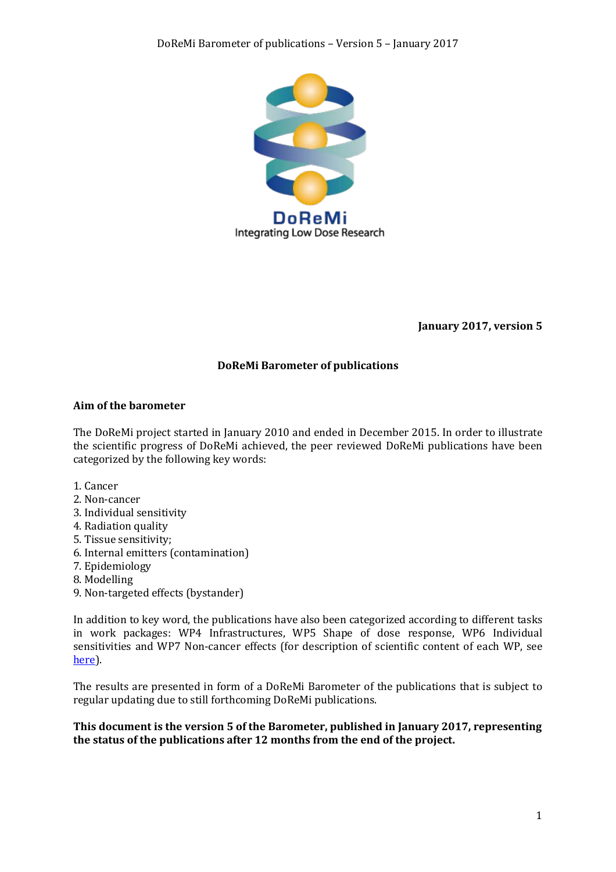

**January 2017, version 5**

### **DoReMi Barometer of publications**

### **Aim of the barometer**

The DoReMi project started in January 2010 and ended in December 2015. In order to illustrate the scientific progress of DoReMi achieved, the peer reviewed DoReMi publications have been categorized by the following key words:

- 1. Cancer
- 2. Non-cancer
- 3. Individual sensitivity
- 4. Radiation quality
- 5. Tissue sensitivity;
- 6. Internal emitters (contamination)
- 7. Epidemiology
- 8. Modelling
- 9. Non-targeted effects (bystander)

In addition to key word, the publications have also been categorized according to different tasks in work packages: WP4 Infrastructures, WP5 Shape of dose response, WP6 Individual sensitivities and WP7 Non-cancer effects (for description of scientific content of each WP, see [here\)](http://www.doremi-noe.net/research_activities.html).

The results are presented in form of a DoReMi Barometer of the publications that is subject to regular updating due to still forthcoming DoReMi publications.

### **This document is the version 5 of the Barometer, published in January 2017, representing the status of the publications after 12 months from the end of the project.**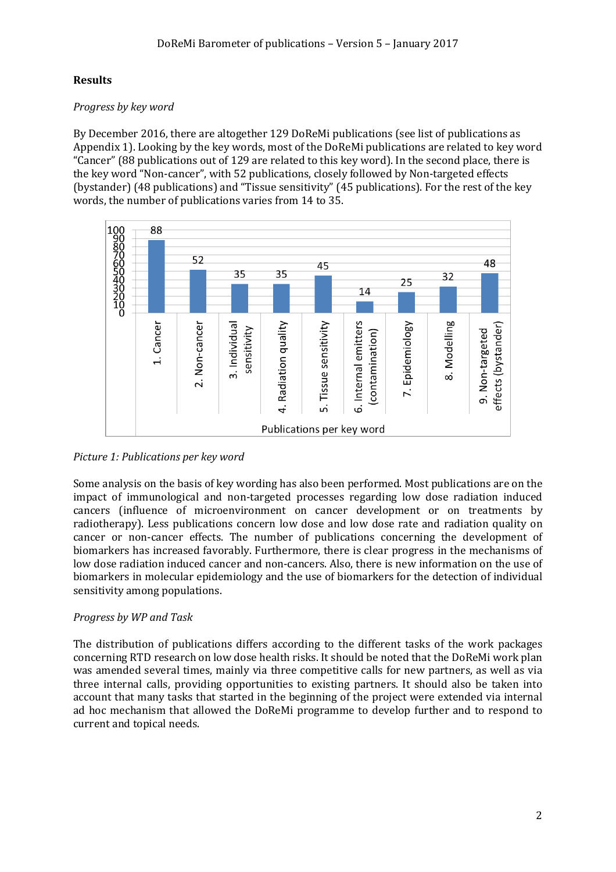## **Results**

## *Progress by key word*

By December 2016, there are altogether 129 DoReMi publications (see list of publications as Appendix 1). Looking by the key words, most of the DoReMi publications are related to key word "Cancer" (88 publications out of 129 are related to this key word). In the second place, there is the key word "Non-cancer", with 52 publications, closely followed by Non-targeted effects (bystander) (48 publications) and "Tissue sensitivity" (45 publications). For the rest of the key words, the number of publications varies from 14 to 35.



*Picture 1: Publications per key word*

Some analysis on the basis of key wording has also been performed. Most publications are on the impact of immunological and non-targeted processes regarding low dose radiation induced cancers (influence of microenvironment on cancer development or on treatments by radiotherapy). Less publications concern low dose and low dose rate and radiation quality on cancer or non-cancer effects. The number of publications concerning the development of biomarkers has increased favorably. Furthermore, there is clear progress in the mechanisms of low dose radiation induced cancer and non-cancers. Also, there is new information on the use of biomarkers in molecular epidemiology and the use of biomarkers for the detection of individual sensitivity among populations.

# *Progress by WP and Task*

The distribution of publications differs according to the different tasks of the work packages concerning RTD research on low dose health risks. It should be noted that the DoReMi work plan was amended several times, mainly via three competitive calls for new partners, as well as via three internal calls, providing opportunities to existing partners. It should also be taken into account that many tasks that started in the beginning of the project were extended via internal ad hoc mechanism that allowed the DoReMi programme to develop further and to respond to current and topical needs.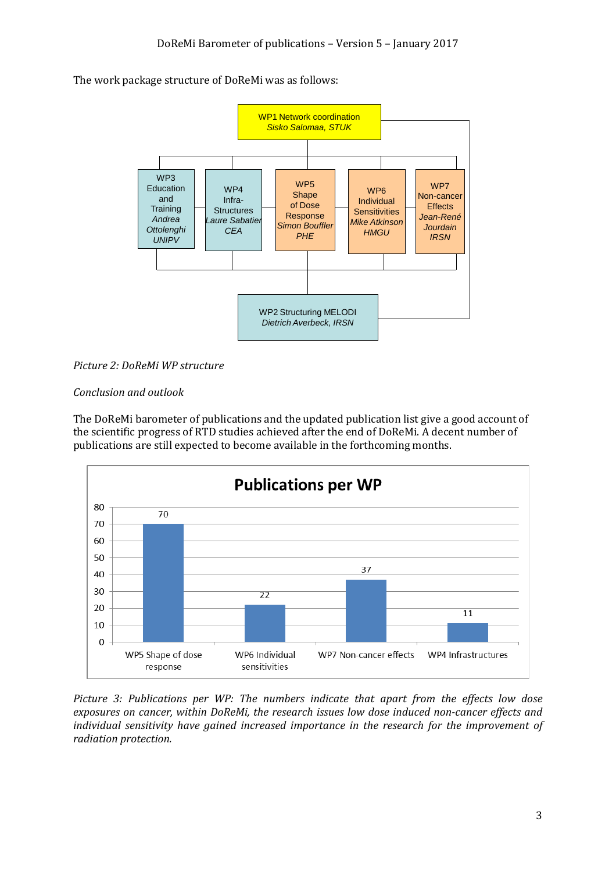The work package structure of DoReMi was as follows:



*Picture 2: DoReMi WP structure*

*Conclusion and outlook*

The DoReMi barometer of publications and the updated publication list give a good account of the scientific progress of RTD studies achieved after the end of DoReMi. A decent number of publications are still expected to become available in the forthcoming months.



*Picture 3: Publications per WP: The numbers indicate that apart from the effects low dose exposures on cancer, within DoReMi, the research issues low dose induced non-cancer effects and individual sensitivity have gained increased importance in the research for the improvement of radiation protection.*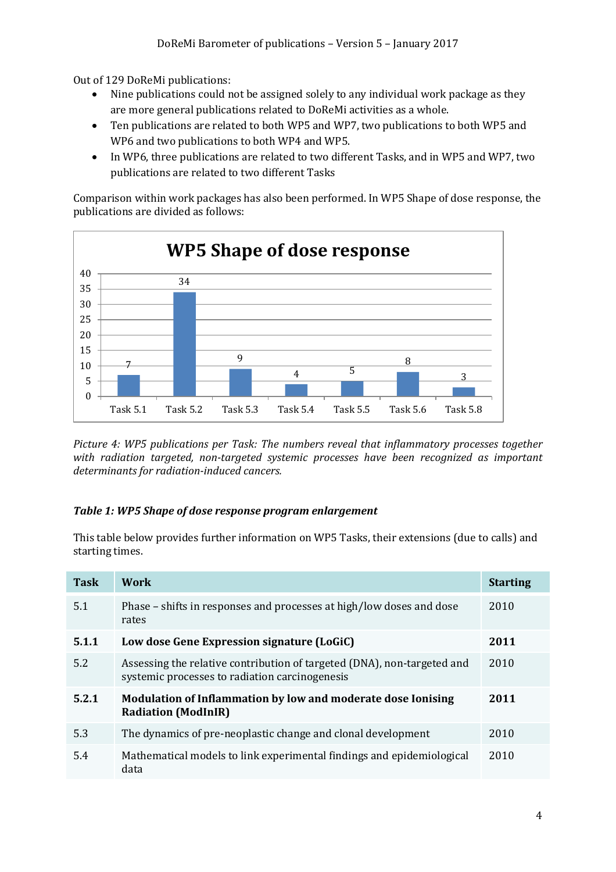Out of 129 DoReMi publications:

- Nine publications could not be assigned solely to any individual work package as they are more general publications related to DoReMi activities as a whole.
- Ten publications are related to both WP5 and WP7, two publications to both WP5 and WP6 and two publications to both WP4 and WP5.
- In WP6, three publications are related to two different Tasks, and in WP5 and WP7, two publications are related to two different Tasks

Comparison within work packages has also been performed. In WP5 Shape of dose response, the publications are divided as follows:



*Picture 4: WP5 publications per Task: The numbers reveal that inflammatory processes together with radiation targeted, non-targeted systemic processes have been recognized as important determinants for radiation-induced cancers.*

# *Table 1: WP5 Shape of dose response program enlargement*

This table below provides further information on WP5 Tasks, their extensions (due to calls) and starting times.

| <b>Task</b> | <b>Work</b>                                                                                                               | <b>Starting</b> |
|-------------|---------------------------------------------------------------------------------------------------------------------------|-----------------|
| 5.1         | Phase – shifts in responses and processes at high/low doses and dose<br>rates                                             | 2010            |
| 5.1.1       | Low dose Gene Expression signature (LoGiC)                                                                                | 2011            |
| 5.2         | Assessing the relative contribution of targeted (DNA), non-targeted and<br>systemic processes to radiation carcinogenesis | 2010            |
| 5.2.1       | Modulation of Inflammation by low and moderate dose Ionising<br><b>Radiation (ModInIR)</b>                                | 2011            |
| 5.3         | The dynamics of pre-neoplastic change and clonal development                                                              | 2010            |
| 5.4         | Mathematical models to link experimental findings and epidemiological<br>data                                             | 2010            |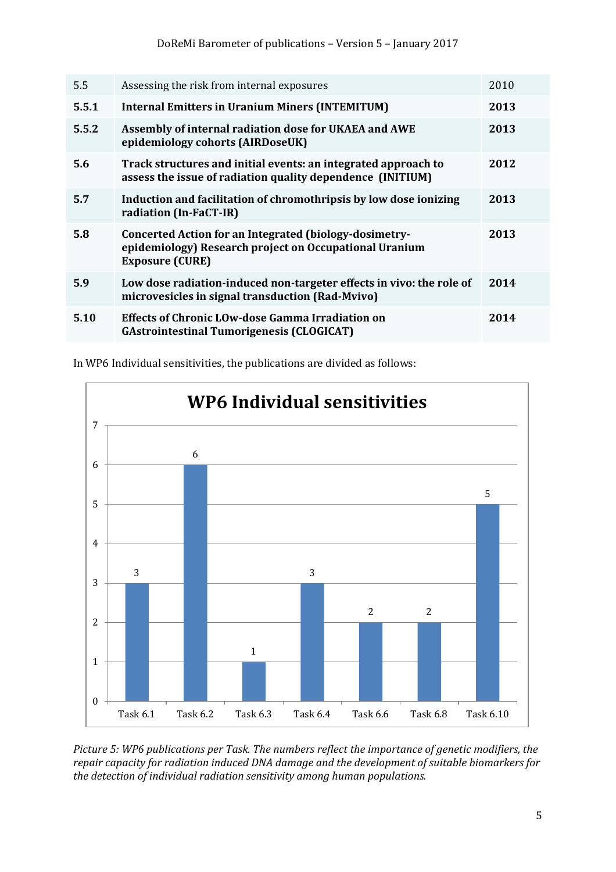| 5.5   | Assessing the risk from internal exposures                                                                                                 | 2010 |
|-------|--------------------------------------------------------------------------------------------------------------------------------------------|------|
| 5.5.1 | <b>Internal Emitters in Uranium Miners (INTEMITUM)</b>                                                                                     | 2013 |
| 5.5.2 | Assembly of internal radiation dose for UKAEA and AWE<br>epidemiology cohorts (AIRDoseUK)                                                  | 2013 |
| 5.6   | Track structures and initial events: an integrated approach to<br>assess the issue of radiation quality dependence (INITIUM)               | 2012 |
| 5.7   | Induction and facilitation of chromothripsis by low dose ionizing<br>radiation (In-FaCT-IR)                                                | 2013 |
| 5.8   | Concerted Action for an Integrated (biology-dosimetry-<br>epidemiology) Research project on Occupational Uranium<br><b>Exposure (CURE)</b> | 2013 |
| 5.9   | Low dose radiation-induced non-targeter effects in vivo: the role of<br>microvesicles in signal transduction (Rad-Mvivo)                   | 2014 |
| 5.10  | Effects of Chronic LOw-dose Gamma Irradiation on<br><b>GAstrointestinal Tumorigenesis (CLOGICAT)</b>                                       | 2014 |

In WP6 Individual sensitivities, the publications are divided as follows:



*Picture 5: WP6 publications per Task. The numbers reflect the importance of genetic modifiers, the repair capacity for radiation induced DNA damage and the development of suitable biomarkers for the detection of individual radiation sensitivity among human populations.*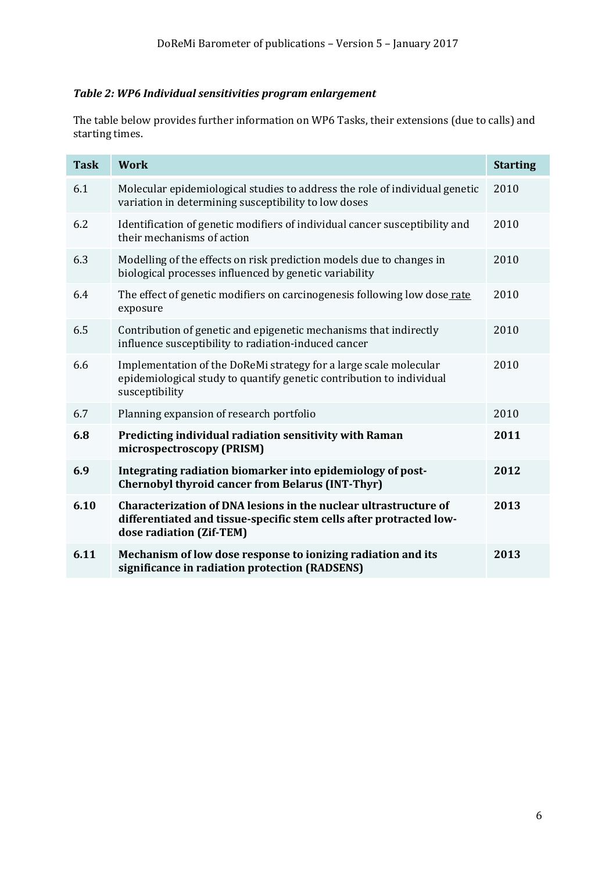# *Table 2: WP6 Individual sensitivities program enlargement*

The table below provides further information on WP6 Tasks, their extensions (due to calls) and starting times.

| <b>Task</b> | <b>Work</b>                                                                                                                                                         | <b>Starting</b> |
|-------------|---------------------------------------------------------------------------------------------------------------------------------------------------------------------|-----------------|
| 6.1         | Molecular epidemiological studies to address the role of individual genetic<br>variation in determining susceptibility to low doses                                 | 2010            |
| 6.2         | Identification of genetic modifiers of individual cancer susceptibility and<br>their mechanisms of action                                                           | 2010            |
| 6.3         | Modelling of the effects on risk prediction models due to changes in<br>biological processes influenced by genetic variability                                      | 2010            |
| 6.4         | The effect of genetic modifiers on carcinogenesis following low dose rate<br>exposure                                                                               | 2010            |
| 6.5         | Contribution of genetic and epigenetic mechanisms that indirectly<br>influence susceptibility to radiation-induced cancer                                           | 2010            |
| 6.6         | Implementation of the DoReMi strategy for a large scale molecular<br>epidemiological study to quantify genetic contribution to individual<br>susceptibility         | 2010            |
| 6.7         | Planning expansion of research portfolio                                                                                                                            | 2010            |
| 6.8         | Predicting individual radiation sensitivity with Raman<br>microspectroscopy (PRISM)                                                                                 | 2011            |
| 6.9         | Integrating radiation biomarker into epidemiology of post-<br><b>Chernobyl thyroid cancer from Belarus (INT-Thyr)</b>                                               | 2012            |
| 6.10        | Characterization of DNA lesions in the nuclear ultrastructure of<br>differentiated and tissue-specific stem cells after protracted low-<br>dose radiation (Zif-TEM) | 2013            |
| 6.11        | Mechanism of low dose response to ionizing radiation and its<br>significance in radiation protection (RADSENS)                                                      | 2013            |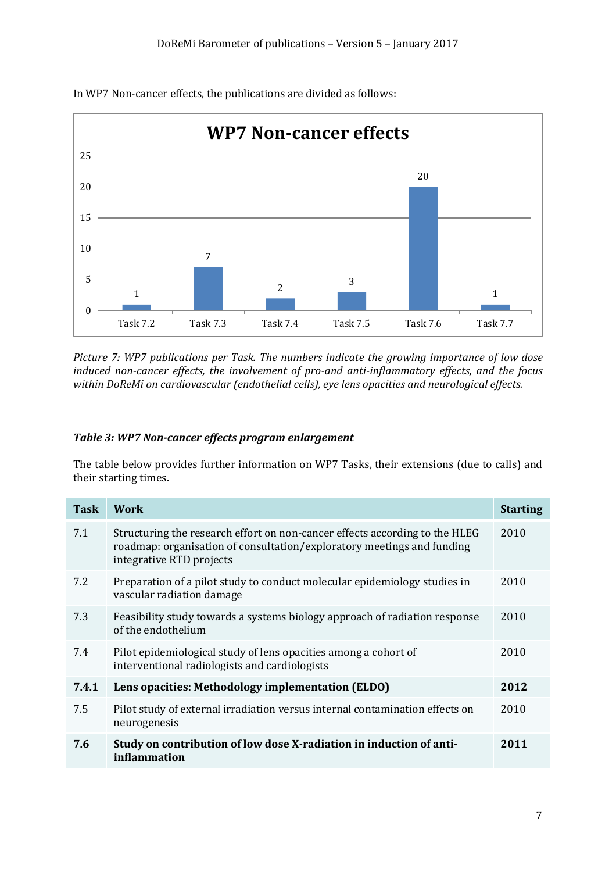

In WP7 Non-cancer effects, the publications are divided as follows:

*Picture 7: WP7 publications per Task. The numbers indicate the growing importance of low dose induced non-cancer effects, the involvement of pro-and anti-inflammatory effects, and the focus within DoReMi on cardiovascular (endothelial cells), eye lens opacities and neurological effects.* 

### *Table 3: WP7 Non-cancer effects program enlargement*

The table below provides further information on WP7 Tasks, their extensions (due to calls) and their starting times.

| <b>Task</b> | <b>Work</b>                                                                                                                                                                       | <b>Starting</b> |
|-------------|-----------------------------------------------------------------------------------------------------------------------------------------------------------------------------------|-----------------|
| 7.1         | Structuring the research effort on non-cancer effects according to the HLEG<br>roadmap: organisation of consultation/exploratory meetings and funding<br>integrative RTD projects | 2010            |
| 7.2         | Preparation of a pilot study to conduct molecular epidemiology studies in<br>vascular radiation damage                                                                            | 2010            |
| 7.3         | Feasibility study towards a systems biology approach of radiation response<br>of the endothelium                                                                                  | 2010            |
| 7.4         | Pilot epidemiological study of lens opacities among a cohort of<br>interventional radiologists and cardiologists                                                                  | 2010            |
| 7.4.1       | Lens opacities: Methodology implementation (ELDO)                                                                                                                                 | 2012            |
| 7.5         | Pilot study of external irradiation versus internal contamination effects on<br>neurogenesis                                                                                      | 2010            |
| 7.6         | Study on contribution of low dose X-radiation in induction of anti-<br>inflammation                                                                                               | 2011            |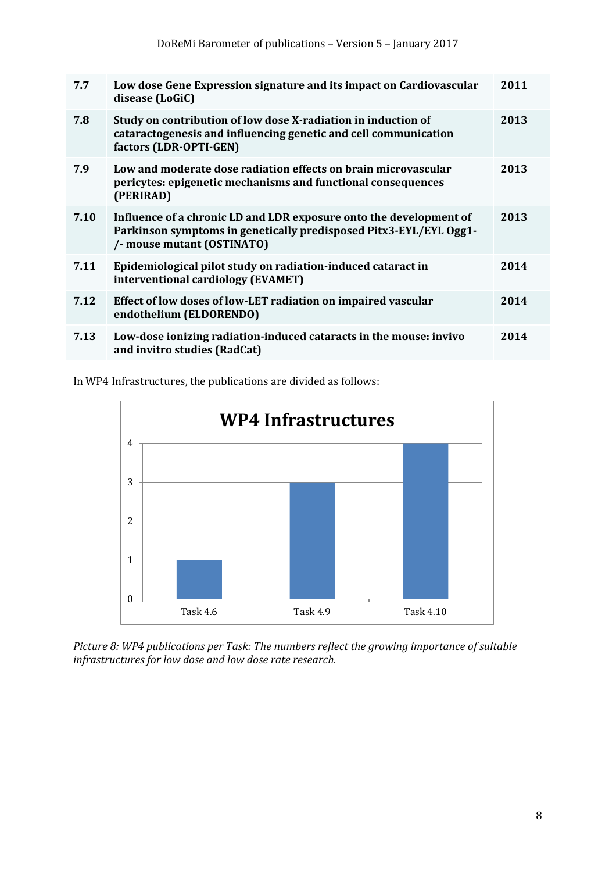| 7.7  | Low dose Gene Expression signature and its impact on Cardiovascular<br>disease (LoGiC)                                                                                | 2011 |
|------|-----------------------------------------------------------------------------------------------------------------------------------------------------------------------|------|
| 7.8  | Study on contribution of low dose X-radiation in induction of<br>cataractogenesis and influencing genetic and cell communication<br>factors (LDR-OPTI-GEN)            | 2013 |
| 7.9  | Low and moderate dose radiation effects on brain microvascular<br>pericytes: epigenetic mechanisms and functional consequences<br>(PERIRAD)                           | 2013 |
| 7.10 | Influence of a chronic LD and LDR exposure onto the development of<br>Parkinson symptoms in genetically predisposed Pitx3-EYL/EYL Ogg1-<br>/- mouse mutant (OSTINATO) | 2013 |
| 7.11 | Epidemiological pilot study on radiation-induced cataract in<br>interventional cardiology (EVAMET)                                                                    | 2014 |
| 7.12 | Effect of low doses of low-LET radiation on impaired vascular<br>endothelium (ELDORENDO)                                                                              | 2014 |
| 7.13 | Low-dose ionizing radiation-induced cataracts in the mouse: invivo<br>and invitro studies (RadCat)                                                                    | 2014 |

In WP4 Infrastructures, the publications are divided as follows:



*Picture 8: WP4 publications per Task: The numbers reflect the growing importance of suitable infrastructures for low dose and low dose rate research.*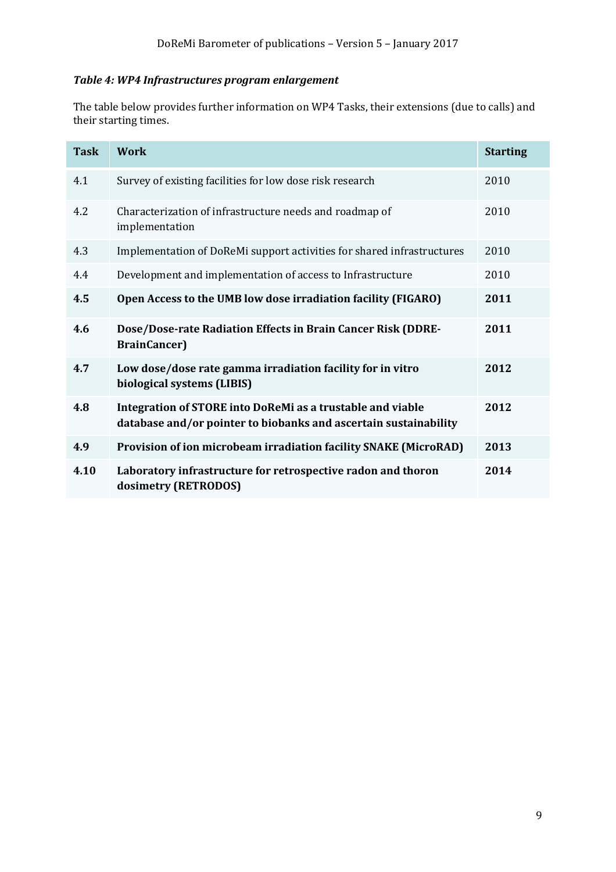# *Table 4: WP4 Infrastructures program enlargement*

The table below provides further information on WP4 Tasks, their extensions (due to calls) and their starting times.

| <b>Task</b> | <b>Work</b>                                                                                                                    | <b>Starting</b> |
|-------------|--------------------------------------------------------------------------------------------------------------------------------|-----------------|
| 4.1         | Survey of existing facilities for low dose risk research                                                                       | 2010            |
| 4.2         | Characterization of infrastructure needs and roadmap of<br>implementation                                                      | 2010            |
| 4.3         | Implementation of DoReMi support activities for shared infrastructures                                                         | 2010            |
| 4.4         | Development and implementation of access to Infrastructure                                                                     | 2010            |
| 4.5         | Open Access to the UMB low dose irradiation facility (FIGARO)                                                                  | 2011            |
| 4.6         | Dose/Dose-rate Radiation Effects in Brain Cancer Risk (DDRE-<br><b>BrainCancer</b> )                                           | 2011            |
| 4.7         | Low dose/dose rate gamma irradiation facility for in vitro<br>biological systems (LIBIS)                                       | 2012            |
| 4.8         | Integration of STORE into DoReMi as a trustable and viable<br>database and/or pointer to biobanks and ascertain sustainability | 2012            |
| 4.9         | Provision of ion microbeam irradiation facility SNAKE (MicroRAD)                                                               | 2013            |
| 4.10        | Laboratory infrastructure for retrospective radon and thoron<br>dosimetry (RETRODOS)                                           | 2014            |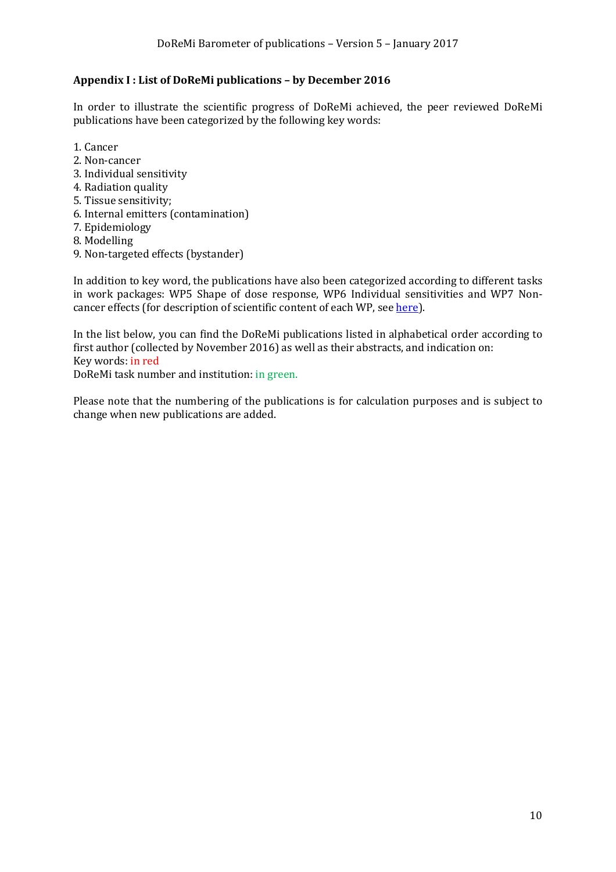### **Appendix I : List of DoReMi publications – by December 2016**

In order to illustrate the scientific progress of DoReMi achieved, the peer reviewed DoReMi publications have been categorized by the following key words:

- 1. Cancer
- 2. Non-cancer
- 3. Individual sensitivity
- 4. Radiation quality
- 5. Tissue sensitivity;
- 6. Internal emitters (contamination)
- 7. Epidemiology
- 8. Modelling
- 9. Non-targeted effects (bystander)

In addition to key word, the publications have also been categorized according to different tasks in work packages: WP5 Shape of dose response, WP6 Individual sensitivities and WP7 Noncancer effects (for description of scientific content of each WP, see [here\)](http://www.melodi-online.eu/DoReMi/Work%20packages.html).

In the list below, you can find the DoReMi publications listed in alphabetical order according to first author (collected by November 2016) as well as their abstracts, and indication on: Key words: in red

DoReMi task number and institution: in green.

Please note that the numbering of the publications is for calculation purposes and is subject to change when new publications are added.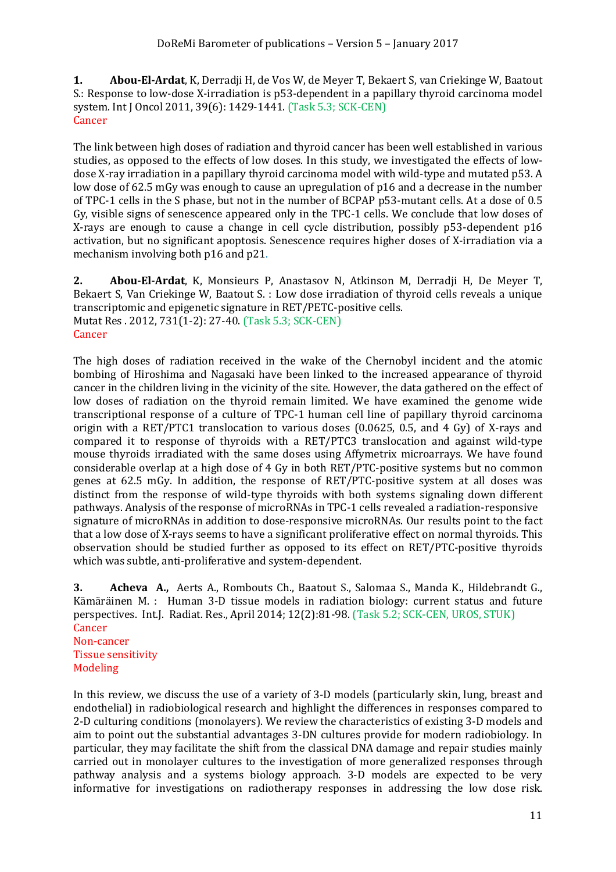**1. Abou-El-Ardat**, K, Derradji H, de Vos W, de Meyer T, Bekaert S, van Criekinge W, Baatout S.: Response to low-dose X-irradiation is p53-dependent in a papillary thyroid carcinoma model system. Int J Oncol 2011, 39(6): 1429-1441. (Task 5.3; SCK-CEN) Cancer

The link between high doses of radiation and thyroid cancer has been well established in various studies, as opposed to the effects of low doses. In this study, we investigated the effects of lowdose X-ray irradiation in a papillary thyroid carcinoma model with wild-type and mutated p53. A low dose of 62.5 mGy was enough to cause an upregulation of p16 and a decrease in the number of TPC-1 cells in the S phase, but not in the number of BCPAP p53-mutant cells. At a dose of 0.5 Gy, visible signs of senescence appeared only in the TPC-1 cells. We conclude that low doses of X-rays are enough to cause a change in cell cycle distribution, possibly p53-dependent p16 activation, but no significant apoptosis. Senescence requires higher doses of X-irradiation via a mechanism involving both p16 and p21.

**2. Abou-El-Ardat**, K, Monsieurs P, Anastasov N, Atkinson M, Derradji H, De Meyer T, Bekaert S, Van Criekinge W, Baatout S. : Low dose irradiation of thyroid cells reveals a unique transcriptomic and epigenetic signature in RET/PETC-positive cells. Mutat Res . 2012, 731(1-2): 27-40. (Task 5.3; SCK-CEN) Cancer

The high doses of radiation received in the wake of the Chernobyl incident and the atomic bombing of Hiroshima and Nagasaki have been linked to the increased appearance of thyroid cancer in the children living in the vicinity of the site. However, the data gathered on the effect of low doses of radiation on the thyroid remain limited. We have examined the genome wide transcriptional response of a culture of TPC-1 human cell line of papillary thyroid carcinoma origin with a RET/PTC1 translocation to various doses (0.0625, 0.5, and 4 Gy) of X-rays and compared it to response of thyroids with a RET/PTC3 translocation and against wild-type mouse thyroids irradiated with the same doses using Affymetrix microarrays. We have found considerable overlap at a high dose of 4 Gy in both RET/PTC-positive systems but no common genes at 62.5 mGy. In addition, the response of RET/PTC-positive system at all doses was distinct from the response of wild-type thyroids with both systems signaling down different pathways. Analysis of the response of microRNAs in TPC-1 cells revealed a radiation-responsive signature of microRNAs in addition to dose-responsive microRNAs. Our results point to the fact that a low dose of X-rays seems to have a significant proliferative effect on normal thyroids. This observation should be studied further as opposed to its effect on RET/PTC-positive thyroids which was subtle, anti-proliferative and system-dependent.

**3. Acheva A.,** Aerts A., Rombouts Ch., Baatout S., Salomaa S., Manda K., Hildebrandt G., Kämäräinen M. : Human 3-D tissue models in radiation biology: current status and future perspectives. Int.J. Radiat. Res., April 2014; 12(2):81-98. (Task 5.2; SCK-CEN, UROS, STUK) Cancer Non-cancer Tissue sensitivity Modeling

In this review, we discuss the use of a variety of 3-D models (particularly skin, lung, breast and endothelial) in radiobiological research and highlight the differences in responses compared to 2-D culturing conditions (monolayers). We review the characteristics of existing 3-D models and aim to point out the substantial advantages 3-DN cultures provide for modern radiobiology. In particular, they may facilitate the shift from the classical DNA damage and repair studies mainly carried out in monolayer cultures to the investigation of more generalized responses through pathway analysis and a systems biology approach. 3-D models are expected to be very informative for investigations on radiotherapy responses in addressing the low dose risk.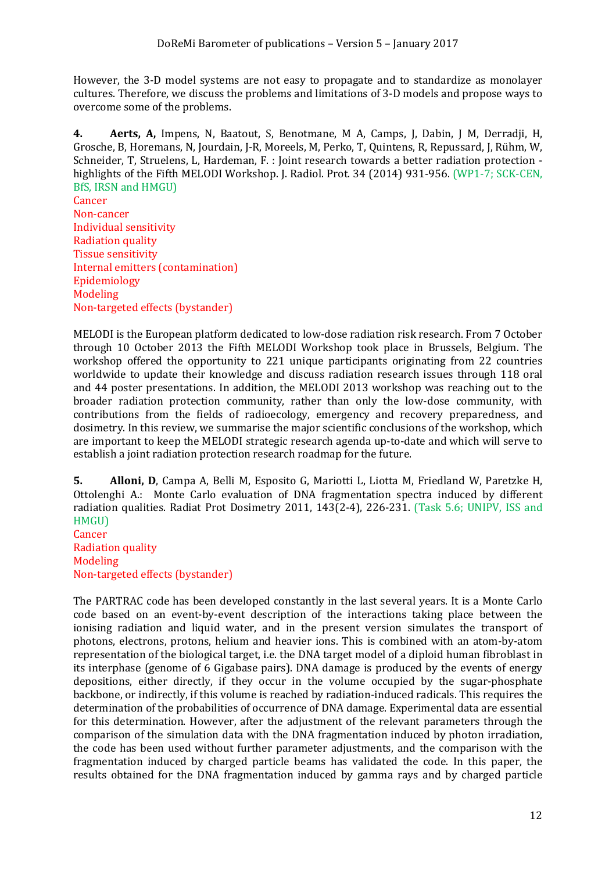However, the 3-D model systems are not easy to propagate and to standardize as monolayer cultures. Therefore, we discuss the problems and limitations of 3-D models and propose ways to overcome some of the problems.

**4. Aerts, A,** Impens, N, Baatout, S, Benotmane, M A, Camps, J, Dabin, J M, Derradji, H, Grosche, B, Horemans, N, Jourdain, J-R, Moreels, M, Perko, T, Quintens, R, Repussard, J, Rühm, W, Schneider, T, Struelens, L, Hardeman, F. : Joint research towards a better radiation protection highlights of the Fifth MELODI Workshop. J. Radiol. Prot. 34 (2014) 931-956. (WP1-7; SCK-CEN, BfS, IRSN and HMGU)

**Cancer** Non-cancer Individual sensitivity Radiation quality Tissue sensitivity Internal emitters (contamination) Epidemiology Modeling Non-targeted effects (bystander)

MELODI is the European platform dedicated to low-dose radiation risk research. From 7 October through 10 October 2013 the Fifth MELODI Workshop took place in Brussels, Belgium. The workshop offered the opportunity to 221 unique participants originating from 22 countries worldwide to update their knowledge and discuss radiation research issues through 118 oral and 44 poster presentations. In addition, the MELODI 2013 workshop was reaching out to the broader radiation protection community, rather than only the low-dose community, with contributions from the fields of radioecology, emergency and recovery preparedness, and dosimetry. In this review, we summarise the major scientific conclusions of the workshop, which are important to keep the MELODI strategic research agenda up-to-date and which will serve to establish a joint radiation protection research roadmap for the future.

**5. Alloni, D**, Campa A, Belli M, Esposito G, Mariotti L, Liotta M, Friedland W, Paretzke H, Ottolenghi A.: Monte Carlo evaluation of DNA fragmentation spectra induced by different radiation qualities. Radiat Prot Dosimetry 2011, 143(2-4), 226-231. (Task 5.6; UNIPV, ISS and HMGU)

Cancer Radiation quality Modeling Non-targeted effects (bystander)

The PARTRAC code has been developed constantly in the last several years. It is a Monte Carlo code based on an event-by-event description of the interactions taking place between the ionising radiation and liquid water, and in the present version simulates the transport of photons, electrons, protons, helium and heavier ions. This is combined with an atom-by-atom representation of the biological target, i.e. the DNA target model of a diploid human fibroblast in its interphase (genome of 6 Gigabase pairs). DNA damage is produced by the events of energy depositions, either directly, if they occur in the volume occupied by the sugar-phosphate backbone, or indirectly, if this volume is reached by radiation-induced radicals. This requires the determination of the probabilities of occurrence of DNA damage. Experimental data are essential for this determination. However, after the adjustment of the relevant parameters through the comparison of the simulation data with the DNA fragmentation induced by photon irradiation, the code has been used without further parameter adjustments, and the comparison with the fragmentation induced by charged particle beams has validated the code. In this paper, the results obtained for the DNA fragmentation induced by gamma rays and by charged particle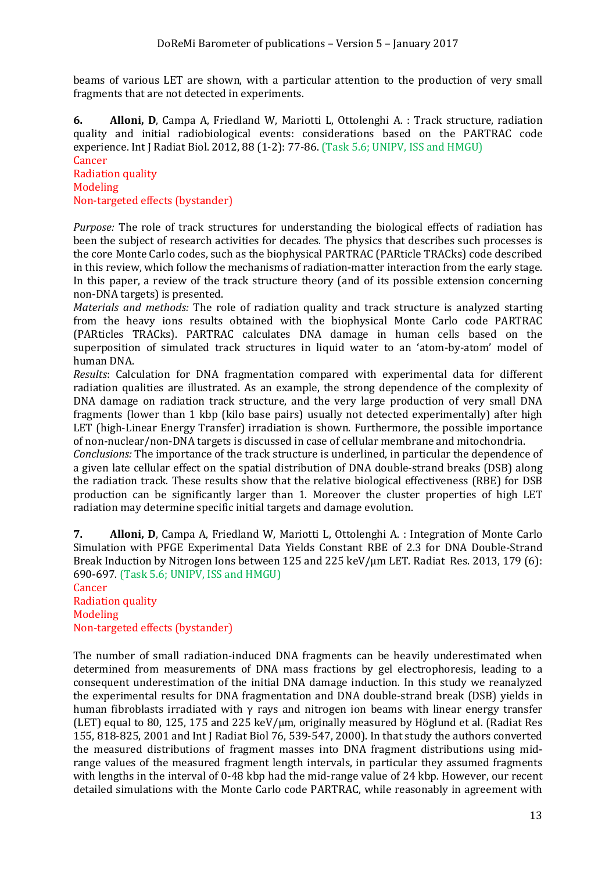beams of various LET are shown, with a particular attention to the production of very small fragments that are not detected in experiments.

**6. Alloni, D**, Campa A, Friedland W, Mariotti L, Ottolenghi A. : Track structure, radiation quality and initial radiobiological events: considerations based on the PARTRAC code experience. Int J Radiat Biol. 2012, 88 (1-2): 77-86. (Task 5.6; UNIPV, ISS and HMGU)

Cancer Radiation quality Modeling Non-targeted effects (bystander)

*Purpose:* The role of track structures for understanding the biological effects of radiation has been the subject of research activities for decades. The physics that describes such processes is the core Monte Carlo codes, such as the biophysical PARTRAC (PARticle TRACks) code described in this review, which follow the mechanisms of radiation-matter interaction from the early stage. In this paper, a review of the track structure theory (and of its possible extension concerning non-DNA targets) is presented.

*Materials and methods:* The role of radiation quality and track structure is analyzed starting from the heavy ions results obtained with the biophysical Monte Carlo code PARTRAC (PARticles TRACks). PARTRAC calculates DNA damage in human cells based on the superposition of simulated track structures in liquid water to an 'atom-by-atom' model of human DNA.

*Results*: Calculation for DNA fragmentation compared with experimental data for different radiation qualities are illustrated. As an example, the strong dependence of the complexity of DNA damage on radiation track structure, and the very large production of very small DNA fragments (lower than 1 kbp (kilo base pairs) usually not detected experimentally) after high LET (high-Linear Energy Transfer) irradiation is shown. Furthermore, the possible importance of non-nuclear/non-DNA targets is discussed in case of cellular membrane and mitochondria.

*Conclusions:* The importance of the track structure is underlined, in particular the dependence of a given late cellular effect on the spatial distribution of DNA double-strand breaks (DSB) along the radiation track. These results show that the relative biological effectiveness (RBE) for DSB production can be significantly larger than 1. Moreover the cluster properties of high LET radiation may determine specific initial targets and damage evolution.

**7. Alloni, D**, Campa A, Friedland W, Mariotti L, Ottolenghi A. : Integration of Monte Carlo Simulation with PFGE Experimental Data Yields Constant RBE of 2.3 for DNA Double-Strand Break Induction by Nitrogen Ions between 125 and 225 keV/µm LET. Radiat Res. 2013, 179 (6): 690-697. (Task 5.6; UNIPV, ISS and HMGU)

Cancer Radiation quality Modeling Non-targeted effects (bystander)

The number of small radiation-induced DNA fragments can be heavily underestimated when determined from measurements of DNA mass fractions by gel electrophoresis, leading to a consequent underestimation of the initial DNA damage induction. In this study we reanalyzed the experimental results for DNA fragmentation and DNA double-strand break (DSB) yields in human fibroblasts irradiated with γ rays and nitrogen ion beams with linear energy transfer (LET) equal to 80, 125, 175 and 225 keV/μm, originally measured by Höglund et al. (Radiat Res 155, 818-825, 2001 and Int J Radiat Biol 76, 539-547, 2000). In that study the authors converted the measured distributions of fragment masses into DNA fragment distributions using midrange values of the measured fragment length intervals, in particular they assumed fragments with lengths in the interval of 0-48 kbp had the mid-range value of 24 kbp. However, our recent detailed simulations with the Monte Carlo code PARTRAC, while reasonably in agreement with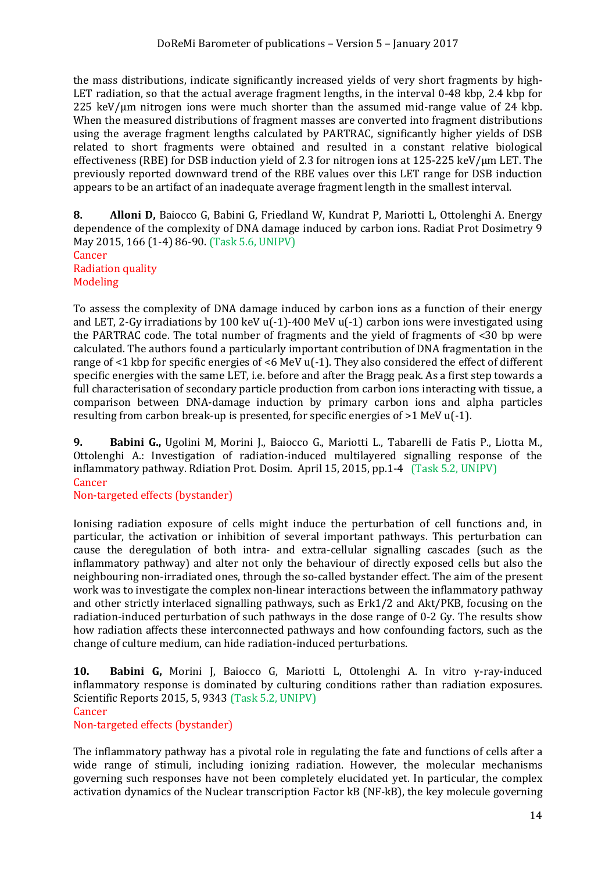the mass distributions, indicate significantly increased yields of very short fragments by high-LET radiation, so that the actual average fragment lengths, in the interval 0-48 kbp, 2.4 kbp for 225 keV/µm nitrogen ions were much shorter than the assumed mid-range value of 24 kbp. When the measured distributions of fragment masses are converted into fragment distributions using the average fragment lengths calculated by PARTRAC, significantly higher yields of DSB related to short fragments were obtained and resulted in a constant relative biological effectiveness (RBE) for DSB induction yield of 2.3 for nitrogen ions at  $125-225$  keV/ $\mu$ m LET. The previously reported downward trend of the RBE values over this LET range for DSB induction appears to be an artifact of an inadequate average fragment length in the smallest interval.

**8. Alloni D,** Baiocco G, Babini G, Friedland W, Kundrat P, Mariotti L, Ottolenghi A. Energy dependence of the complexity of DNA damage induced by carbon ions. Radiat Prot Dosimetry 9 May 2015, 166 (1-4) 86-90. (Task 5.6, UNIPV) Cancer

Radiation quality **Modeling** 

To assess the complexity of DNA damage induced by carbon ions as a function of their energy and LET, 2-Gy irradiations by 100 keV u(-1)-400 MeV u(-1) carbon ions were investigated using the PARTRAC code. The total number of fragments and the yield of fragments of <30 bp were calculated. The authors found a particularly important contribution of DNA fragmentation in the range of <1 kbp for specific energies of <6 MeV u(-1). They also considered the effect of different specific energies with the same LET, i.e. before and after the Bragg peak. As a first step towards a full characterisation of secondary particle production from carbon ions interacting with tissue, a comparison between DNA-damage induction by primary carbon ions and alpha particles resulting from carbon break-up is presented, for specific energies of >1 MeV u(-1).

**9. Babini G.,** Ugolini M, Morini J., Baiocco G., Mariotti L., Tabarelli de Fatis P., Liotta M., Ottolenghi A.: Investigation of radiation-induced multilayered signalling response of the inflammatory pathway. Rdiation Prot. Dosim. April 15, 2015, pp.1-4 (Task 5.2, UNIPV) Cancer

Non-targeted effects (bystander)

Ionising radiation exposure of cells might induce the perturbation of cell functions and, in particular, the activation or inhibition of several important pathways. This perturbation can cause the deregulation of both intra- and extra-cellular signalling cascades (such as the inflammatory pathway) and alter not only the behaviour of directly exposed cells but also the neighbouring non-irradiated ones, through the so-called bystander effect. The aim of the present work was to investigate the complex non-linear interactions between the inflammatory pathway and other strictly interlaced signalling pathways, such as Erk1/2 and Akt/PKB, focusing on the radiation-induced perturbation of such pathways in the dose range of 0-2 Gy. The results show how radiation affects these interconnected pathways and how confounding factors, such as the change of culture medium, can hide radiation-induced perturbations.

**10. Babini G,** Morini J, Baiocco G, Mariotti L, Ottolenghi A. In vitro γ-ray-induced inflammatory response is dominated by culturing conditions rather than radiation exposures. Scientific Reports 2015, 5, 9343 (Task 5.2, UNIPV) Cancer

Non-targeted effects (bystander)

The inflammatory pathway has a pivotal role in regulating the fate and functions of cells after a wide range of stimuli, including ionizing radiation. However, the molecular mechanisms governing such responses have not been completely elucidated yet. In particular, the complex activation dynamics of the Nuclear transcription Factor kB (NF-kB), the key molecule governing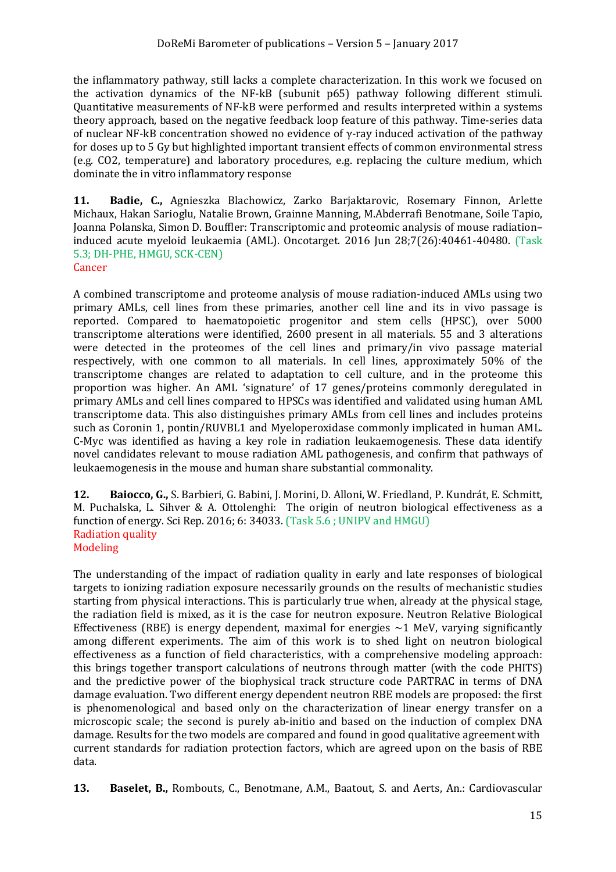the inflammatory pathway, still lacks a complete characterization. In this work we focused on the activation dynamics of the NF-kB (subunit p65) pathway following different stimuli. Quantitative measurements of NF-kB were performed and results interpreted within a systems theory approach, based on the negative feedback loop feature of this pathway. Time-series data of nuclear NF-kB concentration showed no evidence of  $\gamma$ -ray induced activation of the pathway for doses up to 5 Gy but highlighted important transient effects of common environmental stress (e.g. CO2, temperature) and laboratory procedures, e.g. replacing the culture medium, which dominate the in vitro inflammatory response

**11. Badie, C.,** Agnieszka Blachowicz, Zarko Barjaktarovic, Rosemary Finnon, Arlette Michaux, Hakan Sarioglu, Natalie Brown, Grainne Manning, M.Abderrafi Benotmane, Soile Tapio, Joanna Polanska, Simon D. Bouffler: Transcriptomic and proteomic analysis of mouse radiation– induced acute myeloid leukaemia (AML). Oncotarget. 2016 Jun 28;7(26):40461-40480. (Task 5.3; DH-PHE, HMGU, SCK-CEN) **Cancer** 

A combined transcriptome and proteome analysis of mouse radiation-induced AMLs using two primary AMLs, cell lines from these primaries, another cell line and its in vivo passage is reported. Compared to haematopoietic progenitor and stem cells (HPSC), over 5000 transcriptome alterations were identified, 2600 present in all materials. 55 and 3 alterations were detected in the proteomes of the cell lines and primary/in vivo passage material respectively, with one common to all materials. In cell lines, approximately 50% of the transcriptome changes are related to adaptation to cell culture, and in the proteome this proportion was higher. An AML 'signature' of 17 genes/proteins commonly deregulated in primary AMLs and cell lines compared to HPSCs was identified and validated using human AML transcriptome data. This also distinguishes primary AMLs from cell lines and includes proteins such as Coronin 1, pontin/RUVBL1 and Myeloperoxidase commonly implicated in human AML. C-Myc was identified as having a key role in radiation leukaemogenesis. These data identify novel candidates relevant to mouse radiation AML pathogenesis, and confirm that pathways of leukaemogenesis in the mouse and human share substantial commonality.

**12. Baiocco, G.,** S. Barbieri, G. Babini, J. Morini, D. Alloni, W. Friedland, P. Kundrát, E. Schmitt, M. Puchalska, L. Sihver & A. Ottolenghi: The origin of neutron biological effectiveness as a function of energy. Sci Rep. 2016; 6: 34033. (Task 5.6 ; UNIPV and HMGU) Radiation quality Modeling

The understanding of the impact of radiation quality in early and late responses of biological targets to ionizing radiation exposure necessarily grounds on the results of mechanistic studies starting from physical interactions. This is particularly true when, already at the physical stage, the radiation field is mixed, as it is the case for neutron exposure. Neutron Relative Biological Effectiveness (RBE) is energy dependent, maximal for energies  $\sim$  1 MeV, varying significantly among different experiments. The aim of this work is to shed light on neutron biological effectiveness as a function of field characteristics, with a comprehensive modeling approach: this brings together transport calculations of neutrons through matter (with the code PHITS) and the predictive power of the biophysical track structure code PARTRAC in terms of DNA damage evaluation. Two different energy dependent neutron RBE models are proposed: the first is phenomenological and based only on the characterization of linear energy transfer on a microscopic scale; the second is purely ab-initio and based on the induction of complex DNA damage. Results for the two models are compared and found in good qualitative agreement with current standards for radiation protection factors, which are agreed upon on the basis of RBE data.

**13. Baselet, B.,** Rombouts, C., Benotmane, A.M., Baatout, S. and Aerts, An.: Cardiovascular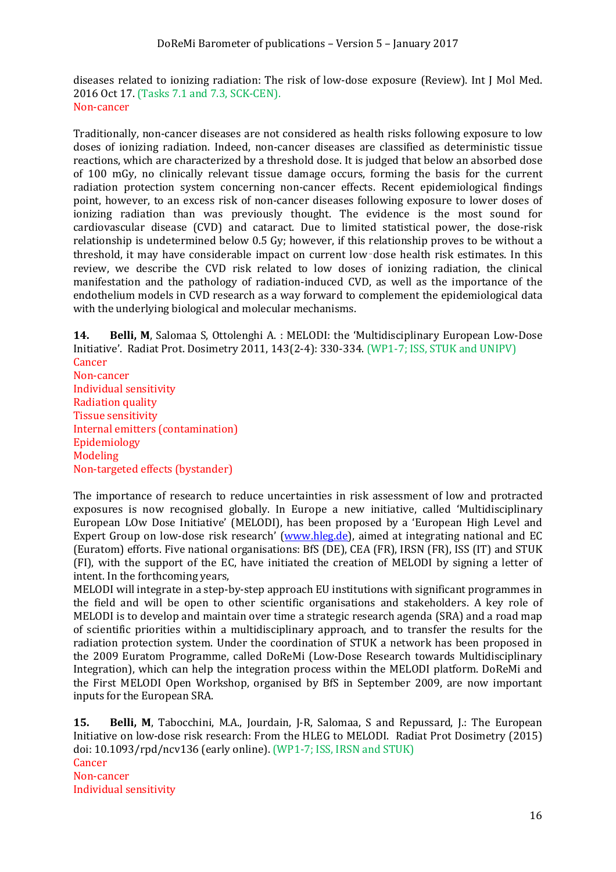diseases related to ionizing radiation: The risk of low-dose exposure (Review). Int J Mol Med. 2016 Oct 17. (Tasks 7.1 and 7.3, SCK-CEN). Non-cancer

Traditionally, non-cancer diseases are not considered as health risks following exposure to low doses of ionizing radiation. Indeed, non-cancer diseases are classified as deterministic tissue reactions, which are characterized by a threshold dose. It is judged that below an absorbed dose of 100 mGy, no clinically relevant tissue damage occurs, forming the basis for the current radiation protection system concerning non-cancer effects. Recent epidemiological findings point, however, to an excess risk of non-cancer diseases following exposure to lower doses of ionizing radiation than was previously thought. The evidence is the most sound for cardiovascular disease (CVD) and cataract. Due to limited statistical power, the dose-risk relationship is undetermined below 0.5 Gy; however, if this relationship proves to be without a threshold, it may have considerable impact on current low‑dose health risk estimates. In this review, we describe the CVD risk related to low doses of ionizing radiation, the clinical manifestation and the pathology of radiation-induced CVD, as well as the importance of the endothelium models in CVD research as a way forward to complement the epidemiological data with the underlying biological and molecular mechanisms.

**14. Belli, M**, Salomaa S, Ottolenghi A. : MELODI: the 'Multidisciplinary European Low-Dose Initiative'. Radiat Prot. Dosimetry 2011, 143(2-4): 330-334. (WP1-7; ISS, STUK and UNIPV) **Cancer** Non-cancer Individual sensitivity Radiation quality Tissue sensitivity Internal emitters (contamination) Epidemiology Modeling Non-targeted effects (bystander)

The importance of research to reduce uncertainties in risk assessment of low and protracted exposures is now recognised globally. In Europe a new initiative, called 'Multidisciplinary European LOw Dose Initiative' (MELODI), has been proposed by a 'European High Level and Expert Group on low-dose risk research' [\(www.hleg.de\)](http://www.hleg.de/), aimed at integrating national and EC (Euratom) efforts. Five national organisations: BfS (DE), CEA (FR), IRSN (FR), ISS (IT) and STUK (FI), with the support of the EC, have initiated the creation of MELODI by signing a letter of intent. In the forthcoming years,

MELODI will integrate in a step-by-step approach EU institutions with significant programmes in the field and will be open to other scientific organisations and stakeholders. A key role of MELODI is to develop and maintain over time a strategic research agenda (SRA) and a road map of scientific priorities within a multidisciplinary approach, and to transfer the results for the radiation protection system. Under the coordination of STUK a network has been proposed in the 2009 Euratom Programme, called DoReMi (Low-Dose Research towards Multidisciplinary Integration), which can help the integration process within the MELODI platform. DoReMi and the First MELODI Open Workshop, organised by BfS in September 2009, are now important inputs for the European SRA.

**15. Belli, M**, Tabocchini, M.A., Jourdain, J-R, Salomaa, S and Repussard, J.: The European Initiative on low-dose risk research: From the HLEG to MELODI. Radiat Prot Dosimetry (2015) doi: 10.1093/rpd/ncv136 (early online). (WP1-7; ISS, IRSN and STUK) **Cancer** Non-cancer Individual sensitivity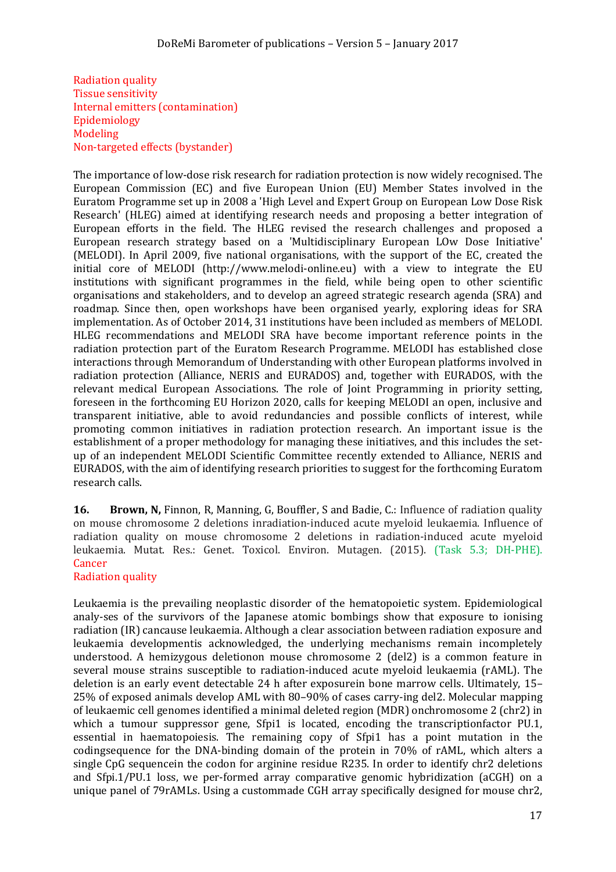Radiation quality Tissue sensitivity Internal emitters (contamination) Epidemiology Modeling Non-targeted effects (bystander)

The importance of low-dose risk research for radiation protection is now widely recognised. The European Commission (EC) and five European Union (EU) Member States involved in the Euratom Programme set up in 2008 a 'High Level and Expert Group on European Low Dose Risk Research' (HLEG) aimed at identifying research needs and proposing a better integration of European efforts in the field. The HLEG revised the research challenges and proposed a European research strategy based on a 'Multidisciplinary European LOw Dose Initiative' (MELODI). In April 2009, five national organisations, with the support of the EC, created the initial core of MELODI (http://www.melodi-online.eu) with a view to integrate the EU institutions with significant programmes in the field, while being open to other scientific organisations and stakeholders, and to develop an agreed strategic research agenda (SRA) and roadmap. Since then, open workshops have been organised yearly, exploring ideas for SRA implementation. As of October 2014, 31 institutions have been included as members of MELODI. HLEG recommendations and MELODI SRA have become important reference points in the radiation protection part of the Euratom Research Programme. MELODI has established close interactions through Memorandum of Understanding with other European platforms involved in radiation protection (Alliance, NERIS and EURADOS) and, together with EURADOS, with the relevant medical European Associations. The role of Joint Programming in priority setting, foreseen in the forthcoming EU Horizon 2020, calls for keeping MELODI an open, inclusive and transparent initiative, able to avoid redundancies and possible conflicts of interest, while promoting common initiatives in radiation protection research. An important issue is the establishment of a proper methodology for managing these initiatives, and this includes the setup of an independent MELODI Scientific Committee recently extended to Alliance, NERIS and EURADOS, with the aim of identifying research priorities to suggest for the forthcoming Euratom research calls.

**16. Brown, N,** Finnon, R, Manning, G, Bouffler, S and Badie, C.: Influence of radiation quality on mouse chromosome 2 deletions inradiation-induced acute myeloid leukaemia. Influence of radiation quality on mouse chromosome 2 deletions in radiation-induced acute myeloid leukaemia. Mutat. Res.: Genet. Toxicol. Environ. Mutagen. (2015). (Task 5.3; DH-PHE). **Cancer** 

Radiation quality

Leukaemia is the prevailing neoplastic disorder of the hematopoietic system. Epidemiological analy-ses of the survivors of the Japanese atomic bombings show that exposure to ionising radiation (IR) cancause leukaemia. Although a clear association between radiation exposure and leukaemia developmentis acknowledged, the underlying mechanisms remain incompletely understood. A hemizygous deletionon mouse chromosome 2 (del2) is a common feature in several mouse strains susceptible to radiation-induced acute myeloid leukaemia (rAML). The deletion is an early event detectable 24 h after exposurein bone marrow cells. Ultimately, 15– 25% of exposed animals develop AML with 80–90% of cases carry-ing del2. Molecular mapping of leukaemic cell genomes identified a minimal deleted region (MDR) onchromosome 2 (chr2) in which a tumour suppressor gene, Sfpi1 is located, encoding the transcriptionfactor PU.1, essential in haematopoiesis. The remaining copy of Sfpi1 has a point mutation in the codingsequence for the DNA-binding domain of the protein in 70% of rAML, which alters a single CpG sequencein the codon for arginine residue R235. In order to identify chr2 deletions and Sfpi.1/PU.1 loss, we per-formed array comparative genomic hybridization (aCGH) on a unique panel of 79rAMLs. Using a custommade CGH array specifically designed for mouse chr2,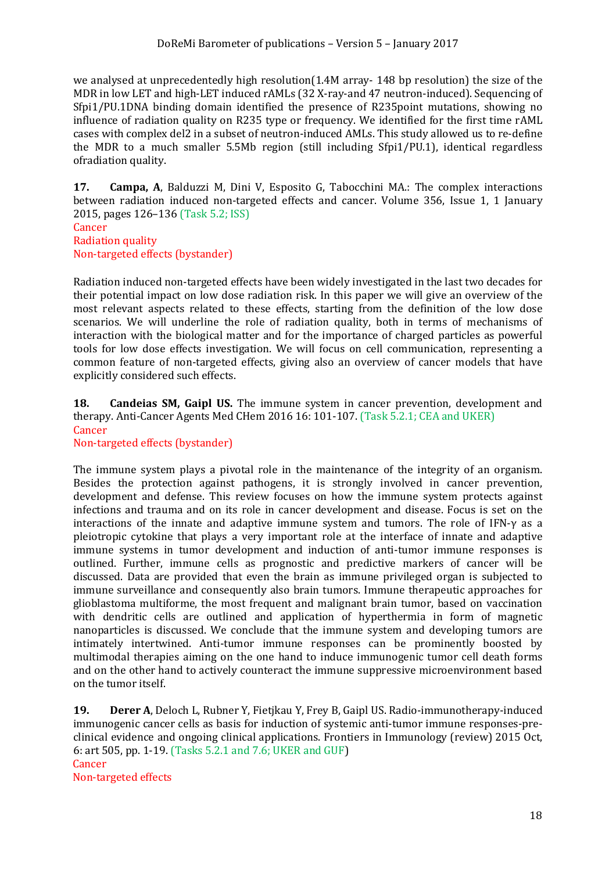we analysed at unprecedentedly high resolution(1.4M array- 148 bp resolution) the size of the MDR in low LET and high-LET induced rAMLs (32 X-ray-and 47 neutron-induced). Sequencing of Sfpi1/PU.1DNA binding domain identified the presence of R235point mutations, showing no influence of radiation quality on R235 type or frequency. We identified for the first time rAML cases with complex del2 in a subset of neutron-induced AMLs. This study allowed us to re-define the MDR to a much smaller 5.5Mb region (still including Sfpi1/PU.1), identical regardless ofradiation quality.

**17. Campa, A**, Balduzzi M, Dini V, Esposito G, Tabocchini MA.: The complex interactions between radiation induced non-targeted effects and cancer. Volume 356, Issue 1, 1 January 2015, pages 126–136 (Task 5.2; ISS)

#### Cancer Radiation quality Non-targeted effects (bystander)

Radiation induced non-targeted effects have been widely investigated in the last two decades for their potential impact on low dose radiation risk. In this paper we will give an overview of the most relevant aspects related to these effects, starting from the definition of the low dose scenarios. We will underline the role of radiation quality, both in terms of mechanisms of interaction with the biological matter and for the importance of charged particles as powerful tools for low dose effects investigation. We will focus on cell communication, representing a common feature of non-targeted effects, giving also an overview of cancer models that have explicitly considered such effects.

**18. Candeias SM, Gaipl US.** The immune system in cancer prevention, development and therapy. Anti-Cancer Agents Med CHem 2016 16: 101-107. (Task 5.2.1; CEA and UKER) Cancer

Non-targeted effects (bystander)

The immune system plays a pivotal role in the maintenance of the integrity of an organism. Besides the protection against pathogens, it is strongly involved in cancer prevention, development and defense. This review focuses on how the immune system protects against infections and trauma and on its role in cancer development and disease. Focus is set on the interactions of the innate and adaptive immune system and tumors. The role of IFN-γ as a pleiotropic cytokine that plays a very important role at the interface of innate and adaptive immune systems in tumor development and induction of anti-tumor immune responses is outlined. Further, immune cells as prognostic and predictive markers of cancer will be discussed. Data are provided that even the brain as immune privileged organ is subjected to immune surveillance and consequently also brain tumors. Immune therapeutic approaches for glioblastoma multiforme, the most frequent and malignant brain tumor, based on vaccination with dendritic cells are outlined and application of hyperthermia in form of magnetic nanoparticles is discussed. We conclude that the immune system and developing tumors are intimately intertwined. Anti-tumor immune responses can be prominently boosted by multimodal therapies aiming on the one hand to induce immunogenic tumor cell death forms and on the other hand to actively counteract the immune suppressive microenvironment based on the tumor itself.

**19. Derer A**, Deloch L, Rubner Y, Fietjkau Y, Frey B, Gaipl US. Radio-immunotherapy-induced immunogenic cancer cells as basis for induction of systemic anti-tumor immune responses-preclinical evidence and ongoing clinical applications. Frontiers in Immunology (review) 2015 Oct, 6: art 505, pp. 1-19. (Tasks 5.2.1 and 7.6; UKER and GUF) Cancer Non-targeted effects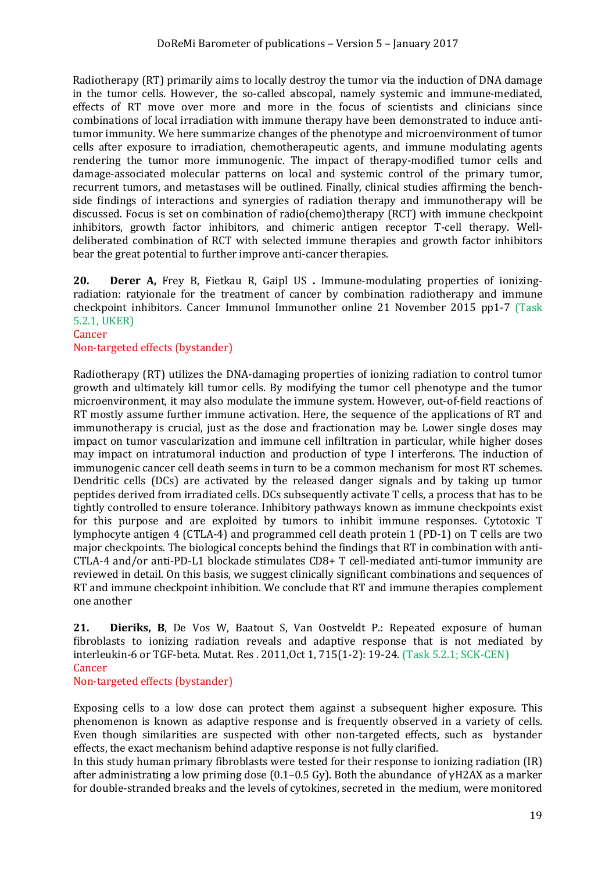Radiotherapy (RT) primarily aims to locally destroy the tumor via the induction of DNA damage in the tumor cells. However, the so-called abscopal, namely systemic and immune-mediated, effects of RT move over more and more in the focus of scientists and clinicians since combinations of local irradiation with immune therapy have been demonstrated to induce antitumor immunity. We here summarize changes of the phenotype and microenvironment of tumor cells after exposure to irradiation, chemotherapeutic agents, and immune modulating agents rendering the tumor more immunogenic. The impact of therapy-modified tumor cells and damage-associated molecular patterns on local and systemic control of the primary tumor, recurrent tumors, and metastases will be outlined. Finally, clinical studies affirming the benchside findings of interactions and synergies of radiation therapy and immunotherapy will be discussed. Focus is set on combination of radio(chemo)therapy (RCT) with immune checkpoint inhibitors, growth factor inhibitors, and chimeric antigen receptor T-cell therapy. Welldeliberated combination of RCT with selected immune therapies and growth factor inhibitors bear the great potential to further improve anti-cancer therapies.

**20. Derer A,** Frey B, Fietkau R, Gaipl US **.** Immune-modulating properties of ionizingradiation: ratyionale for the treatment of cancer by combination radiotherapy and immune checkpoint inhibitors. Cancer Immunol Immunother online 21 November 2015 pp1-7 (Task 5.2.1, UKER)

### **Cancer**

Non-targeted effects (bystander)

Radiotherapy (RT) utilizes the DNA-damaging properties of ionizing radiation to control tumor growth and ultimately kill tumor cells. By modifying the tumor cell phenotype and the tumor microenvironment, it may also modulate the immune system. However, out-of-field reactions of RT mostly assume further immune activation. Here, the sequence of the applications of RT and immunotherapy is crucial, just as the dose and fractionation may be. Lower single doses may impact on tumor vascularization and immune cell infiltration in particular, while higher doses may impact on intratumoral induction and production of type I interferons. The induction of immunogenic cancer cell death seems in turn to be a common mechanism for most RT schemes. Dendritic cells (DCs) are activated by the released danger signals and by taking up tumor peptides derived from irradiated cells. DCs subsequently activate T cells, a process that has to be tightly controlled to ensure tolerance. Inhibitory pathways known as immune checkpoints exist for this purpose and are exploited by tumors to inhibit immune responses. Cytotoxic T lymphocyte antigen 4 (CTLA-4) and programmed cell death protein 1 (PD-1) on T cells are two major checkpoints. The biological concepts behind the findings that RT in combination with anti-CTLA-4 and/or anti-PD-L1 blockade stimulates CD8+ T cell-mediated anti-tumor immunity are reviewed in detail. On this basis, we suggest clinically significant combinations and sequences of RT and immune checkpoint inhibition. We conclude that RT and immune therapies complement one another

**21. Dieriks, B**, De Vos W, Baatout S, Van Oostveldt P.: Repeated exposure of human fibroblasts to ionizing radiation reveals and adaptive response that is not mediated by interleukin-6 or TGF-beta. Mutat. Res . 2011,Oct 1, 715(1-2): 19-24. (Task 5.2.1; SCK-CEN) Cancer

Non-targeted effects (bystander)

Exposing cells to a low dose can protect them against a subsequent higher exposure. This phenomenon is known as adaptive response and is frequently observed in a variety of cells. Even though similarities are suspected with other non-targeted effects, such as bystander effects, the exact mechanism behind adaptive response is not fully clarified.

In this study human primary fibroblasts were tested for their response to ionizing radiation (IR) after administrating a low priming dose (0.1–0.5 Gy). Both the abundance of γH2AX as a marker for double-stranded breaks and the levels of cytokines, secreted in the medium, were monitored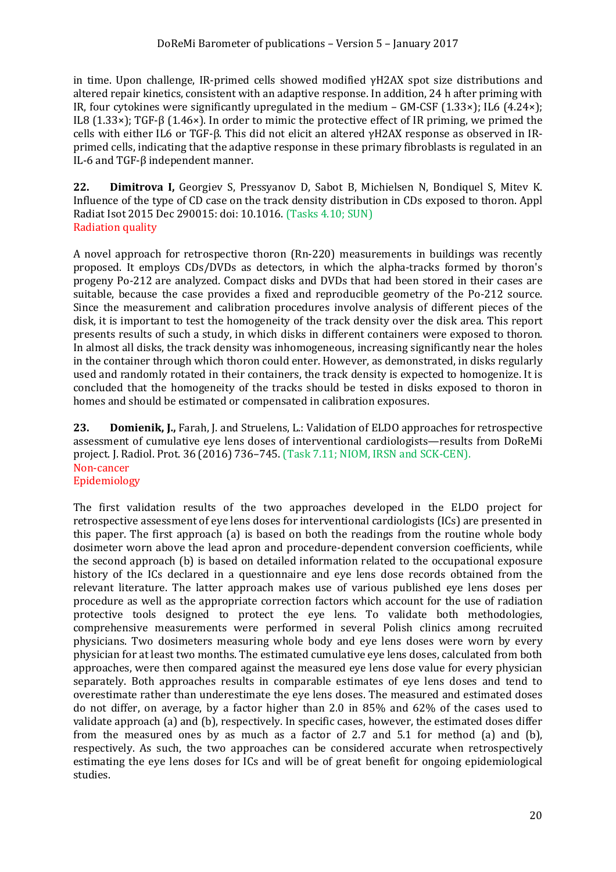in time. Upon challenge, IR-primed cells showed modified γH2AX spot size distributions and altered repair kinetics, consistent with an adaptive response. In addition, 24 h after priming with IR, four cytokines were significantly upregulated in the medium – GM-CSF  $(1.33\times)$ ; IL6  $(4.24\times)$ ; IL8 (1.33×); TGF-β (1.46×). In order to mimic the protective effect of IR priming, we primed the cells with either IL6 or TGF-β. This did not elicit an altered γH2AX response as observed in IRprimed cells, indicating that the adaptive response in these primary fibroblasts is regulated in an IL-6 and TGF-β independent manner.

**22. Dimitrova I,** Georgiev S, Pressyanov D, Sabot B, Michielsen N, Bondiquel S, Mitev K. Influence of the type of CD case on the track density distribution in CDs exposed to thoron. Appl Radiat Isot 2015 Dec 290015: doi: 10.1016. (Tasks 4.10; SUN) Radiation quality

A novel approach for retrospective thoron (Rn-220) measurements in buildings was recently proposed. It employs CDs/DVDs as detectors, in which the alpha-tracks formed by thoron's progeny Po-212 are analyzed. Compact disks and DVDs that had been stored in their cases are suitable, because the case provides a fixed and reproducible geometry of the Po-212 source. Since the measurement and calibration procedures involve analysis of different pieces of the disk, it is important to test the homogeneity of the track density over the disk area. This report presents results of such a study, in which disks in different containers were exposed to thoron. In almost all disks, the track density was inhomogeneous, increasing significantly near the holes in the container through which thoron could enter. However, as demonstrated, in disks regularly used and randomly rotated in their containers, the track density is expected to homogenize. It is concluded that the homogeneity of the tracks should be tested in disks exposed to thoron in homes and should be estimated or compensated in calibration exposures.

**23. Domienik, J.,** Farah, J. and Struelens, L.: Validation of ELDO approaches for retrospective assessment of cumulative eye lens doses of interventional cardiologists—results from DoReMi project. J. Radiol. Prot. 36 (2016) 736–745. (Task 7.11; NIOM, IRSN and SCK-CEN). Non-cancer

Epidemiology

The first validation results of the two approaches developed in the ELDO project for retrospective assessment of eye lens doses for interventional cardiologists (ICs) are presented in this paper. The first approach (a) is based on both the readings from the routine whole body dosimeter worn above the lead apron and procedure-dependent conversion coefficients, while the second approach (b) is based on detailed information related to the occupational exposure history of the ICs declared in a questionnaire and eye lens dose records obtained from the relevant literature. The latter approach makes use of various published eye lens doses per procedure as well as the appropriate correction factors which account for the use of radiation protective tools designed to protect the eye lens. To validate both methodologies, comprehensive measurements were performed in several Polish clinics among recruited physicians. Two dosimeters measuring whole body and eye lens doses were worn by every physician for at least two months. The estimated cumulative eye lens doses, calculated from both approaches, were then compared against the measured eye lens dose value for every physician separately. Both approaches results in comparable estimates of eye lens doses and tend to overestimate rather than underestimate the eye lens doses. The measured and estimated doses do not differ, on average, by a factor higher than 2.0 in 85% and 62% of the cases used to validate approach (a) and (b), respectively. In specific cases, however, the estimated doses differ from the measured ones by as much as a factor of 2.7 and 5.1 for method (a) and (b), respectively. As such, the two approaches can be considered accurate when retrospectively estimating the eye lens doses for ICs and will be of great benefit for ongoing epidemiological studies.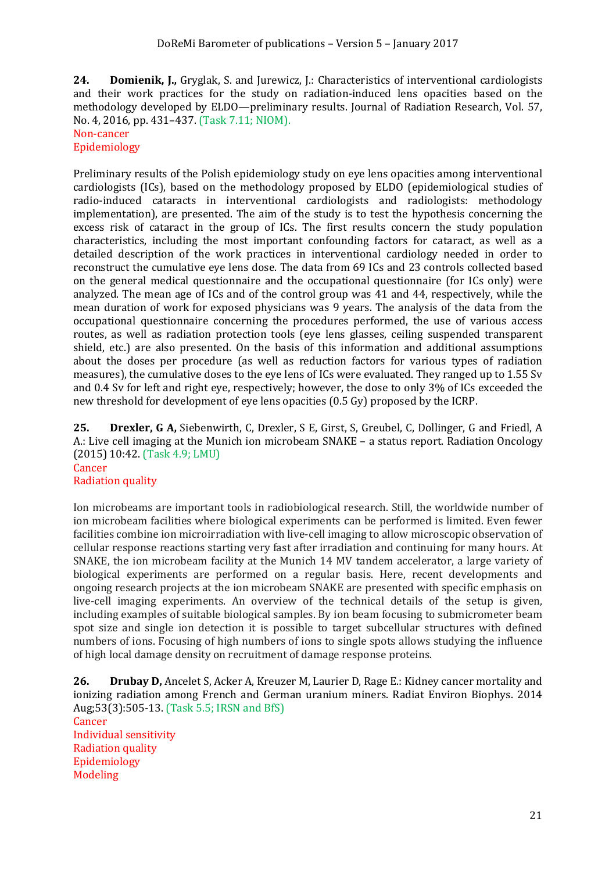**24. Domienik, J.,** Gryglak, S. and Jurewicz, J.: Characteristics of interventional cardiologists and their work practices for the study on radiation-induced lens opacities based on the methodology developed by ELDO—preliminary results. Journal of Radiation Research, Vol. 57, No. 4, 2016, pp. 431–437. (Task 7.11; NIOM).

#### Non-cancer Epidemiology

Preliminary results of the Polish epidemiology study on eye lens opacities among interventional cardiologists (ICs), based on the methodology proposed by ELDO (epidemiological studies of radio-induced cataracts in interventional cardiologists and radiologists: methodology implementation), are presented. The aim of the study is to test the hypothesis concerning the excess risk of cataract in the group of ICs. The first results concern the study population characteristics, including the most important confounding factors for cataract, as well as a detailed description of the work practices in interventional cardiology needed in order to reconstruct the cumulative eye lens dose. The data from 69 ICs and 23 controls collected based on the general medical questionnaire and the occupational questionnaire (for ICs only) were analyzed. The mean age of ICs and of the control group was 41 and 44, respectively, while the mean duration of work for exposed physicians was 9 years. The analysis of the data from the occupational questionnaire concerning the procedures performed, the use of various access routes, as well as radiation protection tools (eye lens glasses, ceiling suspended transparent shield, etc.) are also presented. On the basis of this information and additional assumptions about the doses per procedure (as well as reduction factors for various types of radiation measures), the cumulative doses to the eye lens of ICs were evaluated. They ranged up to 1.55 Sv and 0.4 Sv for left and right eye, respectively; however, the dose to only 3% of ICs exceeded the new threshold for development of eye lens opacities (0.5 Gy) proposed by the ICRP.

**25. Drexler, G A,** Siebenwirth, C, Drexler, S E, Girst, S, Greubel, C, Dollinger, G and Friedl, A A.: Live cell imaging at the Munich ion microbeam SNAKE – a status report. Radiation Oncology (2015) 10:42. (Task 4.9; LMU) Cancer

Radiation quality

Ion microbeams are important tools in radiobiological research. Still, the worldwide number of ion microbeam facilities where biological experiments can be performed is limited. Even fewer facilities combine ion microirradiation with live-cell imaging to allow microscopic observation of cellular response reactions starting very fast after irradiation and continuing for many hours. At SNAKE, the ion microbeam facility at the Munich 14 MV tandem accelerator, a large variety of biological experiments are performed on a regular basis. Here, recent developments and ongoing research projects at the ion microbeam SNAKE are presented with specific emphasis on live-cell imaging experiments. An overview of the technical details of the setup is given, including examples of suitable biological samples. By ion beam focusing to submicrometer beam spot size and single ion detection it is possible to target subcellular structures with defined numbers of ions. Focusing of high numbers of ions to single spots allows studying the influence of high local damage density on recruitment of damage response proteins.

**26. Drubay D,** Ancelet S, Acker A, Kreuzer M, Laurier D, Rage E.: Kidney cancer mortality and ionizing radiation among French and German uranium miners. Radiat Environ Biophys. 2014 Aug;53(3):505-13. (Task 5.5; IRSN and BfS)

Cancer Individual sensitivity Radiation quality Epidemiology Modeling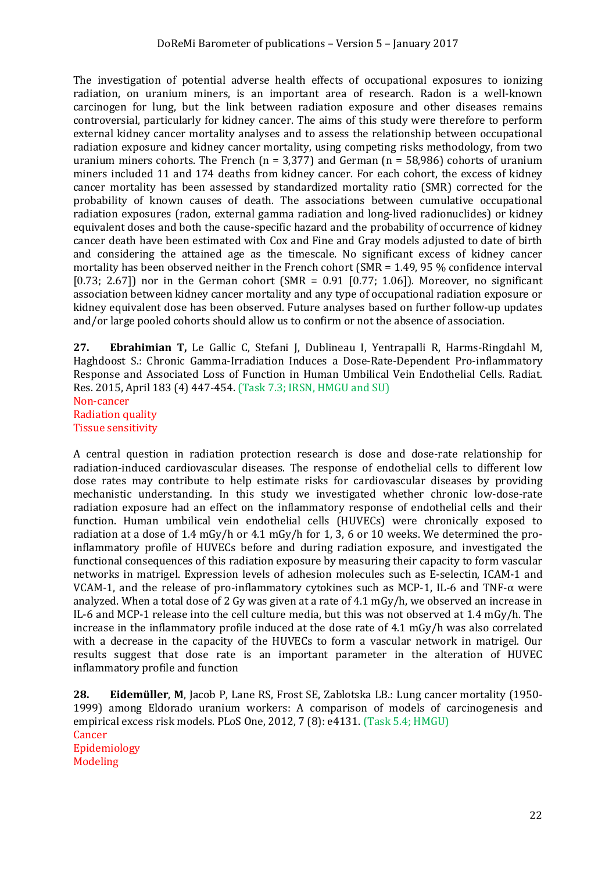The investigation of potential adverse health effects of occupational exposures to ionizing radiation, on uranium miners, is an important area of research. Radon is a well-known carcinogen for lung, but the link between radiation exposure and other diseases remains controversial, particularly for kidney cancer. The aims of this study were therefore to perform external kidney cancer mortality analyses and to assess the relationship between occupational radiation exposure and kidney cancer mortality, using competing risks methodology, from two uranium miners cohorts. The French ( $n = 3.377$ ) and German ( $n = 58.986$ ) cohorts of uranium miners included 11 and 174 deaths from kidney cancer. For each cohort, the excess of kidney cancer mortality has been assessed by standardized mortality ratio (SMR) corrected for the probability of known causes of death. The associations between cumulative occupational radiation exposures (radon, external gamma radiation and long-lived radionuclides) or kidney equivalent doses and both the cause-specific hazard and the probability of occurrence of kidney cancer death have been estimated with Cox and Fine and Gray models adjusted to date of birth and considering the attained age as the timescale. No significant excess of kidney cancer mortality has been observed neither in the French cohort (SMR = 1.49, 95 % confidence interval [0.73; 2.67]) nor in the German cohort (SMR =  $0.91$  [0.77; 1.06]). Moreover, no significant association between kidney cancer mortality and any type of occupational radiation exposure or kidney equivalent dose has been observed. Future analyses based on further follow-up updates and/or large pooled cohorts should allow us to confirm or not the absence of association.

**27. Ebrahimian T,** Le Gallic C, Stefani J, Dublineau I, Yentrapalli R, Harms-Ringdahl M, Haghdoost S.: Chronic Gamma-Irradiation Induces a Dose-Rate-Dependent Pro-inflammatory Response and Associated Loss of Function in Human Umbilical Vein Endothelial Cells. Radiat. Res. 2015, April 183 (4) 447-454. (Task 7.3; IRSN, HMGU and SU) Non-cancer Radiation quality Tissue sensitivity

A central question in radiation protection research is dose and dose-rate relationship for radiation-induced cardiovascular diseases. The response of endothelial cells to different low dose rates may contribute to help estimate risks for cardiovascular diseases by providing mechanistic understanding. In this study we investigated whether chronic low-dose-rate radiation exposure had an effect on the inflammatory response of endothelial cells and their function. Human umbilical vein endothelial cells (HUVECs) were chronically exposed to radiation at a dose of 1.4 mGy/h or 4.1 mGy/h for 1, 3, 6 or 10 weeks. We determined the proinflammatory profile of HUVECs before and during radiation exposure, and investigated the functional consequences of this radiation exposure by measuring their capacity to form vascular networks in matrigel. Expression levels of adhesion molecules such as E-selectin, ICAM-1 and VCAM-1, and the release of pro-inflammatory cytokines such as MCP-1, IL-6 and TNF-α were analyzed. When a total dose of 2 Gy was given at a rate of 4.1 mGy/h, we observed an increase in IL-6 and MCP-1 release into the cell culture media, but this was not observed at 1.4 mGy/h. The increase in the inflammatory profile induced at the dose rate of 4.1 mGy/h was also correlated with a decrease in the capacity of the HUVECs to form a vascular network in matrigel. Our results suggest that dose rate is an important parameter in the alteration of HUVEC inflammatory profile and function

**28. Eidemüller**, **M**, Jacob P, Lane RS, Frost SE, Zablotska LB.: Lung cancer mortality (1950- 1999) among Eldorado uranium workers: A comparison of models of carcinogenesis and empirical excess risk models. PLoS One, 2012, 7 (8): e4131. (Task 5.4; HMGU) **Cancer** Epidemiology Modeling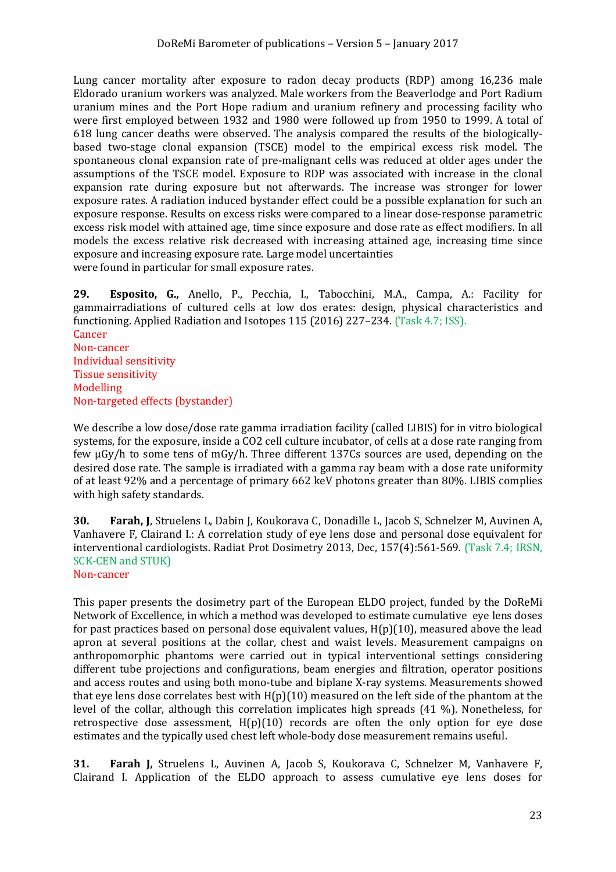Lung cancer mortality after exposure to radon decay products (RDP) among 16,236 male Eldorado uranium workers was analyzed. Male workers from the Beaverlodge and Port Radium uranium mines and the Port Hope radium and uranium refinery and processing facility who were first employed between 1932 and 1980 were followed up from 1950 to 1999. A total of 618 lung cancer deaths were observed. The analysis compared the results of the biologicallybased two-stage clonal expansion (TSCE) model to the empirical excess risk model. The spontaneous clonal expansion rate of pre-malignant cells was reduced at older ages under the assumptions of the TSCE model. Exposure to RDP was associated with increase in the clonal expansion rate during exposure but not afterwards. The increase was stronger for lower exposure rates. A radiation induced bystander effect could be a possible explanation for such an exposure response. Results on excess risks were compared to a linear dose-response parametric excess risk model with attained age, time since exposure and dose rate as effect modifiers. In all models the excess relative risk decreased with increasing attained age, increasing time since exposure and increasing exposure rate. Large model uncertainties were found in particular for small exposure rates.

**29. Esposito, G.,** Anello, P., Pecchia, I., Tabocchini, M.A., Campa, A.: Facility for gammairradiations of cultured cells at low dos erates: design, physical characteristics and functioning. Applied Radiation and Isotopes 115 (2016) 227–234. (Task 4.7; ISS).

Cancer Non-cancer Individual sensitivity Tissue sensitivity Modelling Non-targeted effects (bystander)

We describe a low dose/dose rate gamma irradiation facility (called LIBIS) for in vitro biological systems, for the exposure, inside a CO2 cell culture incubator, of cells at a dose rate ranging from few μGy/h to some tens of mGy/h. Three different 137Cs sources are used, depending on the desired dose rate. The sample is irradiated with a gamma ray beam with a dose rate uniformity of at least 92% and a percentage of primary 662 keV photons greater than 80%. LIBIS complies with high safety standards.

**30. Farah, J**, Struelens L, Dabin J, Koukorava C, Donadille L, Jacob S, Schnelzer M, Auvinen A, Vanhavere F, Clairand I.: A correlation study of eye lens dose and personal dose equivalent for interventional cardiologists. Radiat Prot Dosimetry 2013, Dec, 157(4):561-569. (Task 7.4; IRSN, SCK-CEN and STUK) Non-cancer

This paper presents the dosimetry part of the European ELDO project, funded by the DoReMi Network of Excellence, in which a method was developed to estimate cumulative eye lens doses for past practices based on personal dose equivalent values,  $H(p)(10)$ , measured above the lead apron at several positions at the collar, chest and waist levels. Measurement campaigns on anthropomorphic phantoms were carried out in typical interventional settings considering different tube projections and configurations, beam energies and filtration, operator positions and access routes and using both mono-tube and biplane X-ray systems. Measurements showed that eye lens dose correlates best with  $H(p)(10)$  measured on the left side of the phantom at the level of the collar, although this correlation implicates high spreads (41 %). Nonetheless, for retrospective dose assessment,  $H(p)(10)$  records are often the only option for eye dose estimates and the typically used chest left whole-body dose measurement remains useful.

**31. Farah J,** Struelens L, Auvinen A, Jacob S, Koukorava C, Schnelzer M, Vanhavere F, Clairand I. Application of the ELDO approach to assess cumulative eye lens doses for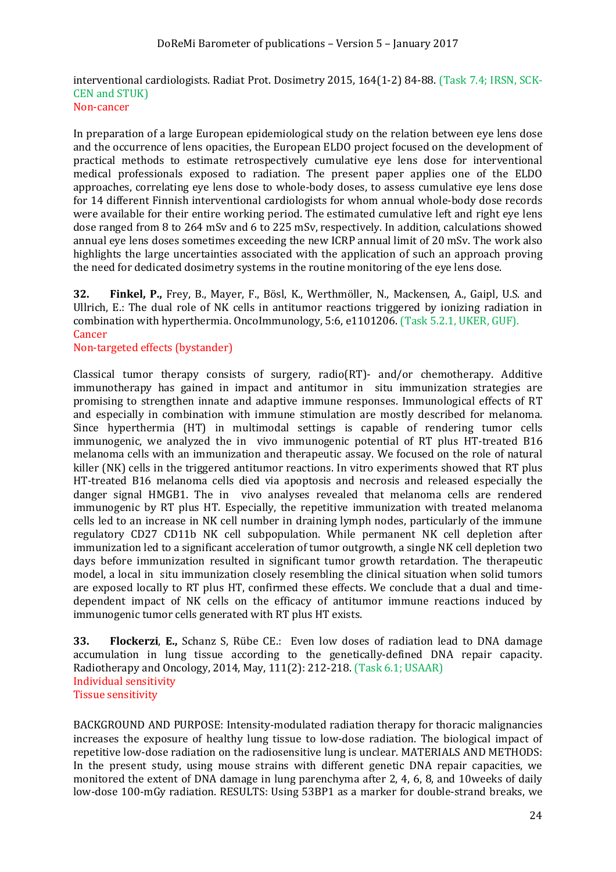interventional cardiologists. Radiat Prot. Dosimetry 2015, 164(1-2) 84-88. (Task 7.4; IRSN, SCK-CEN and STUK) Non-cancer

In preparation of a large European epidemiological study on the relation between eye lens dose and the occurrence of lens opacities, the European ELDO project focused on the development of practical methods to estimate retrospectively cumulative eye lens dose for interventional medical professionals exposed to radiation. The present paper applies one of the ELDO approaches, correlating eye lens dose to whole-body doses, to assess cumulative eye lens dose for 14 different Finnish interventional cardiologists for whom annual whole-body dose records were available for their entire working period. The estimated cumulative left and right eye lens dose ranged from 8 to 264 mSv and 6 to 225 mSv, respectively. In addition, calculations showed annual eye lens doses sometimes exceeding the new ICRP annual limit of 20 mSv. The work also highlights the large uncertainties associated with the application of such an approach proving the need for dedicated dosimetry systems in the routine monitoring of the eye lens dose.

**32. Finkel, P.,** Frey, B., Mayer, F., Bösl, K., Werthmöller, N., Mackensen, A., Gaipl, U.S. and Ullrich, E.: The dual role of NK cells in antitumor reactions triggered by ionizing radiation in combination with hyperthermia. OncoImmunology, 5:6, e1101206. (Task 5.2.1, UKER, GUF). Cancer

Non-targeted effects (bystander)

Classical tumor therapy consists of surgery, radio(RT)- and/or chemotherapy. Additive immunotherapy has gained in impact and antitumor in situ immunization strategies are promising to strengthen innate and adaptive immune responses. Immunological effects of RT and especially in combination with immune stimulation are mostly described for melanoma. Since hyperthermia (HT) in multimodal settings is capable of rendering tumor cells immunogenic, we analyzed the in vivo immunogenic potential of RT plus HT-treated B16 melanoma cells with an immunization and therapeutic assay. We focused on the role of natural killer (NK) cells in the triggered antitumor reactions. In vitro experiments showed that RT plus HT-treated B16 melanoma cells died via apoptosis and necrosis and released especially the danger signal HMGB1. The in vivo analyses revealed that melanoma cells are rendered immunogenic by RT plus HT. Especially, the repetitive immunization with treated melanoma cells led to an increase in NK cell number in draining lymph nodes, particularly of the immune regulatory CD27 CD11b NK cell subpopulation. While permanent NK cell depletion after immunization led to a significant acceleration of tumor outgrowth, a single NK cell depletion two days before immunization resulted in significant tumor growth retardation. The therapeutic model, a local in situ immunization closely resembling the clinical situation when solid tumors are exposed locally to RT plus HT, confirmed these effects. We conclude that a dual and timedependent impact of NK cells on the efficacy of antitumor immune reactions induced by immunogenic tumor cells generated with RT plus HT exists.

**33. Flockerzi**, **E.,** Schanz S, Rübe CE.:Even low doses of radiation lead to DNA damage accumulation in lung tissue according to the genetically-defined DNA repair capacity. Radiotherapy and Oncology, 2014, May, 111(2): 212-218. (Task 6.1; USAAR) Individual sensitivity Tissue sensitivity

BACKGROUND AND PURPOSE: Intensity-modulated radiation therapy for thoracic malignancies increases the exposure of healthy lung tissue to low-dose radiation. The biological impact of repetitive low-dose radiation on the radiosensitive lung is unclear. MATERIALS AND METHODS: In the present study, using mouse strains with different genetic DNA repair capacities, we monitored the extent of DNA damage in lung parenchyma after 2, 4, 6, 8, and 10weeks of daily low-dose 100-mGy radiation. RESULTS: Using 53BP1 as a marker for double-strand breaks, we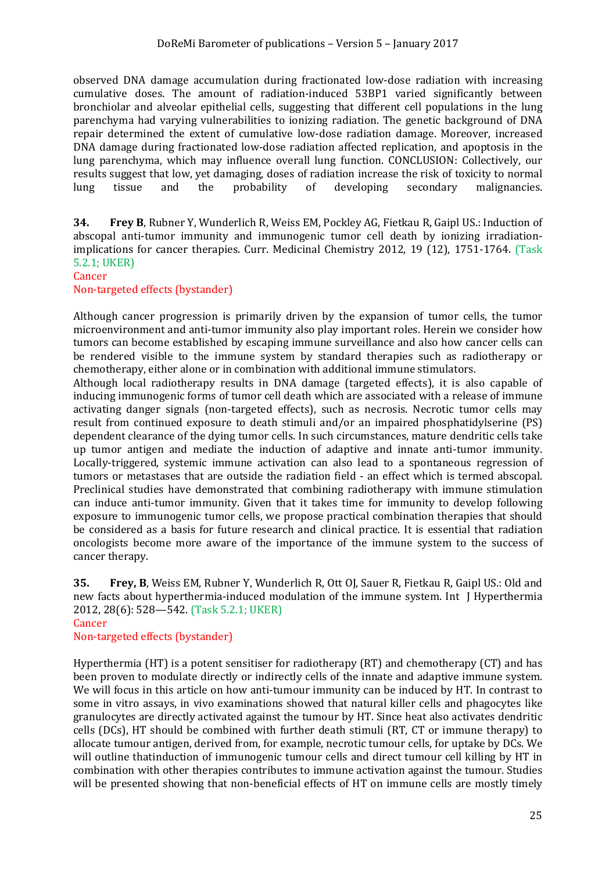observed DNA damage accumulation during fractionated low-dose radiation with increasing cumulative doses. The amount of radiation-induced 53BP1 varied significantly between bronchiolar and alveolar epithelial cells, suggesting that different cell populations in the lung parenchyma had varying vulnerabilities to ionizing radiation. The genetic background of DNA repair determined the extent of cumulative low-dose radiation damage. Moreover, increased DNA damage during fractionated low-dose radiation affected replication, and apoptosis in the lung parenchyma, which may influence overall lung function. CONCLUSION: Collectively, our results suggest that low, yet damaging, doses of radiation increase the risk of toxicity to normal<br>lung tissue and the probability of developing secondary malignancies. lung tissue and the probability of developing secondary malignancies.

**34. Frey B**, Rubner Y, Wunderlich R, Weiss EM, Pockley AG, Fietkau R, Gaipl US.: Induction of abscopal anti-tumor immunity and immunogenic tumor cell death by ionizing irradiationimplications for cancer therapies. Curr. Medicinal Chemistry 2012, 19 (12), 1751-1764. (Task 5.2.1; UKER)

#### Cancer

Non-targeted effects (bystander)

Although cancer progression is primarily driven by the expansion of tumor cells, the tumor microenvironment and anti-tumor immunity also play important roles. Herein we consider how tumors can become established by escaping immune surveillance and also how cancer cells can be rendered visible to the immune system by standard therapies such as radiotherapy or chemotherapy, either alone or in combination with additional immune stimulators.

Although local radiotherapy results in DNA damage (targeted effects), it is also capable of inducing immunogenic forms of tumor cell death which are associated with a release of immune activating danger signals (non-targeted effects), such as necrosis. Necrotic tumor cells may result from continued exposure to death stimuli and/or an impaired phosphatidylserine (PS) dependent clearance of the dying tumor cells. In such circumstances, mature dendritic cells take up tumor antigen and mediate the induction of adaptive and innate anti-tumor immunity. Locally-triggered, systemic immune activation can also lead to a spontaneous regression of tumors or metastases that are outside the radiation field - an effect which is termed abscopal. Preclinical studies have demonstrated that combining radiotherapy with immune stimulation can induce anti-tumor immunity. Given that it takes time for immunity to develop following exposure to immunogenic tumor cells, we propose practical combination therapies that should be considered as a basis for future research and clinical practice. It is essential that radiation oncologists become more aware of the importance of the immune system to the success of cancer therapy.

**35. Frey, B**, Weiss EM, Rubner Y, Wunderlich R, Ott OJ, Sauer R, Fietkau R, Gaipl US.: Old and new facts about hyperthermia-induced modulation of the immune system. Int J Hyperthermia 2012, 28(6): 528—542. (Task 5.2.1; UKER)

#### Cancer

Non-targeted effects (bystander)

Hyperthermia (HT) is a potent sensitiser for radiotherapy (RT) and chemotherapy (CT) and has been proven to modulate directly or indirectly cells of the innate and adaptive immune system. We will focus in this article on how anti-tumour immunity can be induced by HT. In contrast to some in vitro assays, in vivo examinations showed that natural killer cells and phagocytes like granulocytes are directly activated against the tumour by HT. Since heat also activates dendritic cells (DCs), HT should be combined with further death stimuli (RT, CT or immune therapy) to allocate tumour antigen, derived from, for example, necrotic tumour cells, for uptake by DCs. We will outline thatinduction of immunogenic tumour cells and direct tumour cell killing by HT in combination with other therapies contributes to immune activation against the tumour. Studies will be presented showing that non-beneficial effects of HT on immune cells are mostly timely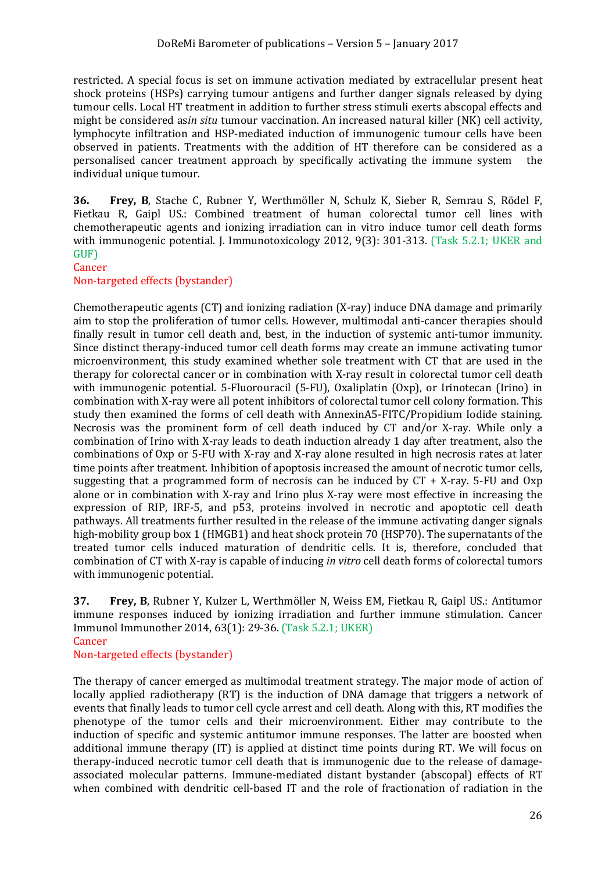restricted. A special focus is set on immune activation mediated by extracellular present heat shock proteins (HSPs) carrying tumour antigens and further danger signals released by dying tumour cells. Local HT treatment in addition to further stress stimuli exerts abscopal effects and might be considered as*in situ* tumour vaccination. An increased natural killer (NK) cell activity, lymphocyte infiltration and HSP-mediated induction of immunogenic tumour cells have been observed in patients. Treatments with the addition of HT therefore can be considered as a personalised cancer treatment approach by specifically activating the immune system the personalised cancer treatment approach by specifically activating the immune system the individual unique tumour.

**36. Frey, B**, Stache C, Rubner Y, Werthmöller N, Schulz K, Sieber R, Semrau S, Rödel F, Fietkau R, Gaipl US.: Combined treatment of human colorectal tumor cell lines with chemotherapeutic agents and ionizing irradiation can in vitro induce tumor cell death forms with immunogenic potential. J. Immunotoxicology 2012, 9(3): 301-313. (Task 5.2.1; UKER and GUF)

#### **Cancer**

Non-targeted effects (bystander)

Chemotherapeutic agents (CT) and ionizing radiation (X-ray) induce DNA damage and primarily aim to stop the proliferation of tumor cells. However, multimodal anti-cancer therapies should finally result in tumor cell death and, best, in the induction of systemic anti-tumor immunity. Since distinct therapy-induced tumor cell death forms may create an immune activating tumor microenvironment, this study examined whether sole treatment with CT that are used in the therapy for colorectal cancer or in combination with X-ray result in colorectal tumor cell death with immunogenic potential. 5-Fluorouracil (5-FU), Oxaliplatin (Oxp), or Irinotecan (Irino) in combination with X-ray were all potent inhibitors of colorectal tumor cell colony formation. This study then examined the forms of cell death with AnnexinA5-FITC/Propidium Iodide staining. Necrosis was the prominent form of cell death induced by CT and/or X-ray. While only a combination of Irino with X-ray leads to death induction already 1 day after treatment, also the combinations of Oxp or 5-FU with X-ray and X-ray alone resulted in high necrosis rates at later time points after treatment. Inhibition of apoptosis increased the amount of necrotic tumor cells, suggesting that a programmed form of necrosis can be induced by  $CT + X-ray$ . 5-FU and Oxp alone or in combination with X-ray and Irino plus X-ray were most effective in increasing the expression of RIP, IRF-5, and p53, proteins involved in necrotic and apoptotic cell death pathways. All treatments further resulted in the release of the immune activating danger signals high-mobility group box 1 (HMGB1) and heat shock protein 70 (HSP70). The supernatants of the treated tumor cells induced maturation of dendritic cells. It is, therefore, concluded that combination of CT with X-ray is capable of inducing *in vitro* cell death forms of colorectal tumors with immunogenic potential.

**37. Frey, B**, Rubner Y, Kulzer L, Werthmöller N, Weiss EM, Fietkau R, Gaipl US.: Antitumor immune responses induced by ionizing irradiation and further immune stimulation. Cancer Immunol Immunother 2014, 63(1): 29-36. (Task 5.2.1; UKER) **Cancer** 

Non-targeted effects (bystander)

The therapy of cancer emerged as multimodal treatment strategy. The major mode of action of locally applied radiotherapy (RT) is the induction of DNA damage that triggers a network of events that finally leads to tumor cell cycle arrest and cell death. Along with this, RT modifies the phenotype of the tumor cells and their microenvironment. Either may contribute to the induction of specific and systemic antitumor immune responses. The latter are boosted when additional immune therapy (IT) is applied at distinct time points during RT. We will focus on therapy-induced necrotic tumor cell death that is immunogenic due to the release of damageassociated molecular patterns. Immune-mediated distant bystander (abscopal) effects of RT when combined with dendritic cell-based IT and the role of fractionation of radiation in the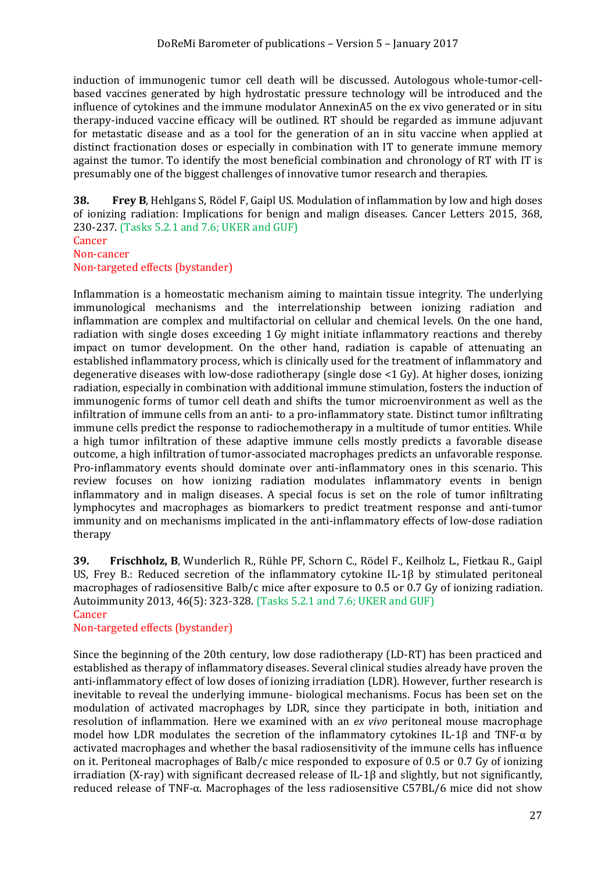induction of immunogenic tumor cell death will be discussed. Autologous whole-tumor-cellbased vaccines generated by high hydrostatic pressure technology will be introduced and the influence of cytokines and the immune modulator AnnexinA5 on the ex vivo generated or in situ therapy-induced vaccine efficacy will be outlined. RT should be regarded as immune adjuvant for metastatic disease and as a tool for the generation of an in situ vaccine when applied at distinct fractionation doses or especially in combination with IT to generate immune memory against the tumor. To identify the most beneficial combination and chronology of RT with IT is presumably one of the biggest challenges of innovative tumor research and therapies.

**38. Frey B**, Hehlgans S, Rödel F, Gaipl US. Modulation of inflammation by low and high doses of ionizing radiation: Implications for benign and malign diseases. Cancer Letters 2015, 368, 230-237. (Tasks 5.2.1 and 7.6; UKER and GUF) Cancer Non-cancer

Non-targeted effects (bystander)

Inflammation is a homeostatic mechanism aiming to maintain tissue integrity. The underlying immunological mechanisms and the interrelationship between ionizing radiation and inflammation are complex and multifactorial on cellular and chemical levels. On the one hand, radiation with single doses exceeding 1 Gy might initiate inflammatory reactions and thereby impact on tumor development. On the other hand, radiation is capable of attenuating an established inflammatory process, which is clinically used for the treatment of inflammatory and degenerative diseases with low-dose radiotherapy (single dose <1 Gy). At higher doses, ionizing radiation, especially in combination with additional immune stimulation, fosters the induction of immunogenic forms of tumor cell death and shifts the tumor microenvironment as well as the infiltration of immune cells from an anti- to a pro-inflammatory state. Distinct tumor infiltrating immune cells predict the response to radiochemotherapy in a multitude of tumor entities. While a high tumor infiltration of these adaptive immune cells mostly predicts a favorable disease outcome, a high infiltration of tumor-associated macrophages predicts an unfavorable response. Pro-inflammatory events should dominate over anti-inflammatory ones in this scenario. This review focuses on how ionizing radiation modulates inflammatory events in benign inflammatory and in malign diseases. A special focus is set on the role of tumor infiltrating lymphocytes and macrophages as biomarkers to predict treatment response and anti-tumor immunity and on mechanisms implicated in the anti-inflammatory effects of low-dose radiation therapy

**39. Frischholz, B**, Wunderlich R., Rühle PF, Schorn C., Rödel F., Keilholz L., Fietkau R., Gaipl US, Frey B.: Reduced secretion of the inflammatory cytokine IL-1β by stimulated peritoneal macrophages of radiosensitive Balb/c mice after exposure to 0.5 or 0.7 Gy of ionizing radiation. Autoimmunity 2013, 46(5): 323-328. (Tasks 5.2.1 and 7.6; UKER and GUF) Cancer

Non-targeted effects (bystander)

Since the beginning of the 20th century, low dose radiotherapy (LD-RT) has been practiced and established as therapy of inflammatory diseases. Several clinical studies already have proven the anti-inflammatory effect of low doses of ionizing irradiation (LDR). However, further research is inevitable to reveal the underlying immune- biological mechanisms. Focus has been set on the modulation of activated macrophages by LDR, since they participate in both, initiation and resolution of inflammation. Here we examined with an *ex vivo* peritoneal mouse macrophage model how LDR modulates the secretion of the inflammatory cytokines IL-1β and TNF- $\alpha$  by activated macrophages and whether the basal radiosensitivity of the immune cells has influence on it. Peritoneal macrophages of Balb/c mice responded to exposure of 0.5 or 0.7 Gy of ionizing irradiation (X-ray) with significant decreased release of IL-1β and slightly, but not significantly, reduced release of TNF-α. Macrophages of the less radiosensitive C57BL/6 mice did not show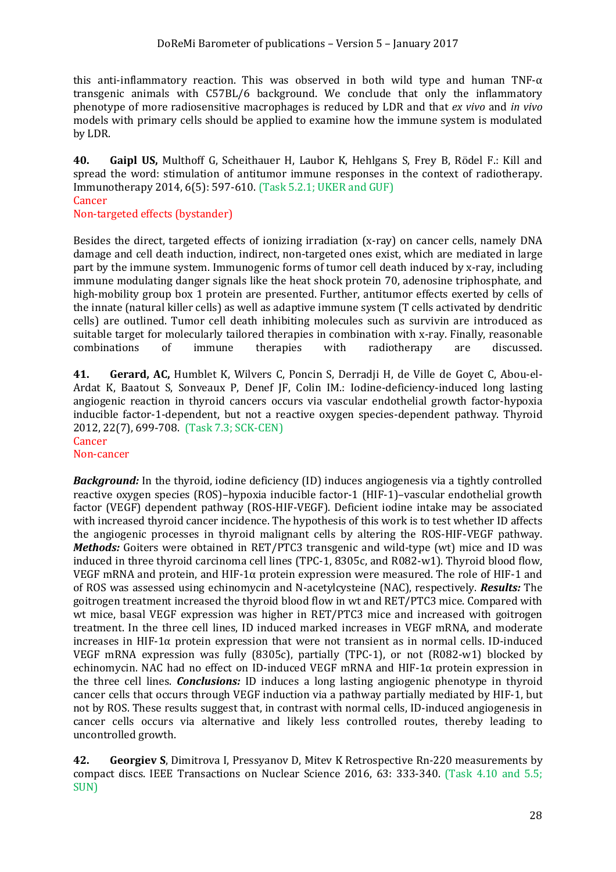this anti-inflammatory reaction. This was observed in both wild type and human TNF- $\alpha$ transgenic animals with C57BL/6 background. We conclude that only the inflammatory phenotype of more radiosensitive macrophages is reduced by LDR and that *ex vivo* and *in vivo* models with primary cells should be applied to examine how the immune system is modulated by LDR.

**40. Gaipl US,** Multhoff G, Scheithauer H, Laubor K, Hehlgans S, Frey B, Rödel F.: Kill and spread the word: stimulation of antitumor immune responses in the context of radiotherapy. Immunotherapy 2014, 6(5): 597-610. (Task 5.2.1; UKER and GUF) **Cancer** 

Non-targeted effects (bystander)

Besides the direct, targeted effects of ionizing irradiation (x-ray) on cancer cells, namely DNA damage and cell death induction, indirect, non-targeted ones exist, which are mediated in large part by the immune system. Immunogenic forms of tumor cell death induced by x-ray, including immune modulating danger signals like the heat shock protein 70, adenosine triphosphate, and high-mobility group box 1 protein are presented. Further, antitumor effects exerted by cells of the innate (natural killer cells) as well as adaptive immune system (T cells activated by dendritic cells) are outlined. Tumor cell death inhibiting molecules such as survivin are introduced as suitable target for molecularly tailored therapies in combination with x-ray. Finally, reasonable<br>combinations of immune therapies with radiotherapy are discussed. combinations of immune therapies with radiotherapy are discussed.

**41. Gerard, AC,** Humblet K, Wilvers C, Poncin S, Derradji H, de Ville de Goyet C, Abou-el-Ardat K, Baatout S, Sonveaux P, Denef JF, Colin IM.: Iodine-deficiency-induced long lasting angiogenic reaction in thyroid cancers occurs via vascular endothelial growth factor-hypoxia inducible factor-1-dependent, but not a reactive oxygen species-dependent pathway. Thyroid 2012, 22(7), 699-708. (Task 7.3; SCK-CEN)

**Cancer** Non-cancer

**Background:** In the thyroid, iodine deficiency (ID) induces angiogenesis via a tightly controlled reactive oxygen species (ROS)–hypoxia inducible factor-1 (HIF-1)–vascular endothelial growth factor (VEGF) dependent pathway (ROS-HIF-VEGF). Deficient iodine intake may be associated with increased thyroid cancer incidence. The hypothesis of this work is to test whether ID affects the angiogenic processes in thyroid malignant cells by altering the ROS-HIF-VEGF pathway. *Methods:* Goiters were obtained in RET/PTC3 transgenic and wild-type (wt) mice and ID was induced in three thyroid carcinoma cell lines (TPC-1, 8305c, and R082-w1). Thyroid blood flow, VEGF mRNA and protein, and HIF-1 $\alpha$  protein expression were measured. The role of HIF-1 and of ROS was assessed using echinomycin and N-acetylcysteine (NAC), respectively. *Results:* The goitrogen treatment increased the thyroid blood flow in wt and RET/PTC3 mice. Compared with wt mice, basal VEGF expression was higher in RET/PTC3 mice and increased with goitrogen treatment. In the three cell lines, ID induced marked increases in VEGF mRNA, and moderate increases in HIF-1 $\alpha$  protein expression that were not transient as in normal cells. ID-induced VEGF mRNA expression was fully (8305c), partially (TPC-1), or not (R082-w1) blocked by echinomycin. NAC had no effect on ID-induced VEGF mRNA and HIF-1 $\alpha$  protein expression in the three cell lines. *Conclusions:* ID induces a long lasting angiogenic phenotype in thyroid cancer cells that occurs through VEGF induction via a pathway partially mediated by HIF-1, but not by ROS. These results suggest that, in contrast with normal cells, ID-induced angiogenesis in cancer cells occurs via alternative and likely less controlled routes, thereby leading to uncontrolled growth.

**42. Georgiev S**, Dimitrova I, Pressyanov D, Mitev K Retrospective Rn-220 measurements by compact discs. IEEE Transactions on Nuclear Science 2016, 63: 333-340. (Task 4.10 and 5.5; SUN)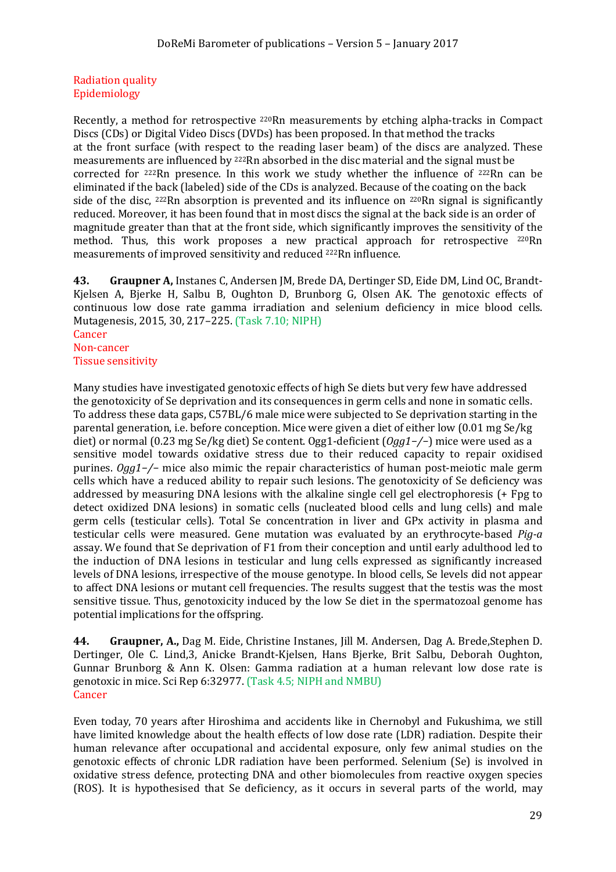Radiation quality Epidemiology

Recently, a method for retrospective 220Rn measurements by etching alpha-tracks in Compact Discs (CDs) or Digital Video Discs (DVDs) has been proposed. In that method the tracks at the front surface (with respect to the reading laser beam) of the discs are analyzed. These measurements are influenced by 222Rn absorbed in the disc material and the signal must be corrected for 222Rn presence. In this work we study whether the influence of 222Rn can be eliminated if the back (labeled) side of the CDs is analyzed. Because of the coating on the back side of the disc,  $222Rn$  absorption is prevented and its influence on  $220Rn$  signal is significantly reduced. Moreover, it has been found that in most discs the signal at the back side is an order of magnitude greater than that at the front side, which significantly improves the sensitivity of the method. Thus, this work proposes a new practical approach for retrospective  $2^{20}Rn$ measurements of improved sensitivity and reduced 222Rn influence.

**43. Graupner A,** Instanes C, Andersen JM, Brede DA, Dertinger SD, Eide DM, Lind OC, Brandt-Kjelsen A, Bjerke H, Salbu B, Oughton D, Brunborg G, Olsen AK. The genotoxic effects of continuous low dose rate gamma irradiation and selenium deficiency in mice blood cells. Mutagenesis, 2015, 30, 217–225. (Task 7.10; NIPH)

Cancer Non-cancer Tissue sensitivity

Many studies have investigated genotoxic effects of high Se diets but very few have addressed the genotoxicity of Se deprivation and its consequences in germ cells and none in somatic cells. To address these data gaps, C57BL/6 male mice were subjected to Se deprivation starting in the parental generation, i.e. before conception. Mice were given a diet of either low (0.01 mg Se/kg diet) or normal (0.23 mg Se/kg diet) Se content. Ogg1-deficient (*Ogg1−/−*) mice were used as a sensitive model towards oxidative stress due to their reduced capacity to repair oxidised purines. *Ogg1−/−* mice also mimic the repair characteristics of human post-meiotic male germ cells which have a reduced ability to repair such lesions. The genotoxicity of Se deficiency was addressed by measuring DNA lesions with the alkaline single cell gel electrophoresis (+ Fpg to detect oxidized DNA lesions) in somatic cells (nucleated blood cells and lung cells) and male germ cells (testicular cells). Total Se concentration in liver and GPx activity in plasma and testicular cells were measured. Gene mutation was evaluated by an erythrocyte-based *Pig-a*  assay. We found that Se deprivation of F1 from their conception and until early adulthood led to the induction of DNA lesions in testicular and lung cells expressed as significantly increased levels of DNA lesions, irrespective of the mouse genotype. In blood cells, Se levels did not appear to affect DNA lesions or mutant cell frequencies. The results suggest that the testis was the most sensitive tissue. Thus, genotoxicity induced by the low Se diet in the spermatozoal genome has potential implications for the offspring.

**44. Graupner, A.,** Dag M. Eide, Christine Instanes, Jill M. Andersen, Dag A. Brede,Stephen D. Dertinger, Ole C. Lind,3, Anicke Brandt-Kjelsen, Hans Bjerke, Brit Salbu, Deborah Oughton, Gunnar Brunborg & Ann K. Olsen: Gamma radiation at a human relevant low dose rate is genotoxic in mice. Sci Rep 6:32977. (Task 4.5; NIPH and NMBU) Cancer

Even today, 70 years after Hiroshima and accidents like in Chernobyl and Fukushima, we still have limited knowledge about the health effects of low dose rate (LDR) radiation. Despite their human relevance after occupational and accidental exposure, only few animal studies on the genotoxic effects of chronic LDR radiation have been performed. Selenium (Se) is involved in oxidative stress defence, protecting DNA and other biomolecules from reactive oxygen species (ROS). It is hypothesised that Se deficiency, as it occurs in several parts of the world, may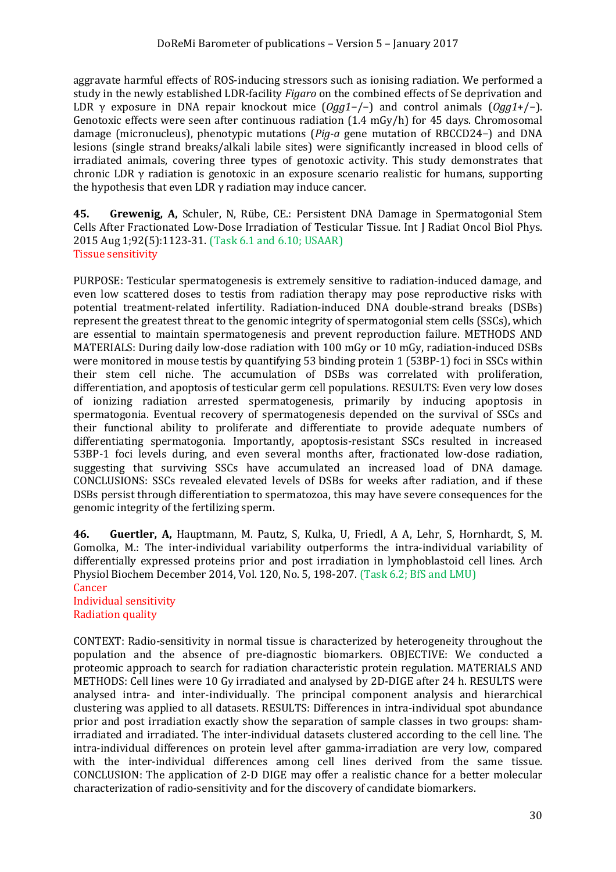aggravate harmful effects of ROS-inducing stressors such as ionising radiation. We performed a study in the newly established LDR-facility *Figaro* on the combined effects of Se deprivation and LDR γ exposure in DNA repair knockout mice (*Ogg1*−/−) and control animals (*Ogg1*+/−). Genotoxic effects were seen after continuous radiation (1.4 mGy/h) for 45 days. Chromosomal damage (micronucleus), phenotypic mutations (*Pig-a* gene mutation of RBCCD24−) and DNA lesions (single strand breaks/alkali labile sites) were significantly increased in blood cells of irradiated animals, covering three types of genotoxic activity. This study demonstrates that chronic LDR  $\gamma$  radiation is genotoxic in an exposure scenario realistic for humans, supporting the hypothesis that even LDR  $\gamma$  radiation may induce cancer.

**45. Grewenig, A,** Schuler, N, Rübe, CE.: Persistent DNA Damage in Spermatogonial Stem Cells After Fractionated Low-Dose Irradiation of Testicular Tissue. Int J Radiat Oncol Biol Phys. 2015 Aug 1;92(5):1123-31. (Task 6.1 and 6.10; USAAR) Tissue sensitivity

PURPOSE: Testicular spermatogenesis is extremely sensitive to radiation-induced damage, and even low scattered doses to testis from radiation therapy may pose reproductive risks with potential treatment-related infertility. Radiation-induced DNA double-strand breaks (DSBs) represent the greatest threat to the genomic integrity of spermatogonial stem cells (SSCs), which are essential to maintain spermatogenesis and prevent reproduction failure. METHODS AND MATERIALS: During daily low-dose radiation with 100 mGy or 10 mGy, radiation-induced DSBs were monitored in mouse testis by quantifying 53 binding protein 1 (53BP-1) foci in SSCs within their stem cell niche. The accumulation of DSBs was correlated with proliferation, differentiation, and apoptosis of testicular germ cell populations. RESULTS: Even very low doses of ionizing radiation arrested spermatogenesis, primarily by inducing apoptosis in spermatogonia. Eventual recovery of spermatogenesis depended on the survival of SSCs and their functional ability to proliferate and differentiate to provide adequate numbers of differentiating spermatogonia. Importantly, apoptosis-resistant SSCs resulted in increased 53BP-1 foci levels during, and even several months after, fractionated low-dose radiation, suggesting that surviving SSCs have accumulated an increased load of DNA damage. CONCLUSIONS: SSCs revealed elevated levels of DSBs for weeks after radiation, and if these DSBs persist through differentiation to spermatozoa, this may have severe consequences for the genomic integrity of the fertilizing sperm.

**46. Guertler, A,** Hauptmann, M. Pautz, S, Kulka, U, Friedl, A A, Lehr, S, Hornhardt, S, M. Gomolka, M.: The inter-individual variability outperforms the intra-individual variability of differentially expressed proteins prior and post irradiation in lymphoblastoid cell lines. Arch Physiol Biochem December 2014, Vol. 120, No. 5, 198-207. (Task 6.2; BfS and LMU)

#### Cancer Individual sensitivity Radiation quality

CONTEXT: Radio-sensitivity in normal tissue is characterized by heterogeneity throughout the population and the absence of pre-diagnostic biomarkers. OBJECTIVE: We conducted a proteomic approach to search for radiation characteristic protein regulation. MATERIALS AND METHODS: Cell lines were 10 Gy irradiated and analysed by 2D-DIGE after 24 h. RESULTS were analysed intra- and inter-individually. The principal component analysis and hierarchical clustering was applied to all datasets. RESULTS: Differences in intra-individual spot abundance prior and post irradiation exactly show the separation of sample classes in two groups: shamirradiated and irradiated. The inter-individual datasets clustered according to the cell line. The intra-individual differences on protein level after gamma-irradiation are very low, compared with the inter-individual differences among cell lines derived from the same tissue. CONCLUSION: The application of 2-D DIGE may offer a realistic chance for a better molecular characterization of radio-sensitivity and for the discovery of candidate biomarkers.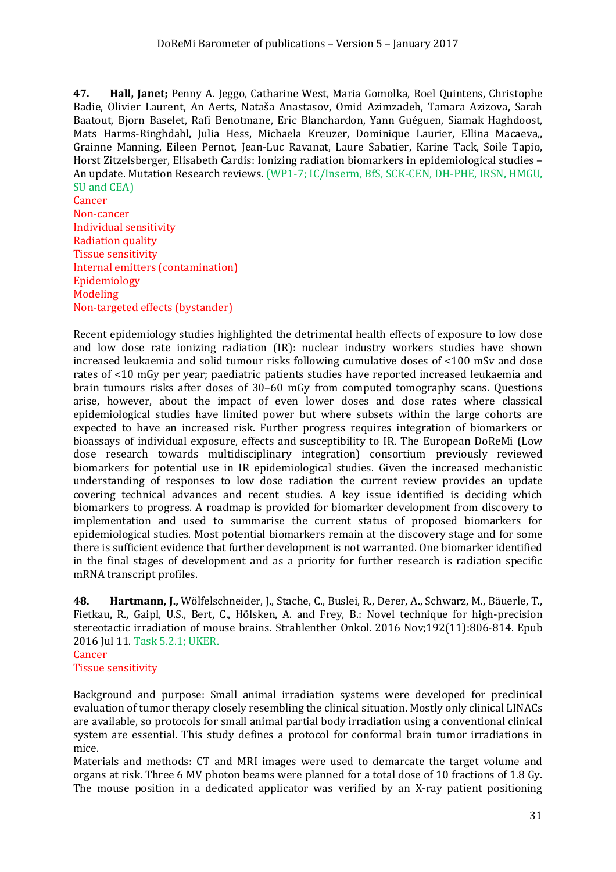**47. Hall, Janet;** Penny A. Jeggo, Catharine West, Maria Gomolka, Roel Quintens, Christophe Badie, Olivier Laurent, An Aerts, Nataša Anastasov, Omid Azimzadeh, Tamara Azizova, Sarah Baatout, Bjorn Baselet, Rafi Benotmane, Eric Blanchardon, Yann Guéguen, Siamak Haghdoost, Mats Harms-Ringhdahl, Julia Hess, Michaela Kreuzer, Dominique Laurier, Ellina Macaeva,, Grainne Manning, Eileen Pernot, Jean-Luc Ravanat, Laure Sabatier, Karine Tack, Soile Tapio, Horst Zitzelsberger, Elisabeth Cardis: Ionizing radiation biomarkers in epidemiological studies – An update. Mutation Research reviews. (WP1-7; IC/Inserm, BfS, SCK-CEN, DH-PHE, IRSN, HMGU, SU and CEA)

**Cancer** Non-cancer Individual sensitivity Radiation quality Tissue sensitivity Internal emitters (contamination) Epidemiology Modeling Non-targeted effects (bystander)

Recent epidemiology studies highlighted the detrimental health effects of exposure to low dose and low dose rate ionizing radiation (IR): nuclear industry workers studies have shown increased leukaemia and solid tumour risks following cumulative doses of <100 mSv and dose rates of <10 mGy per year; paediatric patients studies have reported increased leukaemia and brain tumours risks after doses of 30–60 mGy from computed tomography scans. Questions arise, however, about the impact of even lower doses and dose rates where classical epidemiological studies have limited power but where subsets within the large cohorts are expected to have an increased risk. Further progress requires integration of biomarkers or bioassays of individual exposure, effects and susceptibility to IR. The European DoReMi (Low dose research towards multidisciplinary integration) consortium previously reviewed biomarkers for potential use in IR epidemiological studies. Given the increased mechanistic understanding of responses to low dose radiation the current review provides an update covering technical advances and recent studies. A key issue identified is deciding which biomarkers to progress. A roadmap is provided for biomarker development from discovery to implementation and used to summarise the current status of proposed biomarkers for epidemiological studies. Most potential biomarkers remain at the discovery stage and for some there is sufficient evidence that further development is not warranted. One biomarker identified in the final stages of development and as a priority for further research is radiation specific mRNA transcript profiles.

**48. Hartmann, J.,** Wölfelschneider, J., Stache, C., Buslei, R., Derer, A., Schwarz, M., Bäuerle, T., Fietkau, R., Gaipl, U.S., Bert, C., Hölsken, A. and Frey, B.: Novel technique for high-precision stereotactic irradiation of mouse brains. Strahlenther Onkol. 2016 Nov;192(11):806-814. Epub 2016 Jul 11. Task 5.2.1; UKER.

**Cancer** 

Tissue sensitivity

Background and purpose: Small animal irradiation systems were developed for preclinical evaluation of tumor therapy closely resembling the clinical situation. Mostly only clinical LINACs are available, so protocols for small animal partial body irradiation using a conventional clinical system are essential. This study defines a protocol for conformal brain tumor irradiations in mice.

Materials and methods: CT and MRI images were used to demarcate the target volume and organs at risk. Three 6 MV photon beams were planned for a total dose of 10 fractions of 1.8 Gy. The mouse position in a dedicated applicator was verified by an X-ray patient positioning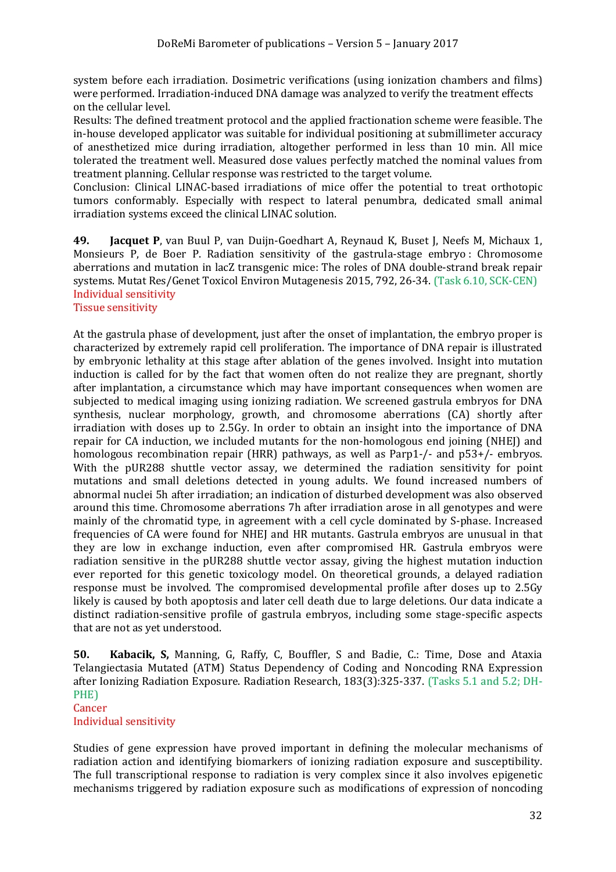system before each irradiation. Dosimetric verifications (using ionization chambers and films) were performed. Irradiation-induced DNA damage was analyzed to verify the treatment effects on the cellular level.

Results: The defined treatment protocol and the applied fractionation scheme were feasible. The in-house developed applicator was suitable for individual positioning at submillimeter accuracy of anesthetized mice during irradiation, altogether performed in less than 10 min. All mice tolerated the treatment well. Measured dose values perfectly matched the nominal values from treatment planning. Cellular response was restricted to the target volume.

Conclusion: Clinical LINAC-based irradiations of mice offer the potential to treat orthotopic tumors conformably. Especially with respect to lateral penumbra, dedicated small animal irradiation systems exceed the clinical LINAC solution.

**49. Jacquet P**, van Buul P, van Duijn-Goedhart A, Reynaud K, Buset J, Neefs M, Michaux 1, Monsieurs P, de Boer P. Radiation sensitivity of the gastrula-stage embryo : Chromosome aberrations and mutation in lacZ transgenic mice: The roles of DNA double-strand break repair systems. Mutat Res/Genet Toxicol Environ Mutagenesis 2015, 792, 26-34. (Task 6.10, SCK-CEN) Individual sensitivity

Tissue sensitivity

At the gastrula phase of development, just after the onset of implantation, the embryo proper is characterized by extremely rapid cell proliferation. The importance of DNA repair is illustrated by embryonic lethality at this stage after ablation of the genes involved. Insight into mutation induction is called for by the fact that women often do not realize they are pregnant, shortly after implantation, a circumstance which may have important consequences when women are subjected to medical imaging using ionizing radiation. We screened gastrula embryos for DNA synthesis, nuclear morphology, growth, and chromosome aberrations (CA) shortly after irradiation with doses up to 2.5Gy. In order to obtain an insight into the importance of DNA repair for CA induction, we included mutants for the non-homologous end joining (NHEJ) and homologous recombination repair (HRR) pathways, as well as Parp1-/- and p53+/- embryos. With the pUR288 shuttle vector assay, we determined the radiation sensitivity for point mutations and small deletions detected in young adults. We found increased numbers of abnormal nuclei 5h after irradiation; an indication of disturbed development was also observed around this time. Chromosome aberrations 7h after irradiation arose in all genotypes and were mainly of the chromatid type, in agreement with a cell cycle dominated by S-phase. Increased frequencies of CA were found for NHEJ and HR mutants. Gastrula embryos are unusual in that they are low in exchange induction, even after compromised HR. Gastrula embryos were radiation sensitive in the pUR288 shuttle vector assay, giving the highest mutation induction ever reported for this genetic toxicology model. On theoretical grounds, a delayed radiation response must be involved. The compromised developmental profile after doses up to 2.5Gy likely is caused by both apoptosis and later cell death due to large deletions. Our data indicate a distinct radiation-sensitive profile of gastrula embryos, including some stage-specific aspects that are not as yet understood.

**50. Kabacik, S,** Manning, G, Raffy, C, Bouffler, S and Badie, C.: Time, Dose and Ataxia Telangiectasia Mutated (ATM) Status Dependency of Coding and Noncoding RNA Expression after Ionizing Radiation Exposure. Radiation Research, 183(3):325-337. (Tasks 5.1 and 5.2; DH-PHE) **Cancer** 

# Individual sensitivity

Studies of gene expression have proved important in defining the molecular mechanisms of radiation action and identifying biomarkers of ionizing radiation exposure and susceptibility. The full transcriptional response to radiation is very complex since it also involves epigenetic mechanisms triggered by radiation exposure such as modifications of expression of noncoding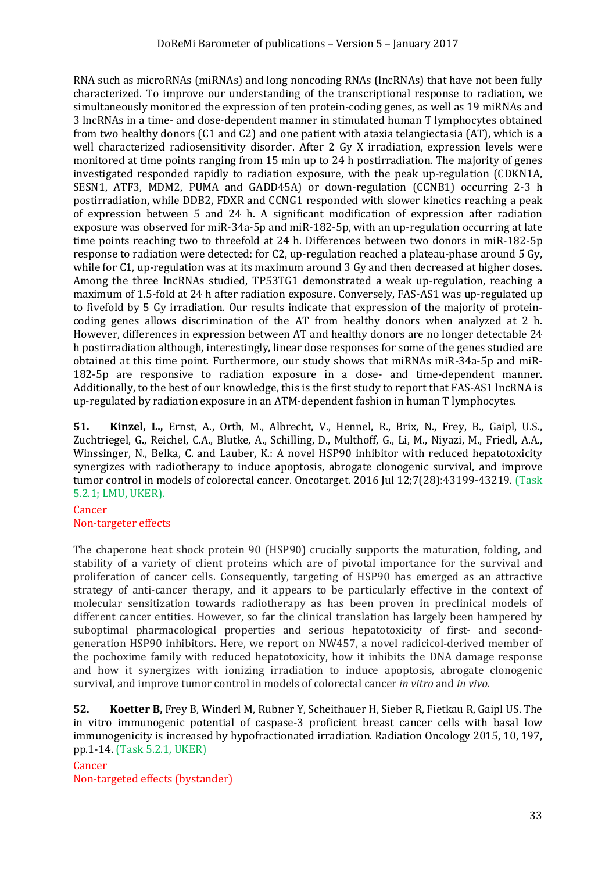RNA such as microRNAs (miRNAs) and long noncoding RNAs (lncRNAs) that have not been fully characterized. To improve our understanding of the transcriptional response to radiation, we simultaneously monitored the expression of ten protein-coding genes, as well as 19 miRNAs and 3 lncRNAs in a time- and dose-dependent manner in stimulated human T lymphocytes obtained from two healthy donors (C1 and C2) and one patient with ataxia telangiectasia (AT), which is a well characterized radiosensitivity disorder. After 2 Gy X irradiation, expression levels were monitored at time points ranging from 15 min up to 24 h postirradiation. The majority of genes investigated responded rapidly to radiation exposure, with the peak up-regulation (CDKN1A, SESN1, ATF3, MDM2, PUMA and GADD45A) or down-regulation (CCNB1) occurring 2-3 h postirradiation, while DDB2, FDXR and CCNG1 responded with slower kinetics reaching a peak of expression between 5 and 24 h. A significant modification of expression after radiation exposure was observed for miR-34a-5p and miR-182-5p, with an up-regulation occurring at late time points reaching two to threefold at 24 h. Differences between two donors in miR-182-5p response to radiation were detected: for C2, up-regulation reached a plateau-phase around 5 Gy, while for C1, up-regulation was at its maximum around 3 Gy and then decreased at higher doses. Among the three lncRNAs studied, TP53TG1 demonstrated a weak up-regulation, reaching a maximum of 1.5-fold at 24 h after radiation exposure. Conversely, FAS-AS1 was up-regulated up to fivefold by 5 Gy irradiation. Our results indicate that expression of the majority of proteincoding genes allows discrimination of the AT from healthy donors when analyzed at 2 h. However, differences in expression between AT and healthy donors are no longer detectable 24 h postirradiation although, interestingly, linear dose responses for some of the genes studied are obtained at this time point. Furthermore, our study shows that miRNAs miR-34a-5p and miR-182-5p are responsive to radiation exposure in a dose- and time-dependent manner. Additionally, to the best of our knowledge, this is the first study to report that FAS-AS1 lncRNA is up-regulated by radiation exposure in an ATM-dependent fashion in human T lymphocytes.

**51. Kinzel, L.,** Ernst, A., Orth, M., Albrecht, V., Hennel, R., Brix, N., Frey, B., Gaipl, U.S., Zuchtriegel, G., Reichel, C.A., Blutke, A., Schilling, D., Multhoff, G., Li, M., Niyazi, M., Friedl, A.A., Winssinger, N., Belka, C. and Lauber, K.: A novel HSP90 inhibitor with reduced hepatotoxicity synergizes with radiotherapy to induce apoptosis, abrogate clonogenic survival, and improve tumor control in models of colorectal cancer. Oncotarget. 2016 Jul 12;7(28):43199-43219. (Task 5.2.1; LMU, UKER).

### Cancer Non-targeter effects

The chaperone heat shock protein 90 (HSP90) crucially supports the maturation, folding, and stability of a variety of client proteins which are of pivotal importance for the survival and proliferation of cancer cells. Consequently, targeting of HSP90 has emerged as an attractive strategy of anti-cancer therapy, and it appears to be particularly effective in the context of molecular sensitization towards radiotherapy as has been proven in preclinical models of different cancer entities. However, so far the clinical translation has largely been hampered by suboptimal pharmacological properties and serious hepatotoxicity of first- and secondgeneration HSP90 inhibitors. Here, we report on NW457, a novel radicicol-derived member of the pochoxime family with reduced hepatotoxicity, how it inhibits the DNA damage response and how it synergizes with ionizing irradiation to induce apoptosis, abrogate clonogenic survival, and improve tumor control in models of colorectal cancer *in vitro* and *in vivo*.

**52. Koetter B,** Frey B, Winderl M, Rubner Y, Scheithauer H, Sieber R, Fietkau R, Gaipl US. The in vitro immunogenic potential of caspase-3 proficient breast cancer cells with basal low immunogenicity is increased by hypofractionated irradiation. Radiation Oncology 2015, 10, 197, pp.1-14. (Task 5.2.1, UKER)

Cancer Non-targeted effects (bystander)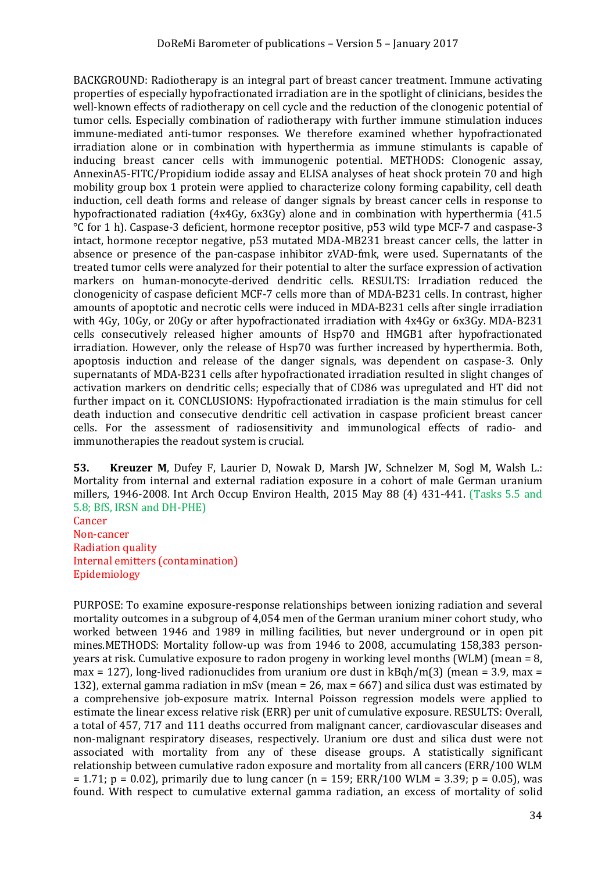BACKGROUND: Radiotherapy is an integral part of breast cancer treatment. Immune activating properties of especially hypofractionated irradiation are in the spotlight of clinicians, besides the well-known effects of radiotherapy on cell cycle and the reduction of the clonogenic potential of tumor cells. Especially combination of radiotherapy with further immune stimulation induces immune-mediated anti-tumor responses. We therefore examined whether hypofractionated irradiation alone or in combination with hyperthermia as immune stimulants is capable of inducing breast cancer cells with immunogenic potential. METHODS: Clonogenic assay, AnnexinA5-FITC/Propidium iodide assay and ELISA analyses of heat shock protein 70 and high mobility group box 1 protein were applied to characterize colony forming capability, cell death induction, cell death forms and release of danger signals by breast cancer cells in response to hypofractionated radiation (4x4Gy, 6x3Gy) alone and in combination with hyperthermia (41.5 °C for 1 h). Caspase-3 deficient, hormone receptor positive, p53 wild type MCF-7 and caspase-3 intact, hormone receptor negative, p53 mutated MDA-MB231 breast cancer cells, the latter in absence or presence of the pan-caspase inhibitor zVAD-fmk, were used. Supernatants of the treated tumor cells were analyzed for their potential to alter the surface expression of activation markers on human-monocyte-derived dendritic cells. RESULTS: Irradiation reduced the clonogenicity of caspase deficient MCF-7 cells more than of MDA-B231 cells. In contrast, higher amounts of apoptotic and necrotic cells were induced in MDA-B231 cells after single irradiation with 4Gy, 10Gy, or 20Gy or after hypofractionated irradiation with 4x4Gy or 6x3Gy. MDA-B231 cells consecutively released higher amounts of Hsp70 and HMGB1 after hypofractionated irradiation. However, only the release of Hsp70 was further increased by hyperthermia. Both, apoptosis induction and release of the danger signals, was dependent on caspase-3. Only supernatants of MDA-B231 cells after hypofractionated irradiation resulted in slight changes of activation markers on dendritic cells; especially that of CD86 was upregulated and HT did not further impact on it. CONCLUSIONS: Hypofractionated irradiation is the main stimulus for cell death induction and consecutive dendritic cell activation in caspase proficient breast cancer cells. For the assessment of radiosensitivity and immunological effects of radio- and immunotherapies the readout system is crucial.

**53. Kreuzer M**, Dufey F, Laurier D, Nowak D, Marsh JW, Schnelzer M, Sogl M, Walsh L.: Mortality from internal and external radiation exposure in a cohort of male German uranium millers, 1946-2008. Int Arch Occup Environ Health, 2015 May 88 (4) 431-441. (Tasks 5.5 and 5.8; BfS, IRSN and DH-PHE)

Cancer Non-cancer Radiation quality Internal emitters (contamination) Epidemiology

PURPOSE: To examine exposure-response relationships between ionizing radiation and several mortality outcomes in a subgroup of 4,054 men of the German uranium miner cohort study, who worked between 1946 and 1989 in milling facilities, but never underground or in open pit mines.METHODS: Mortality follow-up was from 1946 to 2008, accumulating 158,383 personyears at risk. Cumulative exposure to radon progeny in working level months (WLM) (mean = 8, max = 127), long-lived radionuclides from uranium ore dust in  $kBqh/m(3)$  (mean = 3.9, max = 132), external gamma radiation in mSv (mean = 26, max = 667) and silica dust was estimated by a comprehensive job-exposure matrix. Internal Poisson regression models were applied to estimate the linear excess relative risk (ERR) per unit of cumulative exposure. RESULTS: Overall, a total of 457, 717 and 111 deaths occurred from malignant cancer, cardiovascular diseases and non-malignant respiratory diseases, respectively. Uranium ore dust and silica dust were not associated with mortality from any of these disease groups. A statistically significant relationship between cumulative radon exposure and mortality from all cancers (ERR/100 WLM  $= 1.71$ ; p = 0.02), primarily due to lung cancer (n = 159; ERR/100 WLM = 3.39; p = 0.05), was found. With respect to cumulative external gamma radiation, an excess of mortality of solid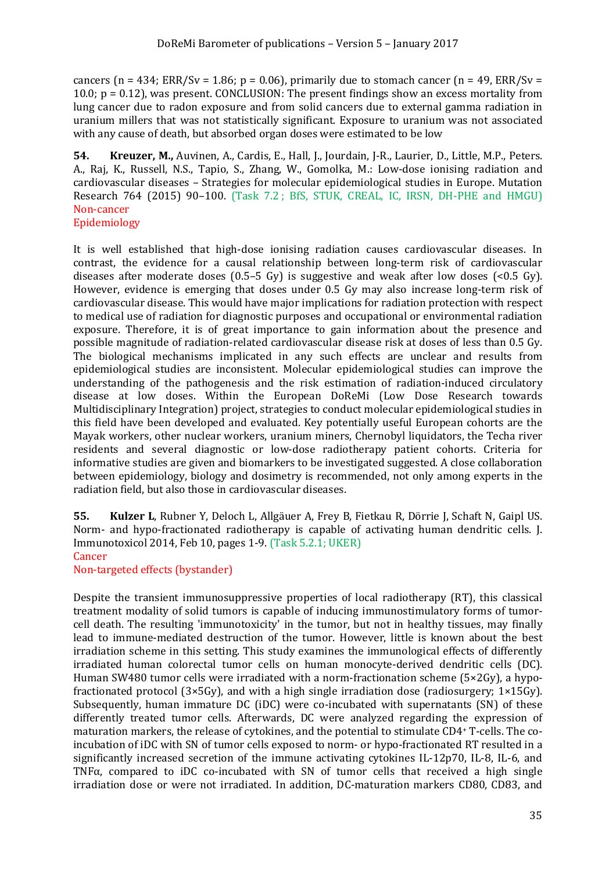cancers (n = 434; ERR/Sv = 1.86; p = 0.06), primarily due to stomach cancer (n = 49, ERR/Sv = 10.0; p = 0.12), was present. CONCLUSION: The present findings show an excess mortality from lung cancer due to radon exposure and from solid cancers due to external gamma radiation in uranium millers that was not statistically significant. Exposure to uranium was not associated with any cause of death, but absorbed organ doses were estimated to be low

**54. Kreuzer, M.,** Auvinen, A., Cardis, E., Hall, J., Jourdain, J-R., Laurier, D., Little, M.P., Peters. A., Raj, K., Russell, N.S., Tapio, S., Zhang, W., Gomolka, M.: Low-dose ionising radiation and cardiovascular diseases – Strategies for molecular epidemiological studies in Europe. Mutation Research 764 (2015) 90–100. (Task 7.2 ; BfS, STUK, CREAL, IC, IRSN, DH-PHE and HMGU) Non-cancer Epidemiology

### It is well established that high-dose ionising radiation causes cardiovascular diseases. In contrast, the evidence for a causal relationship between long-term risk of cardiovascular diseases after moderate doses  $(0.5-5 \text{ Gy})$  is suggestive and weak after low doses  $(0.5 \text{ Gy})$ . However, evidence is emerging that doses under 0.5 Gy may also increase long-term risk of cardiovascular disease. This would have major implications for radiation protection with respect to medical use of radiation for diagnostic purposes and occupational or environmental radiation exposure. Therefore, it is of great importance to gain information about the presence and possible magnitude of radiation-related cardiovascular disease risk at doses of less than 0.5 Gy. The biological mechanisms implicated in any such effects are unclear and results from epidemiological studies are inconsistent. Molecular epidemiological studies can improve the understanding of the pathogenesis and the risk estimation of radiation-induced circulatory disease at low doses. Within the European DoReMi (Low Dose Research towards Multidisciplinary Integration) project, strategies to conduct molecular epidemiological studies in this field have been developed and evaluated. Key potentially useful European cohorts are the Mayak workers, other nuclear workers, uranium miners, Chernobyl liquidators, the Techa river residents and several diagnostic or low-dose radiotherapy patient cohorts. Criteria for informative studies are given and biomarkers to be investigated suggested. A close collaboration between epidemiology, biology and dosimetry is recommended, not only among experts in the radiation field, but also those in cardiovascular diseases.

**55. Kulzer L**, Rubner Y, Deloch L, Allgäuer A, Frey B, Fietkau R, Dörrie J, Schaft N, Gaipl US. Norm- and hypo-fractionated radiotherapy is capable of activating human dendritic cells. J. Immunotoxicol 2014, Feb 10, pages 1-9. (Task 5.2.1; UKER) Cancer

Non-targeted effects (bystander)

Despite the transient immunosuppressive properties of local radiotherapy (RT), this classical treatment modality of solid tumors is capable of inducing immunostimulatory forms of tumorcell death. The resulting 'immunotoxicity' in the tumor, but not in healthy tissues, may finally lead to immune-mediated destruction of the tumor. However, little is known about the best irradiation scheme in this setting. This study examines the immunological effects of differently irradiated human colorectal tumor cells on human monocyte-derived dendritic cells (DC). Human SW480 tumor cells were irradiated with a norm-fractionation scheme (5×2Gy), a hypofractionated protocol (3×5Gy), and with a high single irradiation dose (radiosurgery; 1×15Gy). Subsequently, human immature DC (iDC) were co-incubated with supernatants (SN) of these differently treated tumor cells. Afterwards, DC were analyzed regarding the expression of maturation markers, the release of cytokines, and the potential to stimulate CD4+ T-cells. The coincubation of iDC with SN of tumor cells exposed to norm- or hypo-fractionated RT resulted in a significantly increased secretion of the immune activating cytokines IL-12p70, IL-8, IL-6, and TNFα, compared to iDC co-incubated with SN of tumor cells that received a high single irradiation dose or were not irradiated. In addition, DC-maturation markers CD80, CD83, and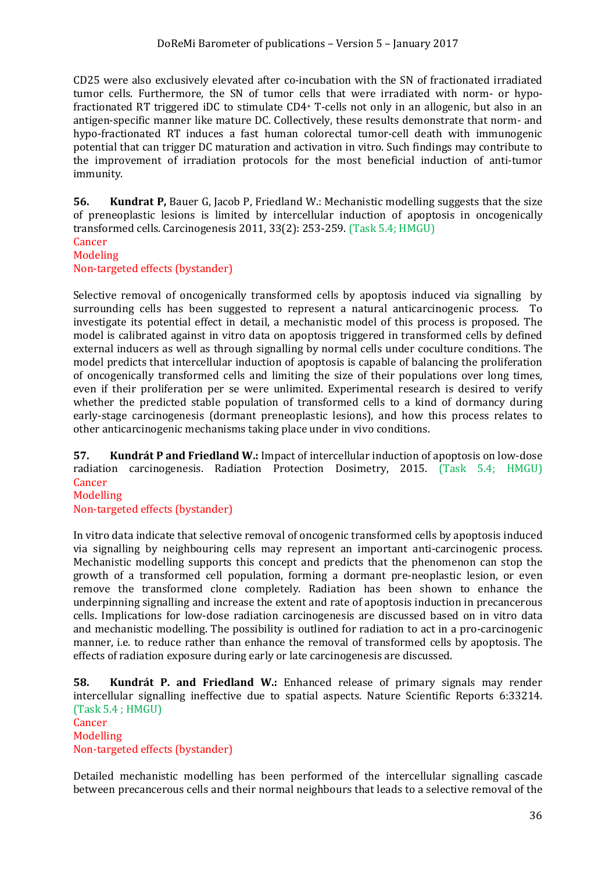CD25 were also exclusively elevated after co-incubation with the SN of fractionated irradiated tumor cells. Furthermore, the SN of tumor cells that were irradiated with norm- or hypofractionated RT triggered iDC to stimulate CD4+ T-cells not only in an allogenic, but also in an antigen-specific manner like mature DC. Collectively, these results demonstrate that norm- and hypo-fractionated RT induces a fast human colorectal tumor-cell death with immunogenic potential that can trigger DC maturation and activation in vitro. Such findings may contribute to the improvement of irradiation protocols for the most beneficial induction of anti-tumor immunity.

**56. Kundrat P,** Bauer G, Jacob P, Friedland W.: Mechanistic modelling suggests that the size of preneoplastic lesions is limited by intercellular induction of apoptosis in oncogenically transformed cells. Carcinogenesis 2011, 33(2): 253-259. (Task 5.4; HMGU) Cancer

Modeling

Non-targeted effects (bystander)

Selective removal of oncogenically transformed cells by apoptosis induced via signalling by surrounding cells has been suggested to represent a natural anticarcinogenic process. To investigate its potential effect in detail, a mechanistic model of this process is proposed. The model is calibrated against in vitro data on apoptosis triggered in transformed cells by defined external inducers as well as through signalling by normal cells under coculture conditions. The model predicts that intercellular induction of apoptosis is capable of balancing the proliferation of oncogenically transformed cells and limiting the size of their populations over long times, even if their proliferation per se were unlimited. Experimental research is desired to verify whether the predicted stable population of transformed cells to a kind of dormancy during early-stage carcinogenesis (dormant preneoplastic lesions), and how this process relates to other anticarcinogenic mechanisms taking place under in vivo conditions.

**57. Kundrát P and Friedland W.:** Impact of intercellular induction of apoptosis on low-dose radiation carcinogenesis. Radiation Protection Dosimetry, 2015. (Task 5.4; HMGU) Cancer

Modelling

Non-targeted effects (bystander)

In vitro data indicate that selective removal of oncogenic transformed cells by apoptosis induced via signalling by neighbouring cells may represent an important anti-carcinogenic process. Mechanistic modelling supports this concept and predicts that the phenomenon can stop the growth of a transformed cell population, forming a dormant pre-neoplastic lesion, or even remove the transformed clone completely. Radiation has been shown to enhance the underpinning signalling and increase the extent and rate of apoptosis induction in precancerous cells. Implications for low-dose radiation carcinogenesis are discussed based on in vitro data and mechanistic modelling. The possibility is outlined for radiation to act in a pro-carcinogenic manner, i.e. to reduce rather than enhance the removal of transformed cells by apoptosis. The effects of radiation exposure during early or late carcinogenesis are discussed.

**58. Kundrát P. and Friedland W.:** Enhanced release of primary signals may render intercellular signalling ineffective due to spatial aspects. Nature Scientific Reports 6:33214. (Task 5.4 ; HMGU)

**Cancer** Modelling Non-targeted effects (bystander)

Detailed mechanistic modelling has been performed of the intercellular signalling cascade between precancerous cells and their normal neighbours that leads to a selective removal of the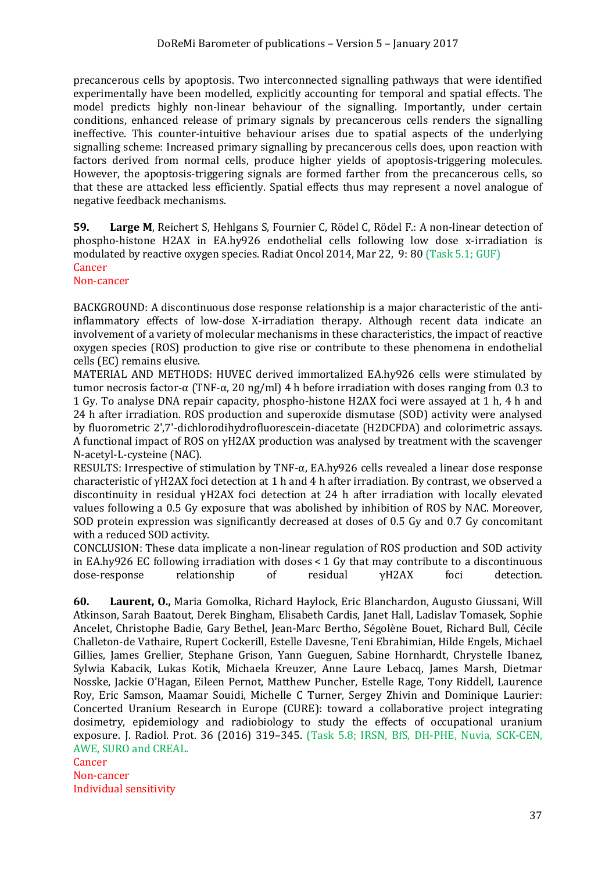precancerous cells by apoptosis. Two interconnected signalling pathways that were identified experimentally have been modelled, explicitly accounting for temporal and spatial effects. The model predicts highly non-linear behaviour of the signalling. Importantly, under certain conditions, enhanced release of primary signals by precancerous cells renders the signalling ineffective. This counter-intuitive behaviour arises due to spatial aspects of the underlying signalling scheme: Increased primary signalling by precancerous cells does, upon reaction with factors derived from normal cells, produce higher yields of apoptosis-triggering molecules. However, the apoptosis-triggering signals are formed farther from the precancerous cells, so that these are attacked less efficiently. Spatial effects thus may represent a novel analogue of negative feedback mechanisms.

**59. Large M**, Reichert S, Hehlgans S, Fournier C, Rödel C, Rödel F.: A non-linear detection of phospho-histone H2AX in EA.hy926 endothelial cells following low dose x-irradiation is modulated by reactive oxygen species. Radiat Oncol 2014, Mar 22, 9: 80 (Task 5.1; GUF) Cancer

Non-cancer

BACKGROUND: A discontinuous dose response relationship is a major characteristic of the antiinflammatory effects of low-dose X-irradiation therapy. Although recent data indicate an involvement of a variety of molecular mechanisms in these characteristics, the impact of reactive oxygen species (ROS) production to give rise or contribute to these phenomena in endothelial cells (EC) remains elusive.

MATERIAL AND METHODS: HUVEC derived immortalized EA.hy926 cells were stimulated by tumor necrosis factor-α (TNF-α, 20 ng/ml) 4 h before irradiation with doses ranging from 0.3 to 1 Gy. To analyse DNA repair capacity, phospho-histone H2AX foci were assayed at 1 h, 4 h and 24 h after irradiation. ROS production and superoxide dismutase (SOD) activity were analysed by fluorometric 2',7'-dichlorodihydrofluorescein-diacetate (H2DCFDA) and colorimetric assays. A functional impact of ROS on γH2AX production was analysed by treatment with the scavenger N-acetyl-L-cysteine (NAC).

RESULTS: Irrespective of stimulation by TNF- $\alpha$ , EA.hy926 cells revealed a linear dose response characteristic of γH2AX foci detection at 1 h and 4 h after irradiation. By contrast, we observed a discontinuity in residual γH2AX foci detection at 24 h after irradiation with locally elevated values following a 0.5 Gy exposure that was abolished by inhibition of ROS by NAC. Moreover, SOD protein expression was significantly decreased at doses of 0.5 Gy and 0.7 Gy concomitant with a reduced SOD activity.

CONCLUSION: These data implicate a non-linear regulation of ROS production and SOD activity in EA.hy926 EC following irradiation with doses < 1 Gy that may contribute to a discontinuous dose-response relationship of residual  $vH2AX$  foci detection. dose-response

**60. Laurent, O.,** Maria Gomolka, Richard Haylock, Eric Blanchardon, Augusto Giussani, Will Atkinson, Sarah Baatout, Derek Bingham, Elisabeth Cardis, Janet Hall, Ladislav Tomasek, Sophie Ancelet, Christophe Badie, Gary Bethel, Jean-Marc Bertho, Ségolène Bouet, Richard Bull, Cécile Challeton-de Vathaire, Rupert Cockerill, Estelle Davesne, Teni Ebrahimian, Hilde Engels, Michael Gillies, James Grellier, Stephane Grison, Yann Gueguen, Sabine Hornhardt, Chrystelle Ibanez, Sylwia Kabacik, Lukas Kotik, Michaela Kreuzer, Anne Laure Lebacq, James Marsh, Dietmar Nosske, Jackie O'Hagan, Eileen Pernot, Matthew Puncher, Estelle Rage, Tony Riddell, Laurence Roy, Eric Samson, Maamar Souidi, Michelle C Turner, Sergey Zhivin and Dominique Laurier: Concerted Uranium Research in Europe (CURE): toward a collaborative project integrating dosimetry, epidemiology and radiobiology to study the effects of occupational uranium exposure. J. Radiol. Prot. 36 (2016) 319–345. (Task 5.8; IRSN, BfS, DH-PHE, Nuvia, SCK-CEN, AWE, SURO and CREAL.

Cancer Non-cancer Individual sensitivity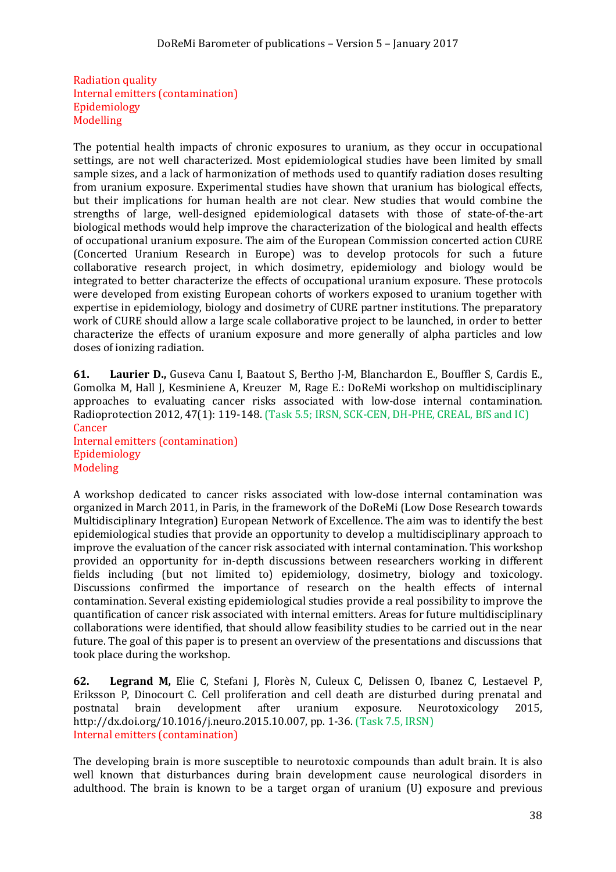Radiation quality Internal emitters (contamination) Epidemiology Modelling

The potential health impacts of chronic exposures to uranium, as they occur in occupational settings, are not well characterized. Most epidemiological studies have been limited by small sample sizes, and a lack of harmonization of methods used to quantify radiation doses resulting from uranium exposure. Experimental studies have shown that uranium has biological effects, but their implications for human health are not clear. New studies that would combine the strengths of large, well-designed epidemiological datasets with those of state-of-the-art biological methods would help improve the characterization of the biological and health effects of occupational uranium exposure. The aim of the European Commission concerted action CURE (Concerted Uranium Research in Europe) was to develop protocols for such a future collaborative research project, in which dosimetry, epidemiology and biology would be integrated to better characterize the effects of occupational uranium exposure. These protocols were developed from existing European cohorts of workers exposed to uranium together with expertise in epidemiology, biology and dosimetry of CURE partner institutions. The preparatory work of CURE should allow a large scale collaborative project to be launched, in order to better characterize the effects of uranium exposure and more generally of alpha particles and low doses of ionizing radiation.

**61. Laurier D.,** Guseva Canu I, Baatout S, Bertho J-M, Blanchardon E., Bouffler S, Cardis E., Gomolka M, Hall J, Kesminiene A, Kreuzer M, Rage E.: DoReMi workshop on multidisciplinary approaches to evaluating cancer risks associated with low-dose internal contamination. Radioprotection 2012, 47(1): 119-148. (Task 5.5; IRSN, SCK-CEN, DH-PHE, CREAL, BfS and IC) Cancer

Internal emitters (contamination) Epidemiology Modeling

A workshop dedicated to cancer risks associated with low-dose internal contamination was organized in March 2011, in Paris, in the framework of the DoReMi (Low Dose Research towards Multidisciplinary Integration) European Network of Excellence. The aim was to identify the best epidemiological studies that provide an opportunity to develop a multidisciplinary approach to improve the evaluation of the cancer risk associated with internal contamination. This workshop provided an opportunity for in-depth discussions between researchers working in different fields including (but not limited to) epidemiology, dosimetry, biology and toxicology. Discussions confirmed the importance of research on the health effects of internal contamination. Several existing epidemiological studies provide a real possibility to improve the quantification of cancer risk associated with internal emitters. Areas for future multidisciplinary collaborations were identified, that should allow feasibility studies to be carried out in the near future. The goal of this paper is to present an overview of the presentations and discussions that took place during the workshop.

**62. Legrand M,** Elie C, Stefani J, Florès N, Culeux C, Delissen O, Ibanez C, Lestaevel P, Eriksson P, Dinocourt C. Cell proliferation and cell death are disturbed during prenatal and postnatal brain development after uranium exposure. Neurotoxicology 2015, uranium exposure. http://dx.doi.org/10.1016/j.neuro.2015.10.007, pp. 1-36. (Task 7.5, IRSN) Internal emitters (contamination)

The developing brain is more susceptible to neurotoxic compounds than adult brain. It is also well known that disturbances during brain development cause neurological disorders in adulthood. The brain is known to be a target organ of uranium (U) exposure and previous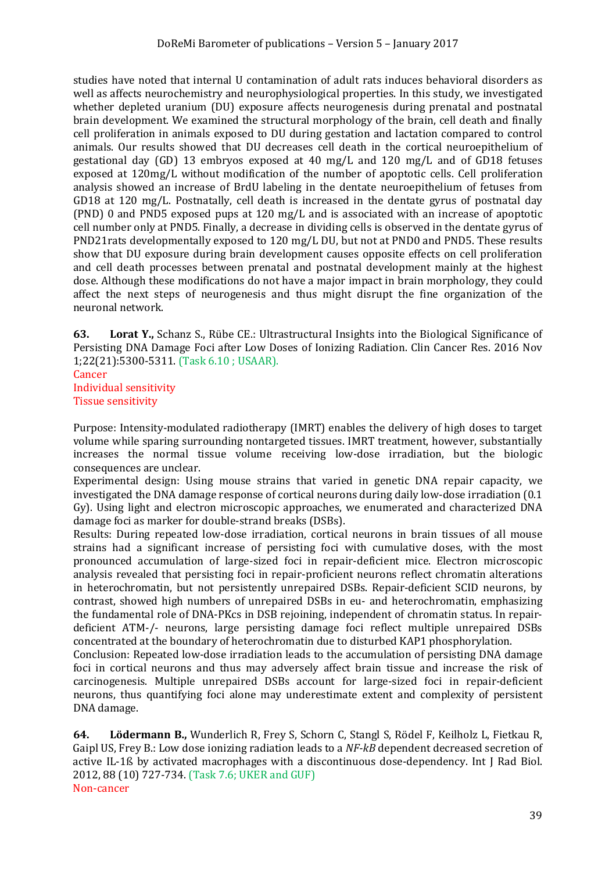studies have noted that internal U contamination of adult rats induces behavioral disorders as well as affects neurochemistry and neurophysiological properties. In this study, we investigated whether depleted uranium (DU) exposure affects neurogenesis during prenatal and postnatal brain development. We examined the structural morphology of the brain, cell death and finally cell proliferation in animals exposed to DU during gestation and lactation compared to control animals. Our results showed that DU decreases cell death in the cortical neuroepithelium of gestational day (GD) 13 embryos exposed at 40 mg/L and 120 mg/L and of GD18 fetuses exposed at 120mg/L without modification of the number of apoptotic cells. Cell proliferation analysis showed an increase of BrdU labeling in the dentate neuroepithelium of fetuses from GD18 at 120 mg/L. Postnatally, cell death is increased in the dentate gyrus of postnatal day (PND) 0 and PND5 exposed pups at 120 mg/L and is associated with an increase of apoptotic cell number only at PND5. Finally, a decrease in dividing cells is observed in the dentate gyrus of PND21rats developmentally exposed to 120 mg/L DU, but not at PND0 and PND5. These results show that DU exposure during brain development causes opposite effects on cell proliferation and cell death processes between prenatal and postnatal development mainly at the highest dose. Although these modifications do not have a major impact in brain morphology, they could affect the next steps of neurogenesis and thus might disrupt the fine organization of the neuronal network.

**63. Lorat Y.,** Schanz S., Rübe CE.: Ultrastructural Insights into the Biological Significance of Persisting DNA Damage Foci after Low Doses of Ionizing Radiation. Clin Cancer Res. 2016 Nov 1;22(21):5300-5311. (Task 6.10 ; USAAR).

### Cancer

Individual sensitivity Tissue sensitivity

Purpose: Intensity-modulated radiotherapy (IMRT) enables the delivery of high doses to target volume while sparing surrounding nontargeted tissues. IMRT treatment, however, substantially increases the normal tissue volume receiving low-dose irradiation, but the biologic consequences are unclear.

Experimental design: Using mouse strains that varied in genetic DNA repair capacity, we investigated the DNA damage response of cortical neurons during daily low-dose irradiation (0.1 Gy). Using light and electron microscopic approaches, we enumerated and characterized DNA damage foci as marker for double-strand breaks (DSBs).

Results: During repeated low-dose irradiation, cortical neurons in brain tissues of all mouse strains had a significant increase of persisting foci with cumulative doses, with the most pronounced accumulation of large-sized foci in repair-deficient mice. Electron microscopic analysis revealed that persisting foci in repair-proficient neurons reflect chromatin alterations in heterochromatin, but not persistently unrepaired DSBs. Repair-deficient SCID neurons, by contrast, showed high numbers of unrepaired DSBs in eu- and heterochromatin, emphasizing the fundamental role of DNA-PKcs in DSB rejoining, independent of chromatin status. In repairdeficient ATM-/- neurons, large persisting damage foci reflect multiple unrepaired DSBs concentrated at the boundary of heterochromatin due to disturbed KAP1 phosphorylation.

Conclusion: Repeated low-dose irradiation leads to the accumulation of persisting DNA damage foci in cortical neurons and thus may adversely affect brain tissue and increase the risk of carcinogenesis. Multiple unrepaired DSBs account for large-sized foci in repair-deficient neurons, thus quantifying foci alone may underestimate extent and complexity of persistent DNA damage.

**64. Lödermann B.,** Wunderlich R, Frey S, Schorn C, Stangl S, Rödel F, Keilholz L, Fietkau R, Gaipl US, Frey B.: Low dose ionizing radiation leads to a *NF-kB* dependent decreased secretion of active IL-1ß by activated macrophages with a discontinuous dose-dependency. Int J Rad Biol. 2012, 88 (10) 727-734. (Task 7.6; UKER and GUF) Non-cancer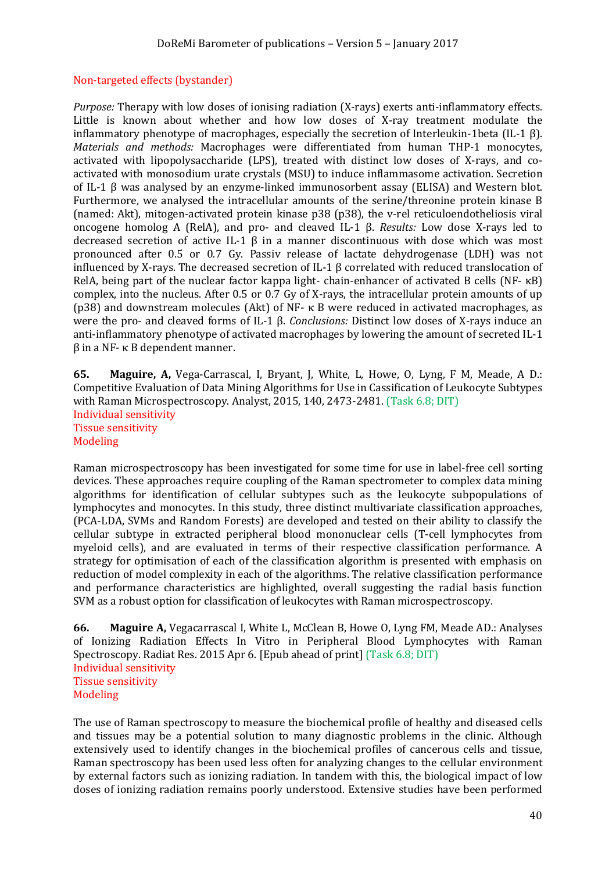### Non-targeted effects (bystander)

*Purpose:* Therapy with low doses of ionising radiation (X-rays) exerts anti-inflammatory effects. Little is known about whether and how low doses of X-ray treatment modulate the inflammatory phenotype of macrophages, especially the secretion of Interleukin-1beta (IL-1 β). *Materials and methods:* Macrophages were differentiated from human THP-1 monocytes, activated with lipopolysaccharide (LPS), treated with distinct low doses of X-rays, and coactivated with monosodium urate crystals (MSU) to induce inflammasome activation. Secretion of IL-1 β was analysed by an enzyme-linked immunosorbent assay (ELISA) and Western blot. Furthermore, we analysed the intracellular amounts of the serine/threonine protein kinase B (named: Akt), mitogen-activated protein kinase p38 (p38), the v-rel reticuloendotheliosis viral oncogene homolog A (RelA), and pro- and cleaved IL-1 β. *Results:* Low dose X-rays led to decreased secretion of active IL-1  $\beta$  in a manner discontinuous with dose which was most pronounced after 0.5 or 0.7 Gy. Passiv release of lactate dehydrogenase (LDH) was not influenced by X-rays. The decreased secretion of IL-1 β correlated with reduced translocation of RelA, being part of the nuclear factor kappa light- chain-enhancer of activated B cells (NF- κB) complex, into the nucleus. After 0.5 or 0.7 Gy of X-rays, the intracellular protein amounts of up (p38) and downstream molecules (Akt) of NF- κ B were reduced in activated macrophages, as were the pro- and cleaved forms of IL-1 β. *Conclusions:* Distinct low doses of X-rays induce an anti-inflammatory phenotype of activated macrophages by lowering the amount of secreted IL-1 β in a NF- κ B dependent manner.

**65. Maguire, A,** Vega-Carrascal, I, Bryant, J, White, L, Howe, O, Lyng, F M, Meade, A D.: Competitive Evaluation of Data Mining Algorithms for Use in Cassification of Leukocyte Subtypes with Raman Microspectroscopy. Analyst, 2015, 140, 2473-2481. (Task 6.8; DIT) Individual sensitivity Tissue sensitivity Modeling

Raman microspectroscopy has been investigated for some time for use in label-free cell sorting devices. These approaches require coupling of the Raman spectrometer to complex data mining algorithms for identification of cellular subtypes such as the leukocyte subpopulations of lymphocytes and monocytes. In this study, three distinct multivariate classification approaches, (PCA-LDA, SVMs and Random Forests) are developed and tested on their ability to classify the cellular subtype in extracted peripheral blood mononuclear cells (T-cell lymphocytes from myeloid cells), and are evaluated in terms of their respective classification performance. A strategy for optimisation of each of the classification algorithm is presented with emphasis on reduction of model complexity in each of the algorithms. The relative classification performance and performance characteristics are highlighted, overall suggesting the radial basis function SVM as a robust option for classification of leukocytes with Raman microspectroscopy.

**66. Maguire A,** Vegacarrascal I, White L, McClean B, Howe O, Lyng FM, Meade AD.: Analyses of Ionizing Radiation Effects In Vitro in Peripheral Blood Lymphocytes with Raman Spectroscopy. Radiat Res. 2015 Apr 6. [Epub ahead of print] (Task 6.8; DIT) Individual sensitivity Tissue sensitivity Modeling

The use of Raman spectroscopy to measure the biochemical profile of healthy and diseased cells and tissues may be a potential solution to many diagnostic problems in the clinic. Although extensively used to identify changes in the biochemical profiles of cancerous cells and tissue, Raman spectroscopy has been used less often for analyzing changes to the cellular environment by external factors such as ionizing radiation. In tandem with this, the biological impact of low doses of ionizing radiation remains poorly understood. Extensive studies have been performed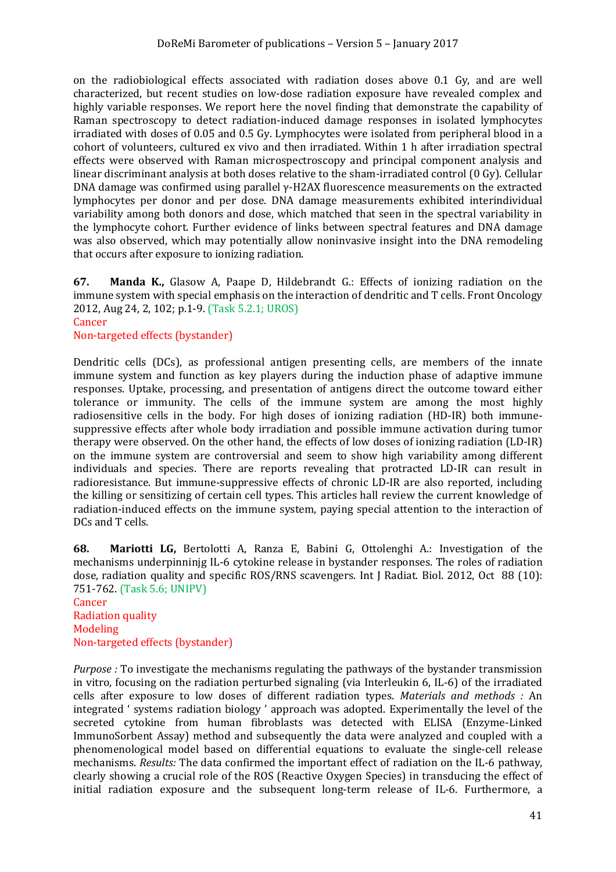on the radiobiological effects associated with radiation doses above 0.1 Gy, and are well characterized, but recent studies on low-dose radiation exposure have revealed complex and highly variable responses. We report here the novel finding that demonstrate the capability of Raman spectroscopy to detect radiation-induced damage responses in isolated lymphocytes irradiated with doses of 0.05 and 0.5 Gy. Lymphocytes were isolated from peripheral blood in a cohort of volunteers, cultured ex vivo and then irradiated. Within 1 h after irradiation spectral effects were observed with Raman microspectroscopy and principal component analysis and linear discriminant analysis at both doses relative to the sham-irradiated control (0 Gy). Cellular DNA damage was confirmed using parallel γ-H2AX fluorescence measurements on the extracted lymphocytes per donor and per dose. DNA damage measurements exhibited interindividual variability among both donors and dose, which matched that seen in the spectral variability in the lymphocyte cohort. Further evidence of links between spectral features and DNA damage was also observed, which may potentially allow noninvasive insight into the DNA remodeling that occurs after exposure to ionizing radiation.

**67. Manda K.,** Glasow A, Paape D, Hildebrandt G.: Effects of ionizing radiation on the immune system with special emphasis on the interaction of dendritic and T cells. Front Oncology 2012, Aug 24, 2, 102; p.1-9. (Task 5.2.1; UROS) Cancer

Non-targeted effects (bystander)

Dendritic cells (DCs), as professional antigen presenting cells, are members of the innate immune system and function as key players during the induction phase of adaptive immune responses. Uptake, processing, and presentation of antigens direct the outcome toward either tolerance or immunity. The cells of the immune system are among the most highly radiosensitive cells in the body. For high doses of ionizing radiation (HD-IR) both immunesuppressive effects after whole body irradiation and possible immune activation during tumor therapy were observed. On the other hand, the effects of low doses of ionizing radiation (LD-IR) on the immune system are controversial and seem to show high variability among different individuals and species. There are reports revealing that protracted LD-IR can result in radioresistance. But immune-suppressive effects of chronic LD-IR are also reported, including the killing or sensitizing of certain cell types. This articles hall review the current knowledge of radiation-induced effects on the immune system, paying special attention to the interaction of DCs and T cells.

**68. Mariotti LG,** Bertolotti A, Ranza E, Babini G, Ottolenghi A.: Investigation of the mechanisms underpinninjg IL-6 cytokine release in bystander responses. The roles of radiation dose, radiation quality and specific ROS/RNS scavengers. Int J Radiat. Biol. 2012, Oct 88 (10): 751-762. (Task 5.6; UNIPV)

Cancer Radiation quality Modeling Non-targeted effects (bystander)

*Purpose :* To investigate the mechanisms regulating the pathways of the bystander transmission in vitro, focusing on the radiation perturbed signaling (via Interleukin 6, IL-6) of the irradiated cells after exposure to low doses of different radiation types. *Materials and methods :* An integrated ' systems radiation biology ' approach was adopted. Experimentally the level of the secreted cytokine from human fibroblasts was detected with ELISA (Enzyme-Linked ImmunoSorbent Assay) method and subsequently the data were analyzed and coupled with a phenomenological model based on differential equations to evaluate the single-cell release mechanisms. *Results:* The data confirmed the important effect of radiation on the IL-6 pathway, clearly showing a crucial role of the ROS (Reactive Oxygen Species) in transducing the effect of initial radiation exposure and the subsequent long-term release of IL-6. Furthermore, a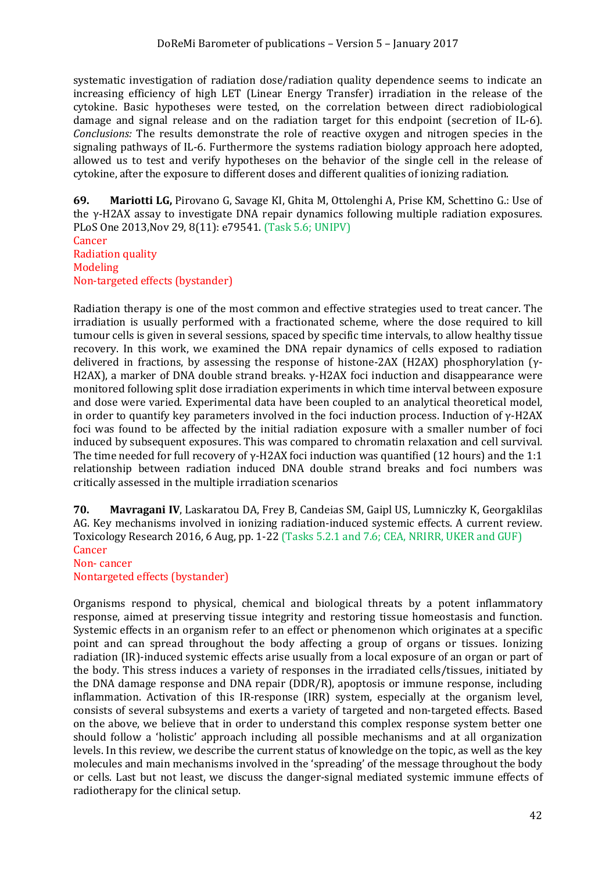systematic investigation of radiation dose/radiation quality dependence seems to indicate an increasing efficiency of high LET (Linear Energy Transfer) irradiation in the release of the cytokine. Basic hypotheses were tested, on the correlation between direct radiobiological damage and signal release and on the radiation target for this endpoint (secretion of IL-6). *Conclusions:* The results demonstrate the role of reactive oxygen and nitrogen species in the signaling pathways of IL-6. Furthermore the systems radiation biology approach here adopted, allowed us to test and verify hypotheses on the behavior of the single cell in the release of cytokine, after the exposure to different doses and different qualities of ionizing radiation.

**69. Mariotti LG,** Pirovano G, Savage KI, Ghita M, Ottolenghi A, Prise KM, Schettino G.: Use of the γ-H2AX assay to investigate DNA repair dynamics following multiple radiation exposures. PLoS One 2013,Nov 29, 8(11): e79541. (Task 5.6; UNIPV) Cancer Radiation quality Modeling Non-targeted effects (bystander)

Radiation therapy is one of the most common and effective strategies used to treat cancer. The irradiation is usually performed with a fractionated scheme, where the dose required to kill tumour cells is given in several sessions, spaced by specific time intervals, to allow healthy tissue recovery. In this work, we examined the DNA repair dynamics of cells exposed to radiation delivered in fractions, by assessing the response of histone-2AX (H2AX) phosphorylation (γ-H2AX), a marker of DNA double strand breaks.  $γ$ -H2AX foci induction and disappearance were monitored following split dose irradiation experiments in which time interval between exposure and dose were varied. Experimental data have been coupled to an analytical theoretical model, in order to quantify key parameters involved in the foci induction process. Induction of  $v$ -H2AX foci was found to be affected by the initial radiation exposure with a smaller number of foci induced by subsequent exposures. This was compared to chromatin relaxation and cell survival. The time needed for full recovery of  $\gamma$ -H2AX foci induction was quantified (12 hours) and the 1:1 relationship between radiation induced DNA double strand breaks and foci numbers was critically assessed in the multiple irradiation scenarios

**70. Mavragani IV**, Laskaratou DA, Frey B, Candeias SM, Gaipl US, Lumniczky K, Georgaklilas AG. Key mechanisms involved in ionizing radiation-induced systemic effects. A current review. Toxicology Research 2016, 6 Aug, pp. 1-22 (Tasks 5.2.1 and 7.6; CEA, NRIRR, UKER and GUF) **Cancer** 

Non- cancer

Nontargeted effects (bystander)

Organisms respond to physical, chemical and biological threats by a potent inflammatory response, aimed at preserving tissue integrity and restoring tissue homeostasis and function. Systemic effects in an organism refer to an effect or phenomenon which originates at a specific point and can spread throughout the body affecting a group of organs or tissues. Ionizing radiation (IR)-induced systemic effects arise usually from a local exposure of an organ or part of the body. This stress induces a variety of responses in the irradiated cells/tissues, initiated by the DNA damage response and DNA repair (DDR/R), apoptosis or immune response, including inflammation. Activation of this IR-response (IRR) system, especially at the organism level, consists of several subsystems and exerts a variety of targeted and non-targeted effects. Based on the above, we believe that in order to understand this complex response system better one should follow a 'holistic' approach including all possible mechanisms and at all organization levels. In this review, we describe the current status of knowledge on the topic, as well as the key molecules and main mechanisms involved in the 'spreading' of the message throughout the body or cells. Last but not least, we discuss the danger-signal mediated systemic immune effects of radiotherapy for the clinical setup.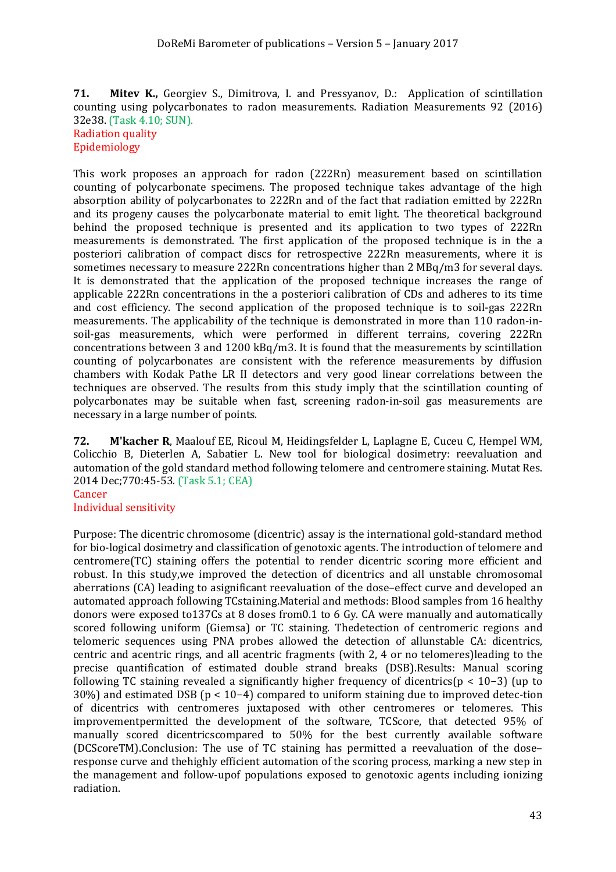**71. Mitev K.,** Georgiev S., Dimitrova, I. and Pressyanov, D.: Application of scintillation counting using polycarbonates to radon measurements. Radiation Measurements 92 (2016) 32e38. (Task 4.10; SUN). Radiation quality

## Epidemiology

This work proposes an approach for radon (222Rn) measurement based on scintillation counting of polycarbonate specimens. The proposed technique takes advantage of the high absorption ability of polycarbonates to 222Rn and of the fact that radiation emitted by 222Rn and its progeny causes the polycarbonate material to emit light. The theoretical background behind the proposed technique is presented and its application to two types of 222Rn measurements is demonstrated. The first application of the proposed technique is in the a posteriori calibration of compact discs for retrospective 222Rn measurements, where it is sometimes necessary to measure 222Rn concentrations higher than 2 MBq/m3 for several days. It is demonstrated that the application of the proposed technique increases the range of applicable 222Rn concentrations in the a posteriori calibration of CDs and adheres to its time and cost efficiency. The second application of the proposed technique is to soil-gas 222Rn measurements. The applicability of the technique is demonstrated in more than 110 radon-insoil-gas measurements, which were performed in different terrains, covering 222Rn concentrations between 3 and 1200 kBq/m3. It is found that the measurements by scintillation counting of polycarbonates are consistent with the reference measurements by diffusion chambers with Kodak Pathe LR II detectors and very good linear correlations between the techniques are observed. The results from this study imply that the scintillation counting of polycarbonates may be suitable when fast, screening radon-in-soil gas measurements are necessary in a large number of points.

**72. M'kacher R**, Maalouf EE, Ricoul M, Heidingsfelder L, Laplagne E, Cuceu C, Hempel WM, Colicchio B, Dieterlen A, Sabatier L. New tool for biological dosimetry: reevaluation and automation of the gold standard method following telomere and centromere staining. Mutat Res. 2014 Dec;770:45-53. (Task 5.1; CEA)

Cancer Individual sensitivity

Purpose: The dicentric chromosome (dicentric) assay is the international gold-standard method for bio-logical dosimetry and classification of genotoxic agents. The introduction of telomere and centromere(TC) staining offers the potential to render dicentric scoring more efficient and robust. In this study,we improved the detection of dicentrics and all unstable chromosomal aberrations (CA) leading to asignificant reevaluation of the dose–effect curve and developed an automated approach following TCstaining.Material and methods: Blood samples from 16 healthy donors were exposed to137Cs at 8 doses from0.1 to 6 Gy. CA were manually and automatically scored following uniform (Giemsa) or TC staining. Thedetection of centromeric regions and telomeric sequences using PNA probes allowed the detection of allunstable CA: dicentrics, centric and acentric rings, and all acentric fragments (with 2, 4 or no telomeres)leading to the precise quantification of estimated double strand breaks (DSB).Results: Manual scoring following TC staining revealed a significantly higher frequency of dicentrics( $p < 10-3$ ) (up to 30%) and estimated DSB (p < 10−4) compared to uniform staining due to improved detec-tion of dicentrics with centromeres juxtaposed with other centromeres or telomeres. This improvementpermitted the development of the software, TCScore, that detected 95% of manually scored dicentricscompared to 50% for the best currently available software (DCScoreTM).Conclusion: The use of TC staining has permitted a reevaluation of the dose– response curve and thehighly efficient automation of the scoring process, marking a new step in the management and follow-upof populations exposed to genotoxic agents including ionizing radiation.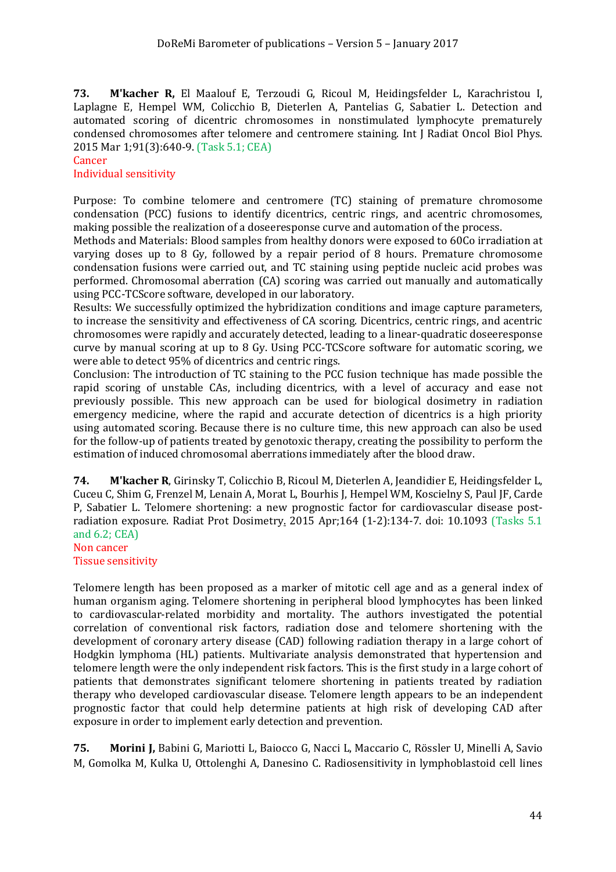**73. M'kacher R,** El Maalouf E, Terzoudi G, Ricoul M, Heidingsfelder L, Karachristou I, Laplagne E, Hempel WM, Colicchio B, Dieterlen A, Pantelias G, Sabatier L. Detection and automated scoring of dicentric chromosomes in nonstimulated lymphocyte prematurely condensed chromosomes after telomere and centromere staining. Int J Radiat Oncol Biol Phys. 2015 Mar 1;91(3):640-9. (Task 5.1; CEA)

#### Cancer

### Individual sensitivity

Purpose: To combine telomere and centromere (TC) staining of premature chromosome condensation (PCC) fusions to identify dicentrics, centric rings, and acentric chromosomes, making possible the realization of a doseeresponse curve and automation of the process.

Methods and Materials: Blood samples from healthy donors were exposed to 60Co irradiation at varying doses up to 8 Gy, followed by a repair period of 8 hours. Premature chromosome condensation fusions were carried out, and TC staining using peptide nucleic acid probes was performed. Chromosomal aberration (CA) scoring was carried out manually and automatically using PCC-TCScore software, developed in our laboratory.

Results: We successfully optimized the hybridization conditions and image capture parameters, to increase the sensitivity and effectiveness of CA scoring. Dicentrics, centric rings, and acentric chromosomes were rapidly and accurately detected, leading to a linear-quadratic doseeresponse curve by manual scoring at up to 8 Gy. Using PCC-TCScore software for automatic scoring, we were able to detect 95% of dicentrics and centric rings.

Conclusion: The introduction of TC staining to the PCC fusion technique has made possible the rapid scoring of unstable CAs, including dicentrics, with a level of accuracy and ease not previously possible. This new approach can be used for biological dosimetry in radiation emergency medicine, where the rapid and accurate detection of dicentrics is a high priority using automated scoring. Because there is no culture time, this new approach can also be used for the follow-up of patients treated by genotoxic therapy, creating the possibility to perform the estimation of induced chromosomal aberrations immediately after the blood draw.

**74. M'kacher R**, [Girinsky T,](http://www.ncbi.nlm.nih.gov/pubmed/?term=Girinsky%20T%5BAuthor%5D&cauthor=true&cauthor_uid=25274533) [Colicchio B,](http://www.ncbi.nlm.nih.gov/pubmed/?term=Colicchio%20B%5BAuthor%5D&cauthor=true&cauthor_uid=25274533) [Ricoul M,](http://www.ncbi.nlm.nih.gov/pubmed/?term=Ricoul%20M%5BAuthor%5D&cauthor=true&cauthor_uid=25274533) [Dieterlen A,](http://www.ncbi.nlm.nih.gov/pubmed/?term=Dieterlen%20A%5BAuthor%5D&cauthor=true&cauthor_uid=25274533) [Jeandidier E,](http://www.ncbi.nlm.nih.gov/pubmed/?term=Jeandidier%20E%5BAuthor%5D&cauthor=true&cauthor_uid=25274533) [Heidingsfelder L,](http://www.ncbi.nlm.nih.gov/pubmed/?term=Heidingsfelder%20L%5BAuthor%5D&cauthor=true&cauthor_uid=25274533) [Cuceu C,](http://www.ncbi.nlm.nih.gov/pubmed/?term=Cuceu%20C%5BAuthor%5D&cauthor=true&cauthor_uid=25274533) [Shim G,](http://www.ncbi.nlm.nih.gov/pubmed/?term=Shim%20G%5BAuthor%5D&cauthor=true&cauthor_uid=25274533) [Frenzel M,](http://www.ncbi.nlm.nih.gov/pubmed/?term=Frenzel%20M%5BAuthor%5D&cauthor=true&cauthor_uid=25274533) [Lenain A,](http://www.ncbi.nlm.nih.gov/pubmed/?term=Lenain%20A%5BAuthor%5D&cauthor=true&cauthor_uid=25274533) [Morat L,](http://www.ncbi.nlm.nih.gov/pubmed/?term=Morat%20L%5BAuthor%5D&cauthor=true&cauthor_uid=25274533) [Bourhis J,](http://www.ncbi.nlm.nih.gov/pubmed/?term=Bourhis%20J%5BAuthor%5D&cauthor=true&cauthor_uid=25274533) [Hempel WM,](http://www.ncbi.nlm.nih.gov/pubmed/?term=Hempel%20WM%5BAuthor%5D&cauthor=true&cauthor_uid=25274533) [Koscielny S,](http://www.ncbi.nlm.nih.gov/pubmed/?term=Koscielny%20S%5BAuthor%5D&cauthor=true&cauthor_uid=25274533) [Paul JF,](http://www.ncbi.nlm.nih.gov/pubmed/?term=Paul%20JF%5BAuthor%5D&cauthor=true&cauthor_uid=25274533) [Carde](http://www.ncbi.nlm.nih.gov/pubmed/?term=Carde%20P%5BAuthor%5D&cauthor=true&cauthor_uid=25274533)  [P,](http://www.ncbi.nlm.nih.gov/pubmed/?term=Carde%20P%5BAuthor%5D&cauthor=true&cauthor_uid=25274533) [Sabatier L.](http://www.ncbi.nlm.nih.gov/pubmed/?term=Sabatier%20L%5BAuthor%5D&cauthor=true&cauthor_uid=25274533) Telomere shortening: a new prognostic factor for cardiovascular disease postradiation exposure. Radiat Prot Dosimetry. 2015 Apr;164 (1-2):134-7. doi: 10.1093 (Tasks 5.1 and 6.2; CEA)

# Non cancer

### Tissue sensitivity

Telomere length has been proposed as a marker of mitotic cell age and as a general index of human organism aging. Telomere shortening in peripheral blood lymphocytes has been linked to cardiovascular-related morbidity and mortality. The authors investigated the potential correlation of conventional risk factors, radiation dose and telomere shortening with the development of coronary artery disease (CAD) following radiation therapy in a large cohort of Hodgkin lymphoma (HL) patients. Multivariate analysis demonstrated that hypertension and telomere length were the only independent risk factors. This is the first study in a large cohort of patients that demonstrates significant telomere shortening in patients treated by radiation therapy who developed cardiovascular disease. Telomere length appears to be an independent prognostic factor that could help determine patients at high risk of developing CAD after exposure in order to implement early detection and prevention.

**75. Morini J,** Babini G, Mariotti L, Baiocco G, Nacci L, Maccario C, Rössler U, Minelli A, Savio M, Gomolka M, Kulka U, Ottolenghi A, Danesino C. Radiosensitivity in lymphoblastoid cell lines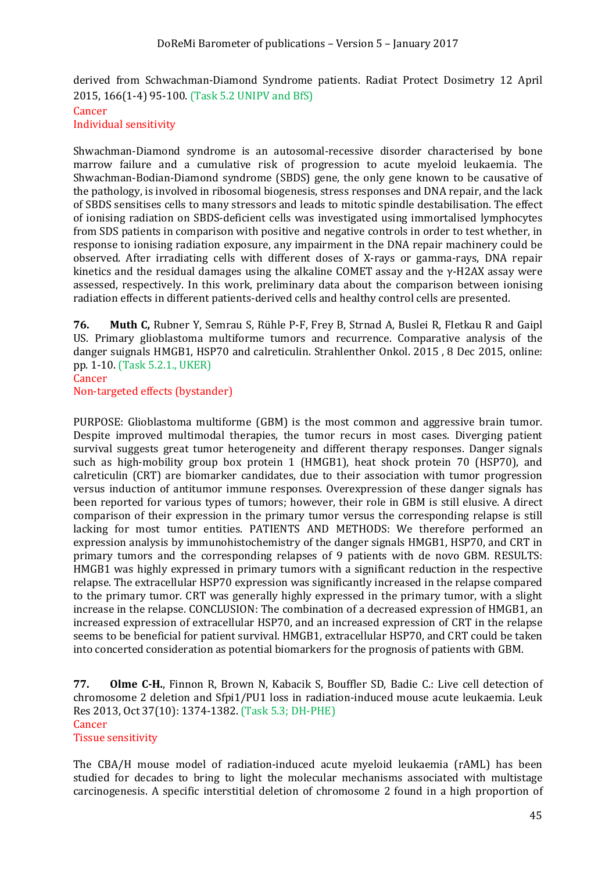derived from Schwachman-Diamond Syndrome patients. Radiat Protect Dosimetry 12 April 2015, 166(1-4) 95-100. (Task 5.2 UNIPV and BfS) **Cancer** Individual sensitivity

Shwachman-Diamond syndrome is an autosomal-recessive disorder characterised by bone marrow failure and a cumulative risk of progression to acute myeloid leukaemia. The Shwachman-Bodian-Diamond syndrome (SBDS) gene, the only gene known to be causative of the pathology, is involved in ribosomal biogenesis, stress responses and DNA repair, and the lack of SBDS sensitises cells to many stressors and leads to mitotic spindle destabilisation. The effect of ionising radiation on SBDS-deficient cells was investigated using immortalised lymphocytes from SDS patients in comparison with positive and negative controls in order to test whether, in response to ionising radiation exposure, any impairment in the DNA repair machinery could be observed. After irradiating cells with different doses of X-rays or gamma-rays, DNA repair kinetics and the residual damages using the alkaline COMET assay and the γ-H2AX assay were assessed, respectively. In this work, preliminary data about the comparison between ionising radiation effects in different patients-derived cells and healthy control cells are presented.

**76. Muth C,** Rubner Y, Semrau S, Rühle P-F, Frey B, Strnad A, Buslei R, FIetkau R and Gaipl US. Primary glioblastoma multiforme tumors and recurrence. Comparative analysis of the danger suignals HMGB1, HSP70 and calreticulin. Strahlenther Onkol. 2015 , 8 Dec 2015, online: pp. 1-10. (Task 5.2.1., UKER)

Cancer

Non-targeted effects (bystander)

PURPOSE: Glioblastoma multiforme (GBM) is the most common and aggressive brain tumor. Despite improved multimodal therapies, the tumor recurs in most cases. Diverging patient survival suggests great tumor heterogeneity and different therapy responses. Danger signals such as high-mobility group box protein 1 (HMGB1), heat shock protein 70 (HSP70), and calreticulin (CRT) are biomarker candidates, due to their association with tumor progression versus induction of antitumor immune responses. Overexpression of these danger signals has been reported for various types of tumors; however, their role in GBM is still elusive. A direct comparison of their expression in the primary tumor versus the corresponding relapse is still lacking for most tumor entities. PATIENTS AND METHODS: We therefore performed an expression analysis by immunohistochemistry of the danger signals HMGB1, HSP70, and CRT in primary tumors and the corresponding relapses of 9 patients with de novo GBM. RESULTS: HMGB1 was highly expressed in primary tumors with a significant reduction in the respective relapse. The extracellular HSP70 expression was significantly increased in the relapse compared to the primary tumor. CRT was generally highly expressed in the primary tumor, with a slight increase in the relapse. CONCLUSION: The combination of a decreased expression of HMGB1, an increased expression of extracellular HSP70, and an increased expression of CRT in the relapse seems to be beneficial for patient survival. HMGB1, extracellular HSP70, and CRT could be taken into concerted consideration as potential biomarkers for the prognosis of patients with GBM.

**77. Olme C-H.**, Finnon R, Brown N, Kabacik S, Bouffler SD, Badie C.: Live cell detection of chromosome 2 deletion and Sfpi1/PU1 loss in radiation-induced mouse acute leukaemia. Leuk Res 2013, Oct 37(10): 1374-1382. (Task 5.3; DH-PHE) Cancer

Tissue sensitivity

The CBA/H mouse model of radiation-induced acute myeloid leukaemia (rAML) has been studied for decades to bring to light the molecular mechanisms associated with multistage carcinogenesis. A specific interstitial deletion of chromosome 2 found in a high proportion of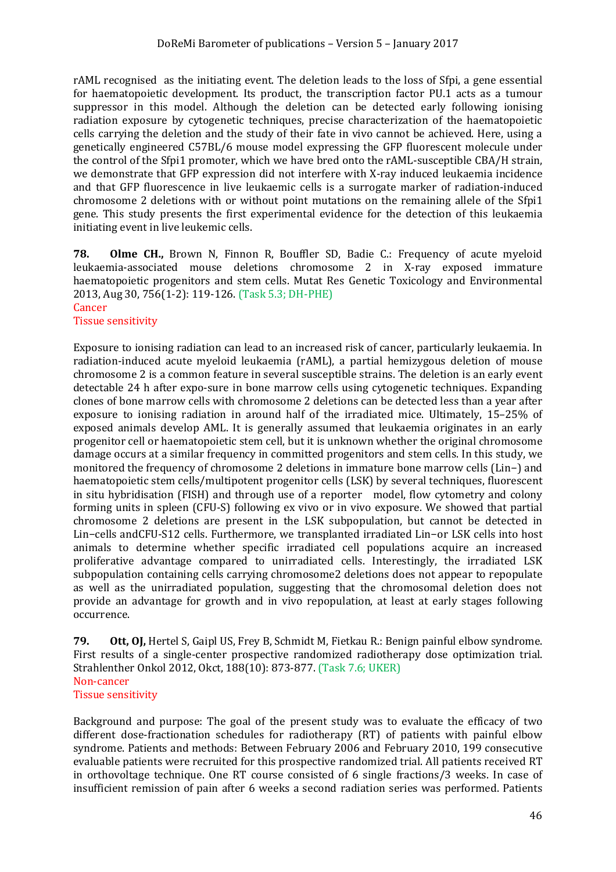rAML recognised as the initiating event. The deletion leads to the loss of Sfpi, a gene essential for haematopoietic development. Its product, the transcription factor PU.1 acts as a tumour suppressor in this model. Although the deletion can be detected early following ionising radiation exposure by cytogenetic techniques, precise characterization of the haematopoietic cells carrying the deletion and the study of their fate in vivo cannot be achieved. Here, using a genetically engineered C57BL/6 mouse model expressing the GFP fluorescent molecule under the control of the Sfpi1 promoter, which we have bred onto the rAML-susceptible CBA/H strain, we demonstrate that GFP expression did not interfere with X-ray induced leukaemia incidence and that GFP fluorescence in live leukaemic cells is a surrogate marker of radiation-induced chromosome 2 deletions with or without point mutations on the remaining allele of the Sfpi1 gene. This study presents the first experimental evidence for the detection of this leukaemia initiating event in live leukemic cells.

**78. Olme CH.,** Brown N, Finnon R, Bouffler SD, Badie C.: Frequency of acute myeloid leukaemia-associated mouse deletions chromosome 2 in X-ray exposed immature haematopoietic progenitors and stem cells. Mutat Res Genetic Toxicology and Environmental 2013, Aug 30, 756(1-2): 119-126. (Task 5.3; DH-PHE)

Cancer

Tissue sensitivity

Exposure to ionising radiation can lead to an increased risk of cancer, particularly leukaemia. In radiation-induced acute myeloid leukaemia (rAML), a partial hemizygous deletion of mouse chromosome 2 is a common feature in several susceptible strains. The deletion is an early event detectable 24 h after expo-sure in bone marrow cells using cytogenetic techniques. Expanding clones of bone marrow cells with chromosome 2 deletions can be detected less than a year after exposure to ionising radiation in around half of the irradiated mice. Ultimately, 15–25% of exposed animals develop AML. It is generally assumed that leukaemia originates in an early progenitor cell or haematopoietic stem cell, but it is unknown whether the original chromosome damage occurs at a similar frequency in committed progenitors and stem cells. In this study, we monitored the frequency of chromosome 2 deletions in immature bone marrow cells (Lin−) and haematopoietic stem cells/multipotent progenitor cells (LSK) by several techniques, fluorescent in situ hybridisation (FISH) and through use of a reporter model, flow cytometry and colony forming units in spleen (CFU-S) following ex vivo or in vivo exposure. We showed that partial chromosome 2 deletions are present in the LSK subpopulation, but cannot be detected in Lin−cells andCFU-S12 cells. Furthermore, we transplanted irradiated Lin−or LSK cells into host animals to determine whether specific irradiated cell populations acquire an increased proliferative advantage compared to unirradiated cells. Interestingly, the irradiated LSK subpopulation containing cells carrying chromosome2 deletions does not appear to repopulate as well as the unirradiated population, suggesting that the chromosomal deletion does not provide an advantage for growth and in vivo repopulation, at least at early stages following occurrence.

**79. Ott, OJ,** Hertel S, Gaipl US, Frey B, Schmidt M, Fietkau R.: Benign painful elbow syndrome. First results of a single-center prospective randomized radiotherapy dose optimization trial. Strahlenther Onkol 2012, Okct, 188(10): 873-877. (Task 7.6; UKER) Non-cancer

#### Tissue sensitivity

Background and purpose: The goal of the present study was to evaluate the efficacy of two different dose-fractionation schedules for radiotherapy (RT) of patients with painful elbow syndrome. Patients and methods: Between February 2006 and February 2010, 199 consecutive evaluable patients were recruited for this prospective randomized trial. All patients received RT in orthovoltage technique. One RT course consisted of 6 single fractions/3 weeks. In case of insufficient remission of pain after 6 weeks a second radiation series was performed. Patients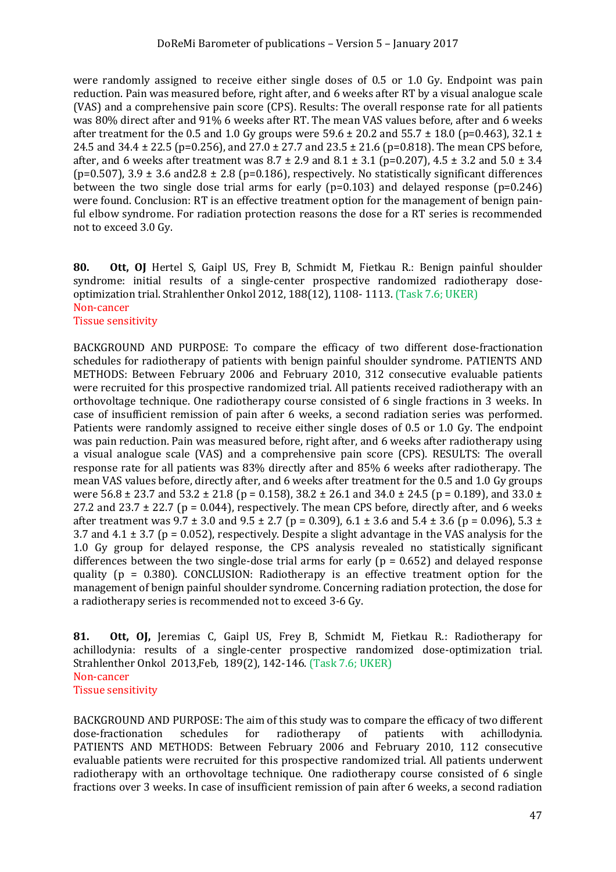were randomly assigned to receive either single doses of 0.5 or 1.0 Gy. Endpoint was pain reduction. Pain was measured before, right after, and 6 weeks after RT by a visual analogue scale (VAS) and a comprehensive pain score (CPS). Results: The overall response rate for all patients was 80% direct after and 91% 6 weeks after RT. The mean VAS values before, after and 6 weeks after treatment for the 0.5 and 1.0 Gy groups were  $59.6 \pm 20.2$  and  $55.7 \pm 18.0$  (p=0.463), 32.1  $\pm$ 24.5 and 34.4  $\pm$  22.5 (p=0.256), and 27.0  $\pm$  27.7 and 23.5  $\pm$  21.6 (p=0.818). The mean CPS before, after, and 6 weeks after treatment was  $8.7 \pm 2.9$  and  $8.1 \pm 3.1$  (p=0.207),  $4.5 \pm 3.2$  and  $5.0 \pm 3.4$  $(p=0.507)$ , 3.9  $\pm$  3.6 and 2.8  $\pm$  2.8 (p=0.186), respectively. No statistically significant differences between the two single dose trial arms for early (p=0.103) and delayed response (p=0.246) were found. Conclusion: RT is an effective treatment option for the management of benign painful elbow syndrome. For radiation protection reasons the dose for a RT series is recommended not to exceed 3.0 Gy.

**80. Ott, OJ** Hertel S, Gaipl US, Frey B, Schmidt M, Fietkau R.: Benign painful shoulder syndrome: initial results of a single-center prospective randomized radiotherapy doseoptimization trial. Strahlenther Onkol 2012, 188(12), 1108- 1113. (Task 7.6; UKER) Non-cancer Tissue sensitivity

BACKGROUND AND PURPOSE: To compare the efficacy of two different dose-fractionation schedules for radiotherapy of patients with benign painful shoulder syndrome. PATIENTS AND METHODS: Between February 2006 and February 2010, 312 consecutive evaluable patients were recruited for this prospective randomized trial. All patients received radiotherapy with an orthovoltage technique. One radiotherapy course consisted of 6 single fractions in 3 weeks. In case of insufficient remission of pain after 6 weeks, a second radiation series was performed. Patients were randomly assigned to receive either single doses of 0.5 or 1.0 Gy. The endpoint was pain reduction. Pain was measured before, right after, and 6 weeks after radiotherapy using a visual analogue scale (VAS) and a comprehensive pain score (CPS). RESULTS: The overall response rate for all patients was 83% directly after and 85% 6 weeks after radiotherapy. The mean VAS values before, directly after, and 6 weeks after treatment for the 0.5 and 1.0 Gy groups were 56.8  $\pm$  23.7 and 53.2  $\pm$  21.8 (p = 0.158), 38.2  $\pm$  26.1 and 34.0  $\pm$  24.5 (p = 0.189), and 33.0  $\pm$ 27.2 and 23.7  $\pm$  22.7 (p = 0.044), respectively. The mean CPS before, directly after, and 6 weeks after treatment was  $9.7 \pm 3.0$  and  $9.5 \pm 2.7$  (p = 0.309), 6.1  $\pm$  3.6 and 5.4  $\pm$  3.6 (p = 0.096), 5.3  $\pm$ 3.7 and  $4.1 \pm 3.7$  (p = 0.052), respectively. Despite a slight advantage in the VAS analysis for the 1.0 Gy group for delayed response, the CPS analysis revealed no statistically significant differences between the two single-dose trial arms for early ( $p = 0.652$ ) and delayed response quality (p = 0.380). CONCLUSION: Radiotherapy is an effective treatment option for the management of benign painful shoulder syndrome. Concerning radiation protection, the dose for a radiotherapy series is recommended not to exceed 3-6 Gy.

**81. Ott, OJ,** Jeremias C, Gaipl US, Frey B, Schmidt M, Fietkau R.: Radiotherapy for achillodynia: results of a single-center prospective randomized dose-optimization trial. Strahlenther Onkol 2013,Feb, 189(2), 142-146. (Task 7.6; UKER) Non-cancer

Tissue sensitivity

BACKGROUND AND PURPOSE: The aim of this study was to compare the efficacy of two different<br>dose-fractionation schedules for radiotherapy of patients with achillodynia. dose-fractionation schedules for radiotherapy of patients with achillodynia. PATIENTS AND METHODS: Between February 2006 and February 2010, 112 consecutive evaluable patients were recruited for this prospective randomized trial. All patients underwent radiotherapy with an orthovoltage technique. One radiotherapy course consisted of 6 single fractions over 3 weeks. In case of insufficient remission of pain after 6 weeks, a second radiation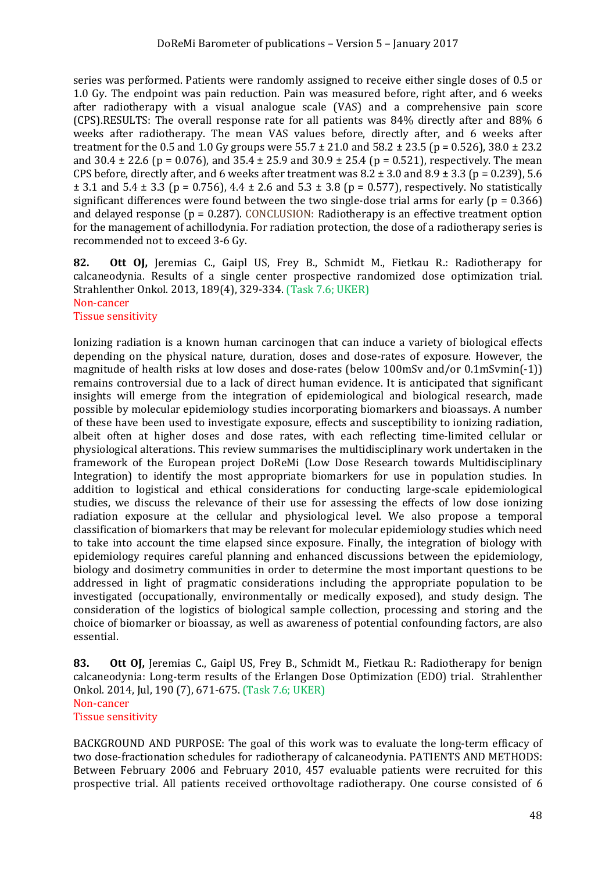series was performed. Patients were randomly assigned to receive either single doses of 0.5 or 1.0 Gy. The endpoint was pain reduction. Pain was measured before, right after, and 6 weeks after radiotherapy with a visual analogue scale (VAS) and a comprehensive pain score (CPS).RESULTS: The overall response rate for all patients was 84% directly after and 88% 6 weeks after radiotherapy. The mean VAS values before, directly after, and 6 weeks after treatment for the 0.5 and 1.0 Gy groups were  $55.7 \pm 21.0$  and  $58.2 \pm 23.5$  (p = 0.526), 38.0  $\pm$  23.2 and 30.4  $\pm$  22.6 (p = 0.076), and 35.4  $\pm$  25.9 and 30.9  $\pm$  25.4 (p = 0.521), respectively. The mean CPS before, directly after, and 6 weeks after treatment was  $8.2 \pm 3.0$  and  $8.9 \pm 3.3$  (p = 0.239), 5.6  $\pm$  3.1 and 5.4  $\pm$  3.3 (p = 0.756), 4.4  $\pm$  2.6 and 5.3  $\pm$  3.8 (p = 0.577), respectively. No statistically significant differences were found between the two single-dose trial arms for early ( $p = 0.366$ ) and delayed response (p = 0.287). CONCLUSION: Radiotherapy is an effective treatment option for the management of achillodynia. For radiation protection, the dose of a radiotherapy series is recommended not to exceed 3-6 Gy.

**82. Ott OJ,** Jeremias C., Gaipl US, Frey B., Schmidt M., Fietkau R.: Radiotherapy for calcaneodynia. Results of a single center prospective randomized dose optimization trial. Strahlenther Onkol. 2013, 189(4), 329-334. (Task 7.6; UKER) Non-cancer

Tissue sensitivity

Ionizing radiation is a known human carcinogen that can induce a variety of biological effects depending on the physical nature, duration, doses and dose-rates of exposure. However, the magnitude of health risks at low doses and dose-rates (below 100mSv and/or 0.1mSvmin(-1)) remains controversial due to a lack of direct human evidence. It is anticipated that significant insights will emerge from the integration of epidemiological and biological research, made possible by molecular epidemiology studies incorporating biomarkers and bioassays. A number of these have been used to investigate exposure, effects and susceptibility to ionizing radiation, albeit often at higher doses and dose rates, with each reflecting time-limited cellular or physiological alterations. This review summarises the multidisciplinary work undertaken in the framework of the European project DoReMi (Low Dose Research towards Multidisciplinary Integration) to identify the most appropriate biomarkers for use in population studies. In addition to logistical and ethical considerations for conducting large-scale epidemiological studies, we discuss the relevance of their use for assessing the effects of low dose ionizing radiation exposure at the cellular and physiological level. We also propose a temporal classification of biomarkers that may be relevant for molecular epidemiology studies which need to take into account the time elapsed since exposure. Finally, the integration of biology with epidemiology requires careful planning and enhanced discussions between the epidemiology, biology and dosimetry communities in order to determine the most important questions to be addressed in light of pragmatic considerations including the appropriate population to be investigated (occupationally, environmentally or medically exposed), and study design. The consideration of the logistics of biological sample collection, processing and storing and the choice of biomarker or bioassay, as well as awareness of potential confounding factors, are also essential.

**83. Ott OJ,** Jeremias C., Gaipl US, Frey B., Schmidt M., Fietkau R.: Radiotherapy for benign calcaneodynia: Long-term results of the Erlangen Dose Optimization (EDO) trial. Strahlenther Onkol. 2014, Jul, 190 (7), 671-675. (Task 7.6; UKER) Non-cancer Tissue sensitivity

BACKGROUND AND PURPOSE: The goal of this work was to evaluate the long-term efficacy of two dose-fractionation schedules for radiotherapy of calcaneodynia. PATIENTS AND METHODS: Between February 2006 and February 2010, 457 evaluable patients were recruited for this prospective trial. All patients received orthovoltage radiotherapy. One course consisted of 6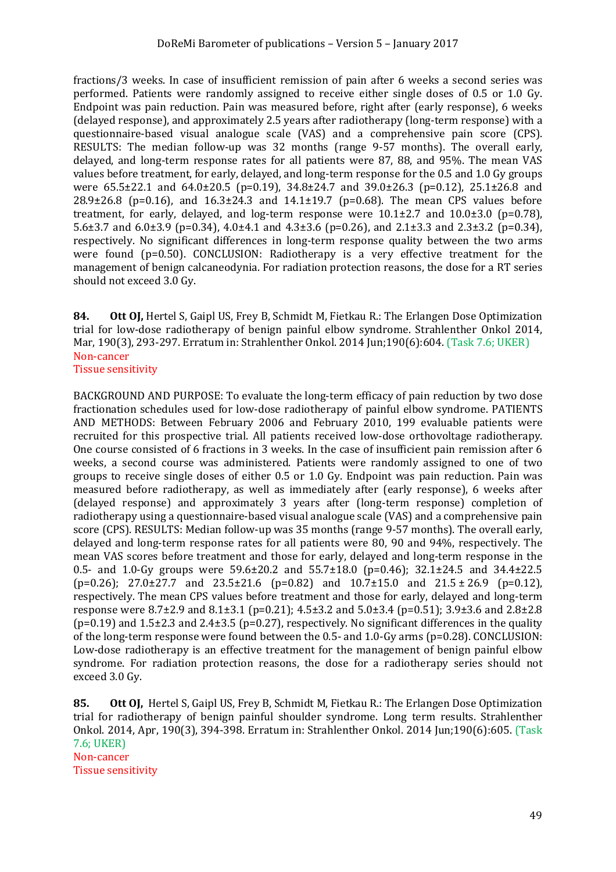fractions/3 weeks. In case of insufficient remission of pain after 6 weeks a second series was performed. Patients were randomly assigned to receive either single doses of 0.5 or 1.0 Gy. Endpoint was pain reduction. Pain was measured before, right after (early response), 6 weeks (delayed response), and approximately 2.5 years after radiotherapy (long-term response) with a questionnaire-based visual analogue scale (VAS) and a comprehensive pain score (CPS). RESULTS: The median follow-up was 32 months (range 9-57 months). The overall early, delayed, and long-term response rates for all patients were 87, 88, and 95%. The mean VAS values before treatment, for early, delayed, and long-term response for the 0.5 and 1.0 Gy groups were 65.5±22.1 and 64.0±20.5 (p=0.19), 34.8±24.7 and 39.0±26.3 (p=0.12), 25.1±26.8 and 28.9 $\pm$ 26.8 (p=0.16), and 16.3 $\pm$ 24.3 and 14.1 $\pm$ 19.7 (p=0.68). The mean CPS values before treatment, for early, delayed, and log-term response were  $10.1\pm2.7$  and  $10.0\pm3.0$  (p=0.78), 5.6 $\pm$ 3.7 and 6.0 $\pm$ 3.9 (p=0.34), 4.0 $\pm$ 4.1 and 4.3 $\pm$ 3.6 (p=0.26), and 2.1 $\pm$ 3.3 and 2.3 $\pm$ 3.2 (p=0.34), respectively. No significant differences in long-term response quality between the two arms were found (p=0.50). CONCLUSION: Radiotherapy is a very effective treatment for the management of benign calcaneodynia. For radiation protection reasons, the dose for a RT series should not exceed 3.0 Gy.

**84. Ott OJ,** Hertel S, Gaipl US, Frey B, Schmidt M, Fietkau R.: The Erlangen Dose Optimization trial for low-dose radiotherapy of benign painful elbow syndrome. Strahlenther Onkol 2014, Mar, 190(3), 293-297. Erratum in: Strahlenther Onkol. 2014 Jun;190(6):604. (Task 7.6; UKER) Non-cancer

Tissue sensitivity

BACKGROUND AND PURPOSE: To evaluate the long-term efficacy of pain reduction by two dose fractionation schedules used for low-dose radiotherapy of painful elbow syndrome. PATIENTS AND METHODS: Between February 2006 and February 2010, 199 evaluable patients were recruited for this prospective trial. All patients received low-dose orthovoltage radiotherapy. One course consisted of 6 fractions in 3 weeks. In the case of insufficient pain remission after 6 weeks, a second course was administered. Patients were randomly assigned to one of two groups to receive single doses of either 0.5 or 1.0 Gy. Endpoint was pain reduction. Pain was measured before radiotherapy, as well as immediately after (early response), 6 weeks after (delayed response) and approximately 3 years after (long-term response) completion of radiotherapy using a questionnaire-based visual analogue scale (VAS) and a comprehensive pain score (CPS). RESULTS: Median follow-up was 35 months (range 9-57 months). The overall early, delayed and long-term response rates for all patients were 80, 90 and 94%, respectively. The mean VAS scores before treatment and those for early, delayed and long-term response in the 0.5- and 1.0-Gy groups were  $59.6\pm20.2$  and  $55.7\pm18.0$  (p=0.46); 32.1 $\pm24.5$  and 34.4 $\pm22.5$  $(p=0.26)$ ; 27.0 $\pm$ 27.7 and 23.5 $\pm$ 21.6 (p=0.82) and 10.7 $\pm$ 15.0 and 21.5 $\pm$ 26.9 (p=0.12), respectively. The mean CPS values before treatment and those for early, delayed and long-term response were 8.7±2.9 and 8.1±3.1 (p=0.21); 4.5±3.2 and 5.0±3.4 (p=0.51); 3.9±3.6 and 2.8±2.8  $(p=0.19)$  and  $1.5\pm2.3$  and  $2.4\pm3.5$  ( $p=0.27$ ), respectively. No significant differences in the quality of the long-term response were found between the 0.5- and 1.0-Gy arms (p=0.28). CONCLUSION: Low-dose radiotherapy is an effective treatment for the management of benign painful elbow syndrome. For radiation protection reasons, the dose for a radiotherapy series should not exceed 3.0 Gy.

**85. Ott OJ,** Hertel S, Gaipl US, Frey B, Schmidt M, Fietkau R.: The Erlangen Dose Optimization trial for radiotherapy of benign painful shoulder syndrome. Long term results. Strahlenther Onkol. 2014, Apr, 190(3), 394-398. Erratum in: Strahlenther Onkol. 2014 Jun;190(6):605. (Task 7.6; UKER) Non-cancer Tissue sensitivity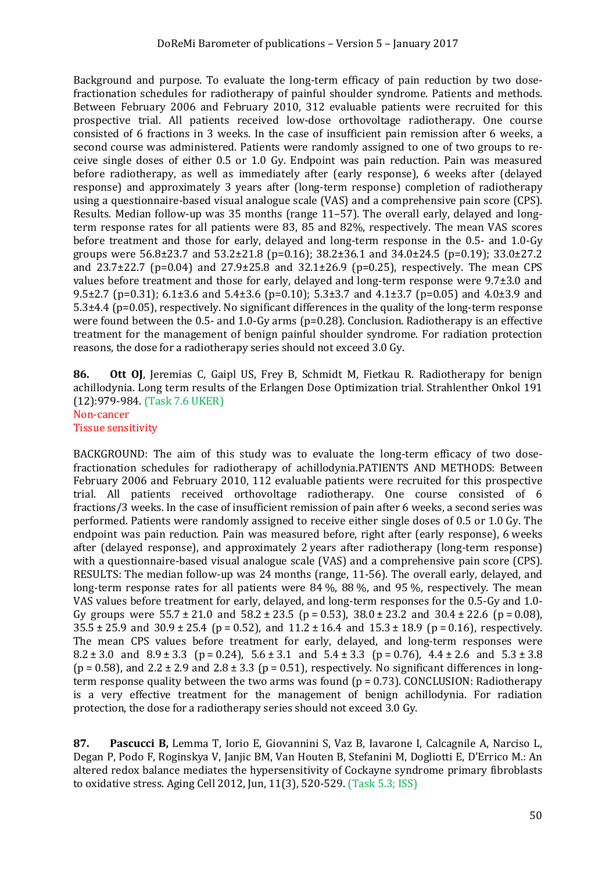Background and purpose. To evaluate the long-term efficacy of pain reduction by two dosefractionation schedules for radiotherapy of painful shoulder syndrome. Patients and methods. Between February 2006 and February 2010, 312 evaluable patients were recruited for this prospective trial. All patients received low-dose orthovoltage radiotherapy. One course consisted of 6 fractions in 3 weeks. In the case of insufficient pain remission after 6 weeks, a second course was administered. Patients were randomly assigned to one of two groups to receive single doses of either 0.5 or 1.0 Gy. Endpoint was pain reduction. Pain was measured before radiotherapy, as well as immediately after (early response), 6 weeks after (delayed response) and approximately 3 years after (long-term response) completion of radiotherapy using a questionnaire-based visual analogue scale (VAS) and a comprehensive pain score (CPS). Results. Median follow-up was 35 months (range 11–57). The overall early, delayed and longterm response rates for all patients were 83, 85 and 82%, respectively. The mean VAS scores before treatment and those for early, delayed and long-term response in the 0.5- and 1.0-Gy groups were 56.8±23.7 and 53.2±21.8 (p=0.16); 38.2±36.1 and 34.0±24.5 (p=0.19); 33.0±27.2 and  $23.7\pm22.7$  (p=0.04) and  $27.9\pm25.8$  and  $32.1\pm26.9$  (p=0.25), respectively. The mean CPS values before treatment and those for early, delayed and long-term response were 9.7±3.0 and 9.5±2.7 (p=0.31); 6.1±3.6 and 5.4±3.6 (p=0.10); 5.3±3.7 and 4.1±3.7 (p=0.05) and 4.0±3.9 and 5.3±4.4 (p=0.05), respectively. No significant differences in the quality of the long-term response were found between the 0.5- and 1.0-Gy arms (p=0.28). Conclusion. Radiotherapy is an effective treatment for the management of benign painful shoulder syndrome. For radiation protection reasons, the dose for a radiotherapy series should not exceed 3.0 Gy.

**86. Ott OJ**, Jeremias C, Gaipl US, Frey B, Schmidt M, Fietkau R. Radiotherapy for benign achillodynia. Long term results of the Erlangen Dose Optimization trial. Strahlenther Onkol 191 (12):979-984. (Task 7.6 UKER) Non-cancer

Tissue sensitivity

BACKGROUND: The aim of this study was to evaluate the long-term efficacy of two dosefractionation schedules for radiotherapy of achillodynia.PATIENTS AND METHODS: Between February 2006 and February 2010, 112 evaluable patients were recruited for this prospective trial. All patients received orthovoltage radiotherapy. One course consisted of 6 fractions/3 weeks. In the case of insufficient remission of pain after 6 weeks, a second series was performed. Patients were randomly assigned to receive either single doses of 0.5 or 1.0 Gy. The endpoint was pain reduction. Pain was measured before, right after (early response), 6 weeks after (delayed response), and approximately 2 years after radiotherapy (long-term response) with a questionnaire-based visual analogue scale (VAS) and a comprehensive pain score (CPS). RESULTS: The median follow-up was 24 months (range, 11-56). The overall early, delayed, and long-term response rates for all patients were 84 %, 88 %, and 95 %, respectively. The mean VAS values before treatment for early, delayed, and long-term responses for the 0.5-Gy and 1.0- Gy groups were  $55.7 \pm 21.0$  and  $58.2 \pm 23.5$  (p = 0.53),  $38.0 \pm 23.2$  and  $30.4 \pm 22.6$  (p = 0.08),  $35.5 \pm 25.9$  and  $30.9 \pm 25.4$  (p = 0.52), and  $11.2 \pm 16.4$  and  $15.3 \pm 18.9$  (p = 0.16), respectively. The mean CPS values before treatment for early, delayed, and long-term responses were 8.2  $\pm$  3.0 and 8.9  $\pm$  3.3 (p = 0.24), 5.6  $\pm$  3.1 and 5.4  $\pm$  3.3 (p = 0.76), 4.4  $\pm$  2.6 and 5.3  $\pm$  3.8  $(p = 0.58)$ , and  $2.2 \pm 2.9$  and  $2.8 \pm 3.3$  (p = 0.51), respectively. No significant differences in longterm response quality between the two arms was found  $(p = 0.73)$ . CONCLUSION: Radiotherapy is a very effective treatment for the management of benign achillodynia. For radiation protection, the dose for a radiotherapy series should not exceed 3.0 Gy.

**87. Pascucci B,** Lemma T, Iorio E, Giovannini S, Vaz B, Iavarone I, Calcagnile A, Narciso L, Degan P, Podo F, Roginskya V, Janjic BM, Van Houten B, Stefanini M, Dogliotti E, D'Errico M.: An altered redox balance mediates the hypersensitivity of Cockayne syndrome primary fibroblasts to oxidative stress. Aging Cell 2012, Jun, 11(3), 520-529. (Task 5.3; ISS)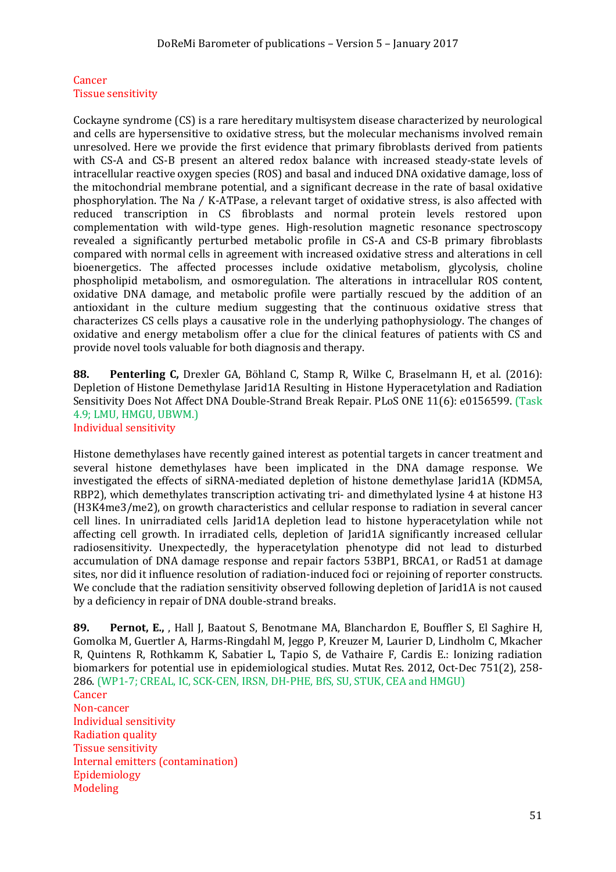### Cancer Tissue sensitivity

Modeling

Cockayne syndrome (CS) is a rare hereditary multisystem disease characterized by neurological and cells are hypersensitive to oxidative stress, but the molecular mechanisms involved remain unresolved. Here we provide the first evidence that primary fibroblasts derived from patients with CS-A and CS-B present an altered redox balance with increased steady-state levels of intracellular reactive oxygen species (ROS) and basal and induced DNA oxidative damage, loss of the mitochondrial membrane potential, and a significant decrease in the rate of basal oxidative phosphorylation. The Na ⁄ K-ATPase, a relevant target of oxidative stress, is also affected with reduced transcription in CS fibroblasts and normal protein levels restored upon complementation with wild-type genes. High-resolution magnetic resonance spectroscopy revealed a significantly perturbed metabolic profile in CS-A and CS-B primary fibroblasts compared with normal cells in agreement with increased oxidative stress and alterations in cell bioenergetics. The affected processes include oxidative metabolism, glycolysis, choline phospholipid metabolism, and osmoregulation. The alterations in intracellular ROS content, oxidative DNA damage, and metabolic profile were partially rescued by the addition of an antioxidant in the culture medium suggesting that the continuous oxidative stress that characterizes CS cells plays a causative role in the underlying pathophysiology. The changes of oxidative and energy metabolism offer a clue for the clinical features of patients with CS and provide novel tools valuable for both diagnosis and therapy.

**88. Penterling C,** Drexler GA, Böhland C, Stamp R, Wilke C, Braselmann H, et al. (2016): Depletion of Histone Demethylase Jarid1A Resulting in Histone Hyperacetylation and Radiation Sensitivity Does Not Affect DNA Double-Strand Break Repair. PLoS ONE 11(6): e0156599. (Task 4.9; LMU, HMGU, UBWM.) Individual sensitivity

Histone demethylases have recently gained interest as potential targets in cancer treatment and several histone demethylases have been implicated in the DNA damage response. We investigated the effects of siRNA-mediated depletion of histone demethylase Jarid1A (KDM5A, RBP2), which demethylates transcription activating tri- and dimethylated lysine 4 at histone H3 (H3K4me3/me2), on growth characteristics and cellular response to radiation in several cancer cell lines. In unirradiated cells Jarid1A depletion lead to histone hyperacetylation while not affecting cell growth. In irradiated cells, depletion of Jarid1A significantly increased cellular radiosensitivity. Unexpectedly, the hyperacetylation phenotype did not lead to disturbed accumulation of DNA damage response and repair factors 53BP1, BRCA1, or Rad51 at damage sites, nor did it influence resolution of radiation-induced foci or rejoining of reporter constructs. We conclude that the radiation sensitivity observed following depletion of Jarid1A is not caused by a deficiency in repair of DNA double-strand breaks.

**89. Pernot, E.,** , Hall J, Baatout S, Benotmane MA, Blanchardon E, Bouffler S, El Saghire H, Gomolka M, Guertler A, Harms-Ringdahl M, Jeggo P, Kreuzer M, Laurier D, Lindholm C, Mkacher R, Quintens R, Rothkamm K, Sabatier L, Tapio S, de Vathaire F, Cardis E.: Ionizing radiation biomarkers for potential use in epidemiological studies. Mutat Res. 2012, Oct-Dec 751(2), 258- 286. (WP1-7; CREAL, IC, SCK-CEN, IRSN, DH-PHE, BfS, SU, STUK, CEA and HMGU) **Cancer** Non-cancer Individual sensitivity Radiation quality Tissue sensitivity Internal emitters (contamination) Epidemiology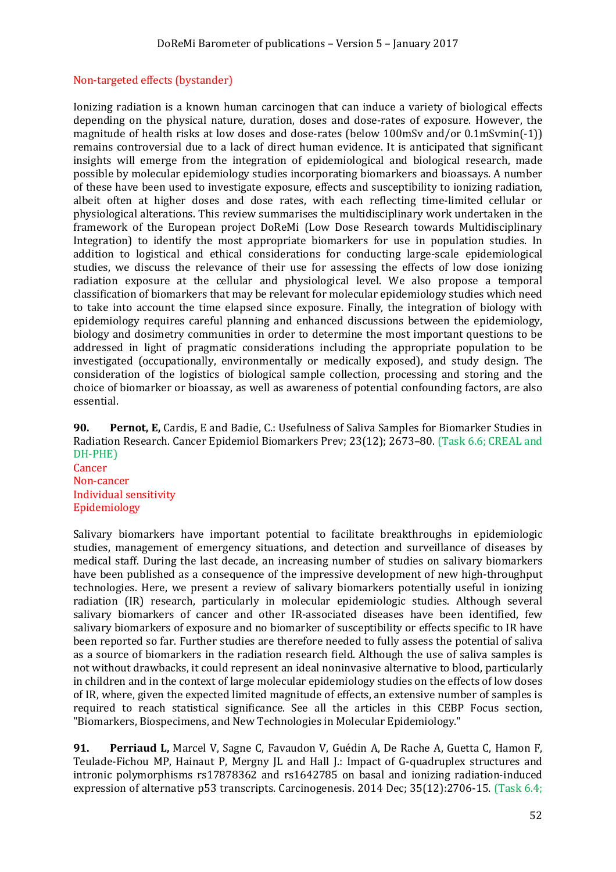### Non-targeted effects (bystander)

Ionizing radiation is a known human carcinogen that can induce a variety of biological effects depending on the physical nature, duration, doses and dose-rates of exposure. However, the magnitude of health risks at low doses and dose-rates (below 100mSv and/or 0.1mSvmin(-1)) remains controversial due to a lack of direct human evidence. It is anticipated that significant insights will emerge from the integration of epidemiological and biological research, made possible by molecular epidemiology studies incorporating biomarkers and bioassays. A number of these have been used to investigate exposure, effects and susceptibility to ionizing radiation, albeit often at higher doses and dose rates, with each reflecting time-limited cellular or physiological alterations. This review summarises the multidisciplinary work undertaken in the framework of the European project DoReMi (Low Dose Research towards Multidisciplinary Integration) to identify the most appropriate biomarkers for use in population studies. In addition to logistical and ethical considerations for conducting large-scale epidemiological studies, we discuss the relevance of their use for assessing the effects of low dose ionizing radiation exposure at the cellular and physiological level. We also propose a temporal classification of biomarkers that may be relevant for molecular epidemiology studies which need to take into account the time elapsed since exposure. Finally, the integration of biology with epidemiology requires careful planning and enhanced discussions between the epidemiology, biology and dosimetry communities in order to determine the most important questions to be addressed in light of pragmatic considerations including the appropriate population to be investigated (occupationally, environmentally or medically exposed), and study design. The consideration of the logistics of biological sample collection, processing and storing and the choice of biomarker or bioassay, as well as awareness of potential confounding factors, are also essential.

**90. Pernot, E,** Cardis, E and Badie, C.: Usefulness of Saliva Samples for Biomarker Studies in Radiation Research. Cancer Epidemiol Biomarkers Prev; 23(12); 2673–80. (Task 6.6; CREAL and DH-PHE) **Cancer** Non-cancer Individual sensitivity Epidemiology

Salivary biomarkers have important potential to facilitate breakthroughs in epidemiologic studies, management of emergency situations, and detection and surveillance of diseases by medical staff. During the last decade, an increasing number of studies on salivary biomarkers have been published as a consequence of the impressive development of new high-throughput technologies. Here, we present a review of salivary biomarkers potentially useful in ionizing radiation (IR) research, particularly in molecular epidemiologic studies. Although several salivary biomarkers of cancer and other IR-associated diseases have been identified, few salivary biomarkers of exposure and no biomarker of susceptibility or effects specific to IR have been reported so far. Further studies are therefore needed to fully assess the potential of saliva as a source of biomarkers in the radiation research field. Although the use of saliva samples is not without drawbacks, it could represent an ideal noninvasive alternative to blood, particularly in children and in the context of large molecular epidemiology studies on the effects of low doses of IR, where, given the expected limited magnitude of effects, an extensive number of samples is required to reach statistical significance. See all the articles in this CEBP Focus section, "Biomarkers, Biospecimens, and New Technologies in Molecular Epidemiology."

**91. Perriaud L,** Marcel V, Sagne C, Favaudon V, Guédin A, De Rache A, Guetta C, Hamon F, Teulade-Fichou MP, Hainaut P, Mergny JL and Hall J.: Impact of G-quadruplex structures and intronic polymorphisms rs17878362 and rs1642785 on basal and ionizing radiation-induced expression of alternative p53 transcripts. Carcinogenesis. 2014 Dec; 35(12):2706-15. (Task 6.4;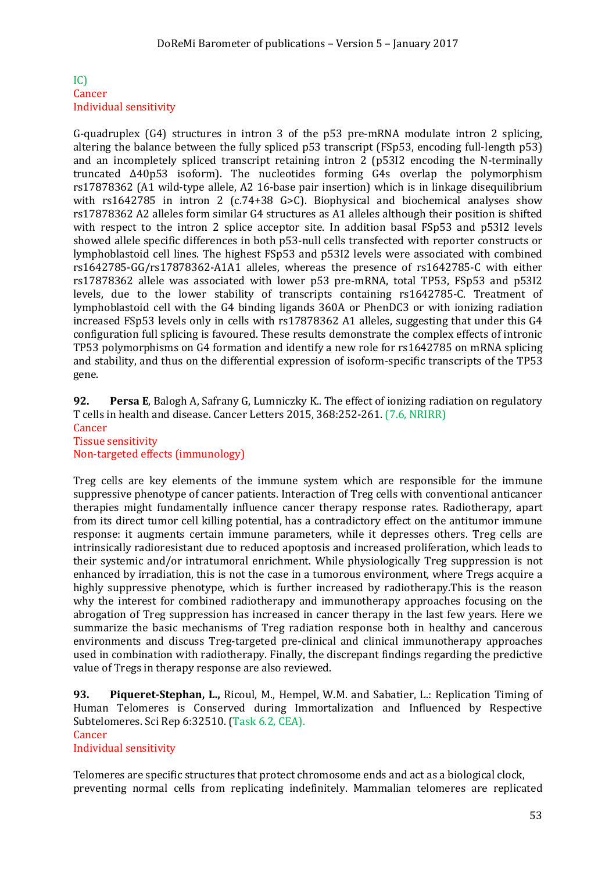### IC) **Cancer** Individual sensitivity

G-quadruplex (G4) structures in intron 3 of the p53 pre-mRNA modulate intron 2 splicing, altering the balance between the fully spliced p53 transcript (FSp53, encoding full-length p53) and an incompletely spliced transcript retaining intron 2 (p53I2 encoding the N-terminally truncated Δ40p53 isoform). The nucleotides forming G4s overlap the polymorphism rs17878362 (A1 wild-type allele, A2 16-base pair insertion) which is in linkage disequilibrium with rs1642785 in intron 2 (c.74+38 G>C). Biophysical and biochemical analyses show rs17878362 A2 alleles form similar G4 structures as A1 alleles although their position is shifted with respect to the intron 2 splice acceptor site. In addition basal FSp53 and p53I2 levels showed allele specific differences in both p53-null cells transfected with reporter constructs or lymphoblastoid cell lines. The highest FSp53 and p53I2 levels were associated with combined rs1642785-GG/rs17878362-A1A1 alleles, whereas the presence of rs1642785-C with either rs17878362 allele was associated with lower p53 pre-mRNA, total TP53, FSp53 and p53I2 levels, due to the lower stability of transcripts containing rs1642785-C. Treatment of lymphoblastoid cell with the G4 binding ligands 360A or PhenDC3 or with ionizing radiation increased FSp53 levels only in cells with rs17878362 A1 alleles, suggesting that under this G4 configuration full splicing is favoured. These results demonstrate the complex effects of intronic TP53 polymorphisms on G4 formation and identify a new role for rs1642785 on mRNA splicing and stability, and thus on the differential expression of isoform-specific transcripts of the TP53 gene.

### **92. Persa E**, Balogh A, Safrany G, Lumniczky K.. The effect of ionizing radiation on regulatory T cells in health and disease. Cancer Letters 2015, 368:252-261. (7.6, NRIRR) Cancer

### Tissue sensitivity Non-targeted effects (immunology)

Treg cells are key elements of the immune system which are responsible for the immune suppressive phenotype of cancer patients. Interaction of Treg cells with conventional anticancer therapies might fundamentally influence cancer therapy response rates. Radiotherapy, apart from its direct tumor cell killing potential, has a contradictory effect on the antitumor immune response: it augments certain immune parameters, while it depresses others. Treg cells are intrinsically radioresistant due to reduced apoptosis and increased proliferation, which leads to their systemic and/or intratumoral enrichment. While physiologically Treg suppression is not enhanced by irradiation, this is not the case in a tumorous environment, where Tregs acquire a highly suppressive phenotype, which is further increased by radiotherapy.This is the reason why the interest for combined radiotherapy and immunotherapy approaches focusing on the abrogation of Treg suppression has increased in cancer therapy in the last few years. Here we summarize the basic mechanisms of Treg radiation response both in healthy and cancerous environments and discuss Treg-targeted pre-clinical and clinical immunotherapy approaches used in combination with radiotherapy. Finally, the discrepant findings regarding the predictive value of Tregs in therapy response are also reviewed.

**93. Piqueret-Stephan, L.,** Ricoul, M., Hempel, W.M. and Sabatier, L.: Replication Timing of Human Telomeres is Conserved during Immortalization and Influenced by Respective Subtelomeres. Sci Rep 6:32510. (Task 6.2, CEA). Cancer

### Individual sensitivity

Telomeres are specific structures that protect chromosome ends and act as a biological clock, preventing normal cells from replicating indefinitely. Mammalian telomeres are replicated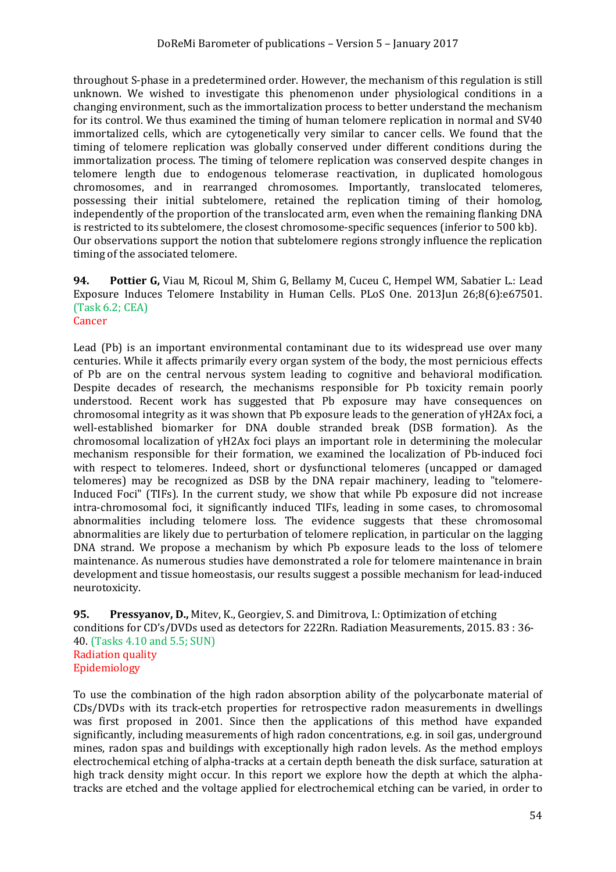throughout S-phase in a predetermined order. However, the mechanism of this regulation is still unknown. We wished to investigate this phenomenon under physiological conditions in a changing environment, such as the immortalization process to better understand the mechanism for its control. We thus examined the timing of human telomere replication in normal and SV40 immortalized cells, which are cytogenetically very similar to cancer cells. We found that the timing of telomere replication was globally conserved under different conditions during the immortalization process. The timing of telomere replication was conserved despite changes in telomere length due to endogenous telomerase reactivation, in duplicated homologous chromosomes, and in rearranged chromosomes. Importantly, translocated telomeres, possessing their initial subtelomere, retained the replication timing of their homolog, independently of the proportion of the translocated arm, even when the remaining flanking DNA is restricted to its subtelomere, the closest chromosome-specific sequences (inferior to 500 kb). Our observations support the notion that subtelomere regions strongly influence the replication timing of the associated telomere.

**94. Pottier G,** Viau M, Ricoul M, Shim G, Bellamy M, Cuceu C, Hempel WM, Sabatier L.: Lead Exposure Induces Telomere Instability in Human Cells. PLoS One. 2013Jun 26;8(6):e67501. (Task 6.2; CEA) Cancer

Lead (Pb) is an important environmental contaminant due to its widespread use over many centuries. While it affects primarily every organ system of the body, the most pernicious effects of Pb are on the central nervous system leading to cognitive and behavioral modification. Despite decades of research, the mechanisms responsible for Pb toxicity remain poorly understood. Recent work has suggested that Pb exposure may have consequences on chromosomal integrity as it was shown that Pb exposure leads to the generation of γH2Ax foci, a well-established biomarker for DNA double stranded break (DSB formation). As the chromosomal localization of γH2Ax foci plays an important role in determining the molecular mechanism responsible for their formation, we examined the localization of Pb-induced foci with respect to telomeres. Indeed, short or dysfunctional telomeres (uncapped or damaged telomeres) may be recognized as DSB by the DNA repair machinery, leading to "telomere-Induced Foci" (TIFs). In the current study, we show that while Pb exposure did not increase intra-chromosomal foci, it significantly induced TIFs, leading in some cases, to chromosomal abnormalities including telomere loss. The evidence suggests that these chromosomal abnormalities are likely due to perturbation of telomere replication, in particular on the lagging DNA strand. We propose a mechanism by which Pb exposure leads to the loss of telomere maintenance. As numerous studies have demonstrated a role for telomere maintenance in brain development and tissue homeostasis, our results suggest a possible mechanism for lead-induced neurotoxicity.

**95. Pressyanov, D.,** Mitev, K., Georgiev, S. and Dimitrova, I.: Optimization of etching conditions for CD's/DVDs used as detectors for 222Rn. Radiation Measurements, 2015. 83 : 36- 40. (Tasks 4.10 and 5.5; SUN) Radiation quality Epidemiology

To use the combination of the high radon absorption ability of the polycarbonate material of CDs/DVDs with its track-etch properties for retrospective radon measurements in dwellings was first proposed in 2001. Since then the applications of this method have expanded significantly, including measurements of high radon concentrations, e.g. in soil gas, underground mines, radon spas and buildings with exceptionally high radon levels. As the method employs electrochemical etching of alpha-tracks at a certain depth beneath the disk surface, saturation at high track density might occur. In this report we explore how the depth at which the alphatracks are etched and the voltage applied for electrochemical etching can be varied, in order to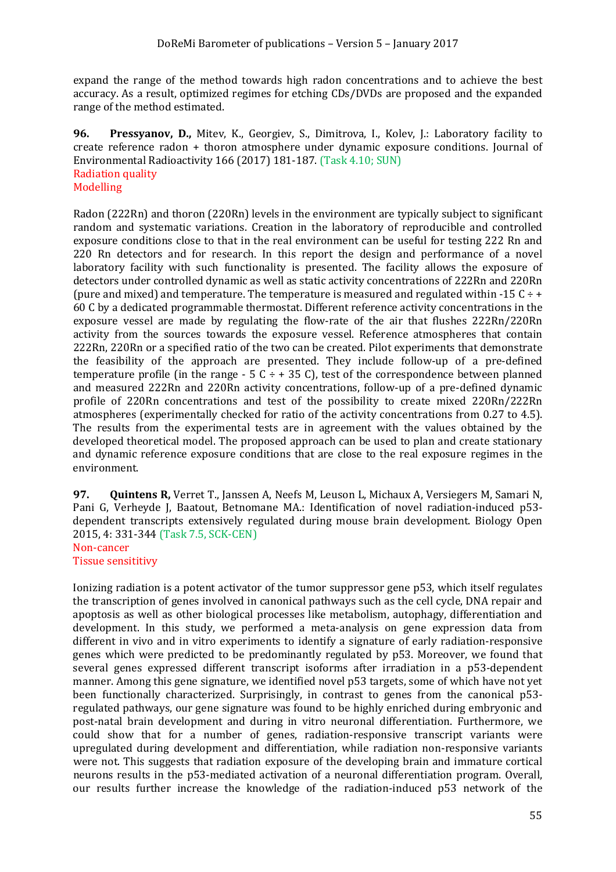expand the range of the method towards high radon concentrations and to achieve the best accuracy. As a result, optimized regimes for etching CDs/DVDs are proposed and the expanded range of the method estimated.

**96. Pressyanov, D.,** Mitev, K., Georgiev, S., Dimitrova, I., Kolev, J.: Laboratory facility to create reference radon + thoron atmosphere under dynamic exposure conditions. Journal of Environmental Radioactivity 166 (2017) 181-187. (Task 4.10; SUN) Radiation quality Modelling

Radon (222Rn) and thoron (220Rn) levels in the environment are typically subject to significant random and systematic variations. Creation in the laboratory of reproducible and controlled exposure conditions close to that in the real environment can be useful for testing 222 Rn and 220 Rn detectors and for research. In this report the design and performance of a novel laboratory facility with such functionality is presented. The facility allows the exposure of detectors under controlled dynamic as well as static activity concentrations of 222Rn and 220Rn (pure and mixed) and temperature. The temperature is measured and regulated within -15 C  $\div$  + 60 C by a dedicated programmable thermostat. Different reference activity concentrations in the exposure vessel are made by regulating the flow-rate of the air that flushes 222Rn/220Rn activity from the sources towards the exposure vessel. Reference atmospheres that contain 222Rn, 220Rn or a specified ratio of the two can be created. Pilot experiments that demonstrate the feasibility of the approach are presented. They include follow-up of a pre-defined temperature profile (in the range  $-5C \div 35C$ ), test of the correspondence between planned and measured 222Rn and 220Rn activity concentrations, follow-up of a pre-defined dynamic profile of 220Rn concentrations and test of the possibility to create mixed 220Rn/222Rn atmospheres (experimentally checked for ratio of the activity concentrations from 0.27 to 4.5). The results from the experimental tests are in agreement with the values obtained by the developed theoretical model. The proposed approach can be used to plan and create stationary and dynamic reference exposure conditions that are close to the real exposure regimes in the environment.

**97. Quintens R,** Verret T., Janssen A, Neefs M, Leuson L, Michaux A, Versiegers M, Samari N, Pani G, Verheyde J, Baatout, Betnomane MA.: Identification of novel radiation-induced p53 dependent transcripts extensively regulated during mouse brain development. Biology Open 2015, 4: 331-344 (Task 7.5, SCK-CEN) Non-cancer

# Tissue sensititivy

Ionizing radiation is a potent activator of the tumor suppressor gene p53, which itself regulates the transcription of genes involved in canonical pathways such as the cell cycle, DNA repair and apoptosis as well as other biological processes like metabolism, autophagy, differentiation and development. In this study, we performed a meta-analysis on gene expression data from different in vivo and in vitro experiments to identify a signature of early radiation-responsive genes which were predicted to be predominantly regulated by p53. Moreover, we found that several genes expressed different transcript isoforms after irradiation in a p53-dependent manner. Among this gene signature, we identified novel p53 targets, some of which have not yet been functionally characterized. Surprisingly, in contrast to genes from the canonical p53 regulated pathways, our gene signature was found to be highly enriched during embryonic and post-natal brain development and during in vitro neuronal differentiation. Furthermore, we could show that for a number of genes, radiation-responsive transcript variants were upregulated during development and differentiation, while radiation non-responsive variants were not. This suggests that radiation exposure of the developing brain and immature cortical neurons results in the p53-mediated activation of a neuronal differentiation program. Overall, our results further increase the knowledge of the radiation-induced p53 network of the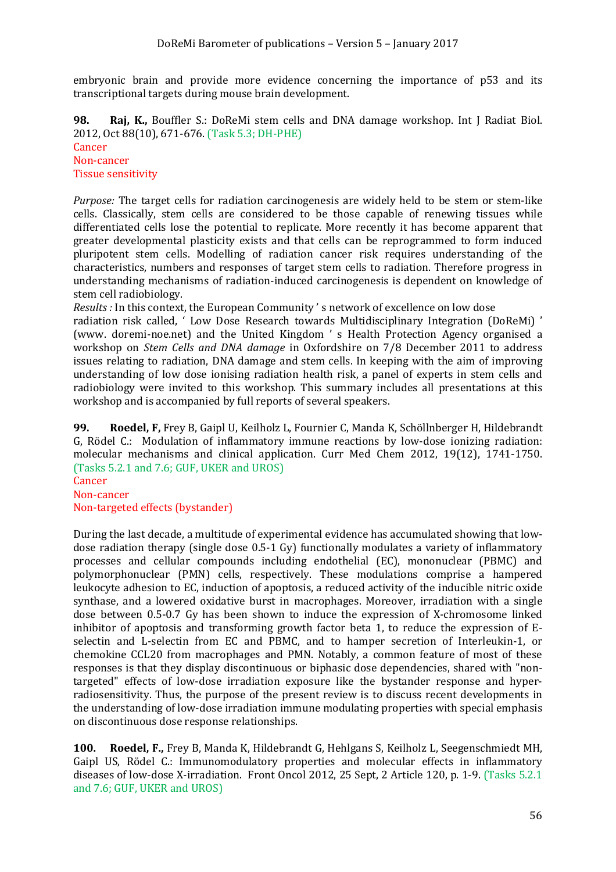embryonic brain and provide more evidence concerning the importance of p53 and its transcriptional targets during mouse brain development.

**98. Raj, K.,** Bouffler S.: DoReMi stem cells and DNA damage workshop. Int J Radiat Biol. 2012, Oct 88(10), 671-676. (Task 5.3; DH-PHE) Cancer Non-cancer Tissue sensitivity

*Purpose:* The target cells for radiation carcinogenesis are widely held to be stem or stem-like cells. Classically, stem cells are considered to be those capable of renewing tissues while differentiated cells lose the potential to replicate. More recently it has become apparent that greater developmental plasticity exists and that cells can be reprogrammed to form induced pluripotent stem cells. Modelling of radiation cancer risk requires understanding of the characteristics, numbers and responses of target stem cells to radiation. Therefore progress in understanding mechanisms of radiation-induced carcinogenesis is dependent on knowledge of stem cell radiobiology.

*Results :* In this context, the European Community ' s network of excellence on low dose radiation risk called, ' Low Dose Research towards Multidisciplinary Integration (DoReMi) ' (www. doremi-noe.net) and the United Kingdom ' s Health Protection Agency organised a workshop on *Stem Cells and DNA damage* in Oxfordshire on 7/8 December 2011 to address issues relating to radiation, DNA damage and stem cells. In keeping with the aim of improving understanding of low dose ionising radiation health risk, a panel of experts in stem cells and radiobiology were invited to this workshop. This summary includes all presentations at this workshop and is accompanied by full reports of several speakers.

**99. Roedel, F,** Frey B, Gaipl U, Keilholz L, Fournier C, Manda K, Schöllnberger H, Hildebrandt G, Rödel C.: Modulation of inflammatory immune reactions by low-dose ionizing radiation: molecular mechanisms and clinical application. Curr Med Chem 2012, 19(12), 1741-1750. (Tasks 5.2.1 and 7.6; GUF, UKER and UROS)

**Cancer** Non-cancer Non-targeted effects (bystander)

During the last decade, a multitude of experimental evidence has accumulated showing that lowdose radiation therapy (single dose 0.5-1 Gy) functionally modulates a variety of inflammatory processes and cellular compounds including endothelial (EC), mononuclear (PBMC) and polymorphonuclear (PMN) cells, respectively. These modulations comprise a hampered leukocyte adhesion to EC, induction of apoptosis, a reduced activity of the inducible nitric oxide synthase, and a lowered oxidative burst in macrophages. Moreover, irradiation with a single dose between 0.5-0.7 Gy has been shown to induce the expression of X-chromosome linked inhibitor of apoptosis and transforming growth factor beta 1, to reduce the expression of Eselectin and L-selectin from EC and PBMC, and to hamper secretion of Interleukin-1, or chemokine CCL20 from macrophages and PMN. Notably, a common feature of most of these responses is that they display discontinuous or biphasic dose dependencies, shared with "nontargeted" effects of low-dose irradiation exposure like the bystander response and hyperradiosensitivity. Thus, the purpose of the present review is to discuss recent developments in the understanding of low-dose irradiation immune modulating properties with special emphasis on discontinuous dose response relationships.

**100. Roedel, F.,** Frey B, Manda K, Hildebrandt G, Hehlgans S, Keilholz L, Seegenschmiedt MH, Gaipl US, Rödel C.: Immunomodulatory properties and molecular effects in inflammatory diseases of low-dose X-irradiation. Front Oncol 2012, 25 Sept, 2 Article 120, p. 1-9. (Tasks 5.2.1 and 7.6; GUF, UKER and UROS)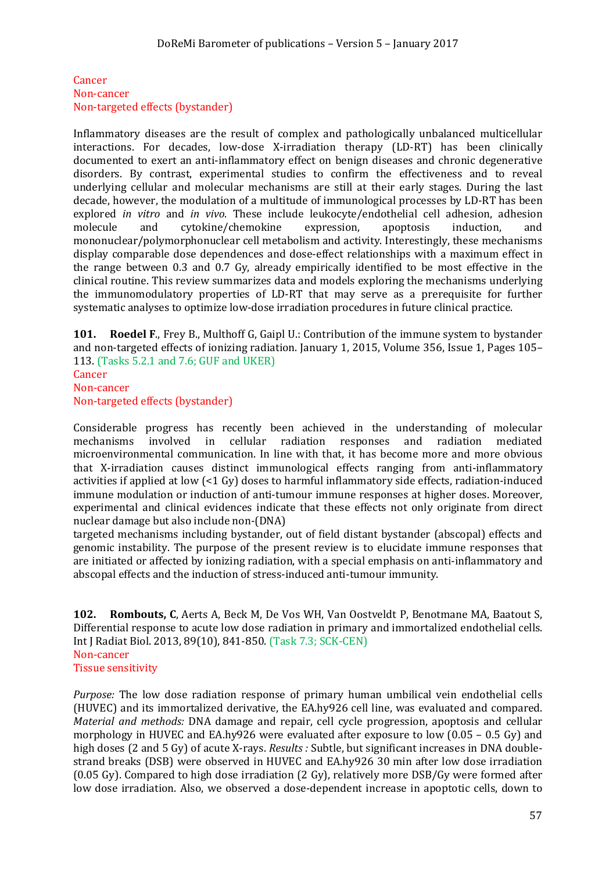### **Cancer** Non-cancer Non-targeted effects (bystander)

Inflammatory diseases are the result of complex and pathologically unbalanced multicellular interactions. For decades, low-dose X-irradiation therapy (LD-RT) has been clinically documented to exert an anti-inflammatory effect on benign diseases and chronic degenerative disorders. By contrast, experimental studies to confirm the effectiveness and to reveal underlying cellular and molecular mechanisms are still at their early stages. During the last decade, however, the modulation of a multitude of immunological processes by LD-RT has been explored *in vitro* and *in vivo*. These include leukocyte/endothelial cell adhesion, adhesion molecule and cytokine/chemokine expression, apoptosis induction, and mononuclear/polymorphonuclear cell metabolism and activity. Interestingly, these mechanisms display comparable dose dependences and dose-effect relationships with a maximum effect in the range between 0.3 and 0.7 Gy, already empirically identified to be most effective in the clinical routine. This review summarizes data and models exploring the mechanisms underlying the immunomodulatory properties of LD-RT that may serve as a prerequisite for further systematic analyses to optimize low-dose irradiation procedures in future clinical practice.

**101. Roedel F**., Frey B., Multhoff G, Gaipl U.: Contribution of the immune system to bystander and non-targeted effects of ionizing radiation. January 1, 2015, Volume 356, Issue 1, Pages 105– 113. (Tasks 5.2.1 and 7.6; GUF and UKER) Cancer

Non-cancer Non-targeted effects (bystander)

Considerable progress has recently been achieved in the understanding of molecular cellular radiation responses and radiation mediated microenvironmental communication. In line with that, it has become more and more obvious that X-irradiation causes distinct immunological effects ranging from anti-inflammatory activities if applied at low (<1 Gy) doses to harmful inflammatory side effects, radiation-induced immune modulation or induction of anti-tumour immune responses at higher doses. Moreover, experimental and clinical evidences indicate that these effects not only originate from direct nuclear damage but also include non-(DNA)

targeted mechanisms including bystander, out of field distant bystander (abscopal) effects and genomic instability. The purpose of the present review is to elucidate immune responses that are initiated or affected by ionizing radiation, with a special emphasis on anti-inflammatory and abscopal effects and the induction of stress-induced anti-tumour immunity.

**102. Rombouts, C**, Aerts A, Beck M, De Vos WH, Van Oostveldt P, Benotmane MA, Baatout S, Differential response to acute low dose radiation in primary and immortalized endothelial cells. Int J Radiat Biol. 2013, 89(10), 841-850. (Task 7.3; SCK-CEN) Non-cancer

Tissue sensitivity

*Purpose:* The low dose radiation response of primary human umbilical vein endothelial cells (HUVEC) and its immortalized derivative, the EA.hy926 cell line, was evaluated and compared. *Material and methods:* DNA damage and repair, cell cycle progression, apoptosis and cellular morphology in HUVEC and EA.hy926 were evaluated after exposure to low (0.05 – 0.5 Gy) and high doses (2 and 5 Gy) of acute X-rays. *Results :* Subtle, but significant increases in DNA doublestrand breaks (DSB) were observed in HUVEC and EA.hy926 30 min after low dose irradiation (0.05 Gy). Compared to high dose irradiation (2 Gy), relatively more DSB/Gy were formed after low dose irradiation. Also, we observed a dose-dependent increase in apoptotic cells, down to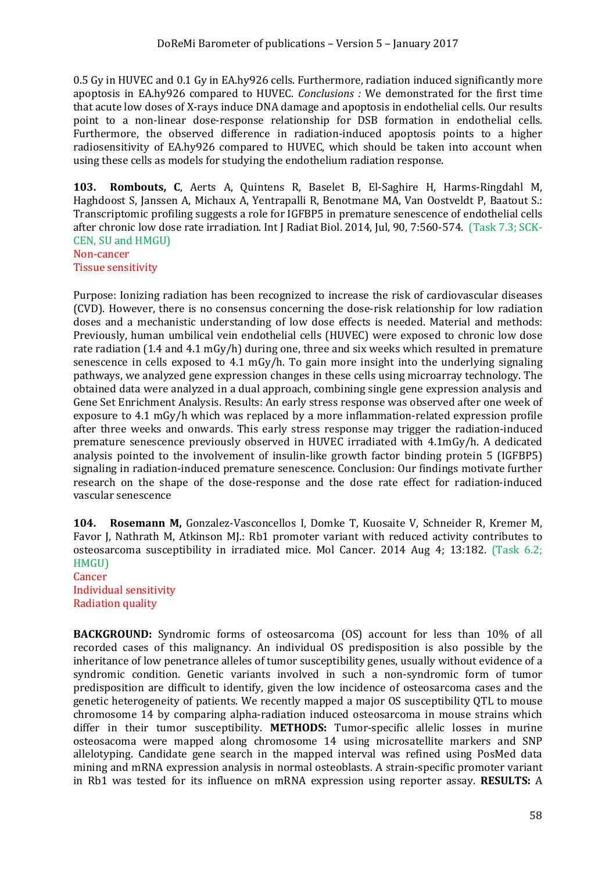0.5 Gy in HUVEC and 0.1 Gy in EA.hy926 cells. Furthermore, radiation induced significantly more apoptosis in EA.hy926 compared to HUVEC. *Conclusions :* We demonstrated for the first time that acute low doses of X-rays induce DNA damage and apoptosis in endothelial cells. Our results point to a non-linear dose-response relationship for DSB formation in endothelial cells. Furthermore, the observed difference in radiation-induced apoptosis points to a higher radiosensitivity of EA.hy926 compared to HUVEC, which should be taken into account when using these cells as models for studying the endothelium radiation response.

**103. Rombouts, C**, Aerts A, Quintens R, Baselet B, El-Saghire H, Harms-Ringdahl M, Haghdoost S, Janssen A, Michaux A, Yentrapalli R, Benotmane MA, Van Oostveldt P, Baatout S.: Transcriptomic profiling suggests a role for IGFBP5 in premature senescence of endothelial cells after chronic low dose rate irradiation. Int J Radiat Biol. 2014, Jul, 90, 7:560-574. (Task 7.3; SCK-CEN, SU and HMGU) Non-cancer

Tissue sensitivity

Purpose: Ionizing radiation has been recognized to increase the risk of cardiovascular diseases (CVD). However, there is no consensus concerning the dose-risk relationship for low radiation doses and a mechanistic understanding of low dose effects is needed. Material and methods: Previously, human umbilical vein endothelial cells (HUVEC) were exposed to chronic low dose rate radiation (1.4 and 4.1 mGy/h) during one, three and six weeks which resulted in premature senescence in cells exposed to 4.1 mGy/h. To gain more insight into the underlying signaling pathways, we analyzed gene expression changes in these cells using microarray technology. The obtained data were analyzed in a dual approach, combining single gene expression analysis and Gene Set Enrichment Analysis. Results: An early stress response was observed after one week of exposure to 4.1 mGy/h which was replaced by a more inflammation-related expression profile after three weeks and onwards. This early stress response may trigger the radiation-induced premature senescence previously observed in HUVEC irradiated with 4.1mGy/h. A dedicated analysis pointed to the involvement of insulin-like growth factor binding protein 5 (IGFBP5) signaling in radiation-induced premature senescence. Conclusion: Our findings motivate further research on the shape of the dose-response and the dose rate effect for radiation-induced vascular senescence

**104. Rosemann M,** Gonzalez-Vasconcellos I, Domke T, Kuosaite V, Schneider R, Kremer M, Favor J, Nathrath M, Atkinson MJ.: Rb1 promoter variant with reduced activity contributes to osteosarcoma susceptibility in irradiated mice. Mol Cancer. 2014 Aug 4; 13:182. (Task 6.2; HMGU)

Cancer Individual sensitivity Radiation quality

**BACKGROUND:** Syndromic forms of osteosarcoma (OS) account for less than 10% of all recorded cases of this malignancy. An individual OS predisposition is also possible by the inheritance of low penetrance alleles of tumor susceptibility genes, usually without evidence of a syndromic condition. Genetic variants involved in such a non-syndromic form of tumor predisposition are difficult to identify, given the low incidence of osteosarcoma cases and the genetic heterogeneity of patients. We recently mapped a major OS susceptibility QTL to mouse chromosome 14 by comparing alpha-radiation induced osteosarcoma in mouse strains which differ in their tumor susceptibility. **METHODS:** Tumor-specific allelic losses in murine osteosacoma were mapped along chromosome 14 using microsatellite markers and SNP allelotyping. Candidate gene search in the mapped interval was refined using PosMed data mining and mRNA expression analysis in normal osteoblasts. A strain-specific promoter variant in Rb1 was tested for its influence on mRNA expression using reporter assay. **RESULTS:** A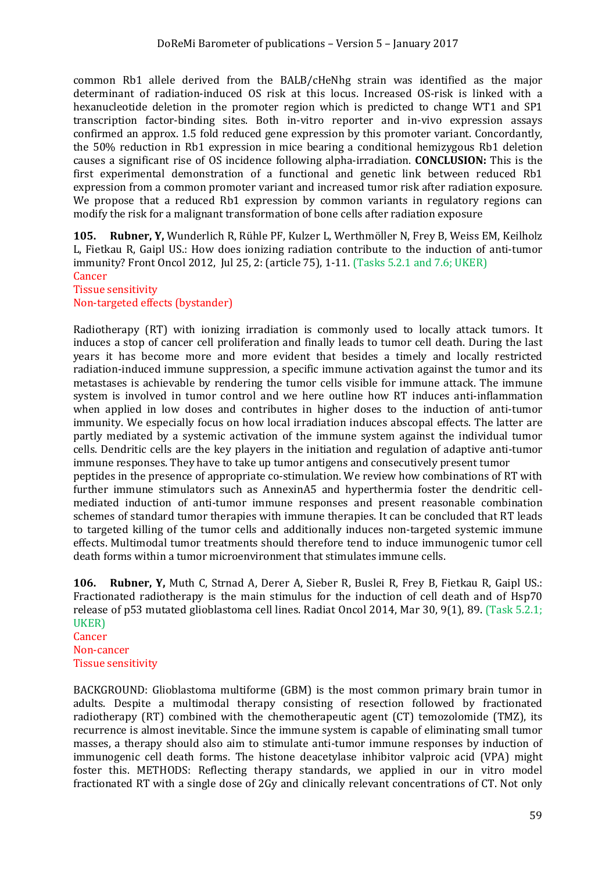common Rb1 allele derived from the BALB/cHeNhg strain was identified as the major determinant of radiation-induced OS risk at this locus. Increased OS-risk is linked with a hexanucleotide deletion in the promoter region which is predicted to change WT1 and SP1 transcription factor-binding sites. Both in-vitro reporter and in-vivo expression assays confirmed an approx. 1.5 fold reduced gene expression by this promoter variant. Concordantly, the 50% reduction in Rb1 expression in mice bearing a conditional hemizygous Rb1 deletion causes a significant rise of OS incidence following alpha-irradiation. **CONCLUSION:** This is the first experimental demonstration of a functional and genetic link between reduced Rb1 expression from a common promoter variant and increased tumor risk after radiation exposure. We propose that a reduced Rb1 expression by common variants in regulatory regions can modify the risk for a malignant transformation of bone cells after radiation exposure

**105. Rubner, Y,** Wunderlich R, Rühle PF, Kulzer L, Werthmöller N, Frey B, Weiss EM, Keilholz L, Fietkau R, Gaipl US.: How does ionizing radiation contribute to the induction of anti-tumor immunity? Front Oncol 2012, Jul 25, 2: (article 75), 1-11. (Tasks 5.2.1 and 7.6; UKER) **Cancer** 

Tissue sensitivity Non-targeted effects (bystander)

Radiotherapy (RT) with ionizing irradiation is commonly used to locally attack tumors. It induces a stop of cancer cell proliferation and finally leads to tumor cell death. During the last years it has become more and more evident that besides a timely and locally restricted radiation-induced immune suppression, a specific immune activation against the tumor and its metastases is achievable by rendering the tumor cells visible for immune attack. The immune system is involved in tumor control and we here outline how RT induces anti-inflammation when applied in low doses and contributes in higher doses to the induction of anti-tumor immunity. We especially focus on how local irradiation induces abscopal effects. The latter are partly mediated by a systemic activation of the immune system against the individual tumor cells. Dendritic cells are the key players in the initiation and regulation of adaptive anti-tumor immune responses. They have to take up tumor antigens and consecutively present tumor peptides in the presence of appropriate co-stimulation. We review how combinations of RT with further immune stimulators such as AnnexinA5 and hyperthermia foster the dendritic cellmediated induction of anti-tumor immune responses and present reasonable combination schemes of standard tumor therapies with immune therapies. It can be concluded that RT leads to targeted killing of the tumor cells and additionally induces non-targeted systemic immune effects. Multimodal tumor treatments should therefore tend to induce immunogenic tumor cell death forms within a tumor microenvironment that stimulates immune cells.

**106. Rubner, Y,** Muth C, Strnad A, Derer A, Sieber R, Buslei R, Frey B, Fietkau R, Gaipl US.: Fractionated radiotherapy is the main stimulus for the induction of cell death and of Hsp70 release of p53 mutated glioblastoma cell lines. Radiat Oncol 2014, Mar 30, 9(1), 89. (Task 5.2.1; UKER) Cancer

Non-cancer Tissue sensitivity

BACKGROUND: Glioblastoma multiforme (GBM) is the most common primary brain tumor in adults. Despite a multimodal therapy consisting of resection followed by fractionated radiotherapy (RT) combined with the chemotherapeutic agent (CT) temozolomide (TMZ), its recurrence is almost inevitable. Since the immune system is capable of eliminating small tumor masses, a therapy should also aim to stimulate anti-tumor immune responses by induction of immunogenic cell death forms. The histone deacetylase inhibitor valproic acid (VPA) might foster this. METHODS: Reflecting therapy standards, we applied in our in vitro model fractionated RT with a single dose of 2Gy and clinically relevant concentrations of CT. Not only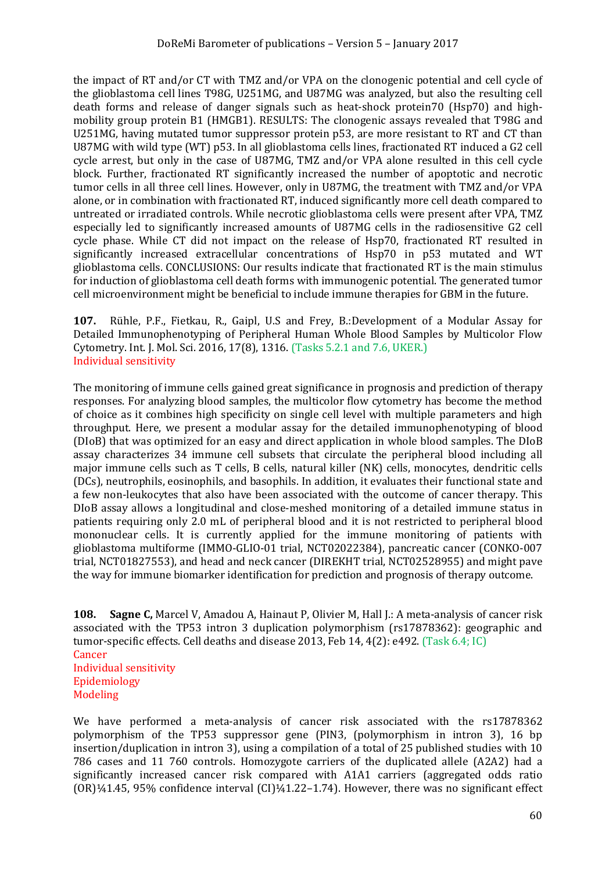the impact of RT and/or CT with TMZ and/or VPA on the clonogenic potential and cell cycle of the glioblastoma cell lines T98G, U251MG, and U87MG was analyzed, but also the resulting cell death forms and release of danger signals such as heat-shock protein70 (Hsp70) and highmobility group protein B1 (HMGB1). RESULTS: The clonogenic assays revealed that T98G and U251MG, having mutated tumor suppressor protein p53, are more resistant to RT and CT than U87MG with wild type (WT) p53. In all glioblastoma cells lines, fractionated RT induced a G2 cell cycle arrest, but only in the case of U87MG, TMZ and/or VPA alone resulted in this cell cycle block. Further, fractionated RT significantly increased the number of apoptotic and necrotic tumor cells in all three cell lines. However, only in U87MG, the treatment with TMZ and/or VPA alone, or in combination with fractionated RT, induced significantly more cell death compared to untreated or irradiated controls. While necrotic glioblastoma cells were present after VPA, TMZ especially led to significantly increased amounts of U87MG cells in the radiosensitive G2 cell cycle phase. While CT did not impact on the release of Hsp70, fractionated RT resulted in significantly increased extracellular concentrations of Hsp70 in p53 mutated and WT glioblastoma cells. CONCLUSIONS: Our results indicate that fractionated RT is the main stimulus for induction of glioblastoma cell death forms with immunogenic potential. The generated tumor cell microenvironment might be beneficial to include immune therapies for GBM in the future.

**107.** Rühle, P.F., Fietkau, R., Gaipl, U.S and Frey, B.:Development of a Modular Assay for Detailed Immunophenotyping of Peripheral Human Whole Blood Samples by Multicolor Flow Cytometry. Int. J. Mol. Sci. 2016, 17(8), 1316. (Tasks 5.2.1 and 7.6, UKER.) Individual sensitivity

The monitoring of immune cells gained great significance in prognosis and prediction of therapy responses. For analyzing blood samples, the multicolor flow cytometry has become the method of choice as it combines high specificity on single cell level with multiple parameters and high throughput. Here, we present a modular assay for the detailed immunophenotyping of blood (DIoB) that was optimized for an easy and direct application in whole blood samples. The DIoB assay characterizes 34 immune cell subsets that circulate the peripheral blood including all major immune cells such as T cells, B cells, natural killer (NK) cells, monocytes, dendritic cells (DCs), neutrophils, eosinophils, and basophils. In addition, it evaluates their functional state and a few non-leukocytes that also have been associated with the outcome of cancer therapy. This DIoB assay allows a longitudinal and close-meshed monitoring of a detailed immune status in patients requiring only 2.0 mL of peripheral blood and it is not restricted to peripheral blood mononuclear cells. It is currently applied for the immune monitoring of patients with glioblastoma multiforme (IMMO-GLIO-01 trial, NCT02022384), pancreatic cancer (CONKO-007 trial, NCT01827553), and head and neck cancer (DIREKHT trial, NCT02528955) and might pave the way for immune biomarker identification for prediction and prognosis of therapy outcome.

**108. Sagne C,** Marcel V, Amadou A, Hainaut P, Olivier M, Hall J.: A meta-analysis of cancer risk associated with the TP53 intron 3 duplication polymorphism (rs17878362): geographic and tumor-specific effects. Cell deaths and disease 2013, Feb 14, 4(2): e492. (Task 6.4; IC) **Cancer** Individual sensitivity Epidemiology Modeling

We have performed a meta-analysis of cancer risk associated with the rs17878362 polymorphism of the TP53 suppressor gene (PIN3, (polymorphism in intron 3), 16 bp insertion/duplication in intron 3), using a compilation of a total of 25 published studies with 10 786 cases and 11 760 controls. Homozygote carriers of the duplicated allele (A2A2) had a significantly increased cancer risk compared with A1A1 carriers (aggregated odds ratio (OR)¼1.45, 95% confidence interval (CI)¼1.22–1.74). However, there was no significant effect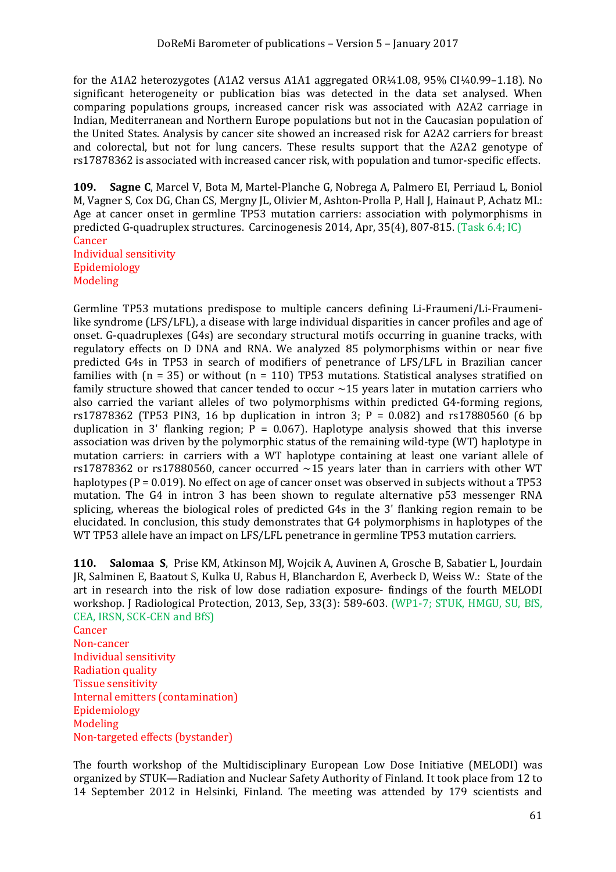for the A1A2 heterozygotes (A1A2 versus A1A1 aggregated  $OR\frac{1}{4}1.08$ , 95% CI $\frac{1}{4}0.99-1.18$ ). No significant heterogeneity or publication bias was detected in the data set analysed. When comparing populations groups, increased cancer risk was associated with A2A2 carriage in Indian, Mediterranean and Northern Europe populations but not in the Caucasian population of the United States. Analysis by cancer site showed an increased risk for A2A2 carriers for breast and colorectal, but not for lung cancers. These results support that the A2A2 genotype of rs17878362 is associated with increased cancer risk, with population and tumor-specific effects.

**109. Sagne C**, Marcel V, Bota M, Martel-Planche G, Nobrega A, Palmero EI, Perriaud L, Boniol M, Vagner S, Cox DG, Chan CS, Mergny JL, Olivier M, Ashton-Prolla P, Hall J, Hainaut P, Achatz MI.: Age at cancer onset in germline TP53 mutation carriers: association with polymorphisms in predicted G-quadruplex structures. Carcinogenesis 2014, Apr, 35(4), 807-815. (Task 6.4; IC) Cancer Individual sensitivity

Epidemiology Modeling

Germline TP53 mutations predispose to multiple cancers defining Li-Fraumeni/Li-Fraumenilike syndrome (LFS/LFL), a disease with large individual disparities in cancer profiles and age of onset. G-quadruplexes (G4s) are secondary structural motifs occurring in guanine tracks, with regulatory effects on D DNA and RNA. We analyzed 85 polymorphisms within or near five predicted G4s in TP53 in search of modifiers of penetrance of LFS/LFL in Brazilian cancer families with  $(n = 35)$  or without  $(n = 110)$  TP53 mutations. Statistical analyses stratified on family structure showed that cancer tended to occur  $\sim$  15 years later in mutation carriers who also carried the variant alleles of two polymorphisms within predicted G4-forming regions, rs17878362 (TP53 PIN3, 16 bp duplication in intron 3; P = 0.082) and rs17880560 (6 bp duplication in 3' flanking region;  $P = 0.067$ ). Haplotype analysis showed that this inverse association was driven by the polymorphic status of the remaining wild-type (WT) haplotype in mutation carriers: in carriers with a WT haplotype containing at least one variant allele of rs17878362 or rs17880560, cancer occurred ~15 years later than in carriers with other WT haplotypes ( $P = 0.019$ ). No effect on age of cancer onset was observed in subjects without a TP53 mutation. The G4 in intron 3 has been shown to regulate alternative p53 messenger RNA splicing, whereas the biological roles of predicted G4s in the 3' flanking region remain to be elucidated. In conclusion, this study demonstrates that G4 polymorphisms in haplotypes of the WT TP53 allele have an impact on LFS/LFL penetrance in germline TP53 mutation carriers.

**110. Salomaa S**, Prise KM, Atkinson MJ, Wojcik A, Auvinen A, Grosche B, Sabatier L, Jourdain JR, Salminen E, Baatout S, Kulka U, Rabus H, Blanchardon E, Averbeck D, Weiss W.: State of the art in research into the risk of low dose radiation exposure- findings of the fourth MELODI workshop. J Radiological Protection, 2013, Sep, 33(3): 589-603. (WP1-7; STUK, HMGU, SU, BfS, CEA, IRSN, SCK-CEN and BfS)

**Cancer** Non-cancer Individual sensitivity Radiation quality Tissue sensitivity Internal emitters (contamination) Epidemiology Modeling Non-targeted effects (bystander)

The fourth workshop of the Multidisciplinary European Low Dose Initiative (MELODI) was organized by STUK—Radiation and Nuclear Safety Authority of Finland. It took place from 12 to 14 September 2012 in Helsinki, Finland. The meeting was attended by 179 scientists and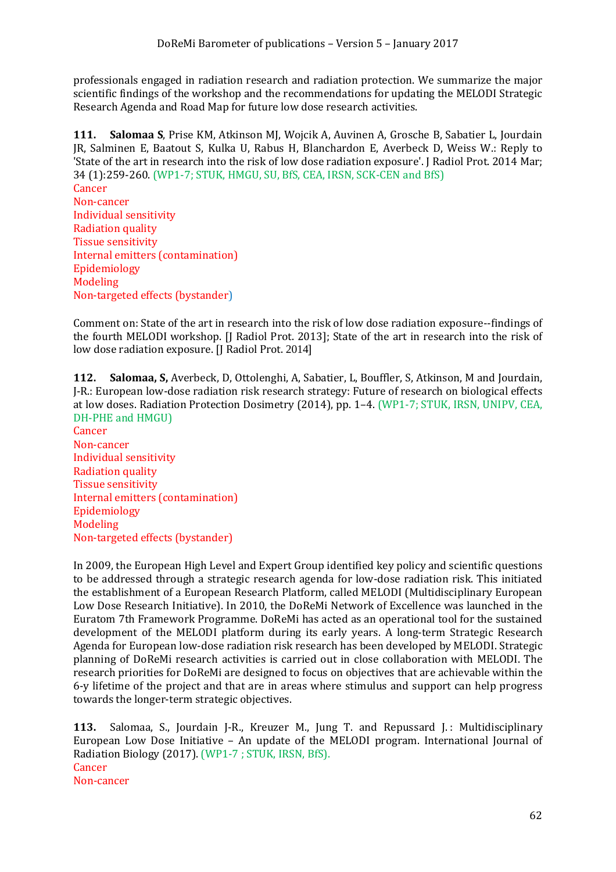professionals engaged in radiation research and radiation protection. We summarize the major scientific findings of the workshop and the recommendations for updating the MELODI Strategic Research Agenda and Road Map for future low dose research activities.

**111. Salomaa S**, Prise KM, Atkinson MJ, Wojcik A, Auvinen A, Grosche B, Sabatier L, Jourdain JR, Salminen E, Baatout S, Kulka U, Rabus H, Blanchardon E, Averbeck D, Weiss W.: Reply to 'State of the art in research into the risk of low dose radiation exposure'. J Radiol Prot. 2014 Mar; 34 (1):259-260. (WP1-7; STUK, HMGU, SU, BfS, CEA, IRSN, SCK-CEN and BfS) Cancer

Non-cancer Individual sensitivity Radiation quality Tissue sensitivity Internal emitters (contamination) Epidemiology Modeling Non-targeted effects (bystander)

Comment on: [State of the art in research into the risk of low dose radiation exposure--findings of](http://www.ncbi.nlm.nih.gov/pubmed/23803528)  [the fourth MELODI workshop.](http://www.ncbi.nlm.nih.gov/pubmed/23803528) [J Radiol Prot. 2013]; [State of the art in research into the risk of](http://www.ncbi.nlm.nih.gov/pubmed/24595009)  [low dose radiation exposure.](http://www.ncbi.nlm.nih.gov/pubmed/24595009) [J Radiol Prot. 2014]

**112. Salomaa, S,** Averbeck, D, Ottolenghi, A, Sabatier, L, Bouffler, S, Atkinson, M and Jourdain, J-R.: European low-dose radiation risk research strategy: Future of research on biological effects at low doses. Radiation Protection Dosimetry (2014), pp. 1–4. (WP1-7; STUK, IRSN, UNIPV, CEA, DH-PHE and HMGU)

Cancer Non-cancer Individual sensitivity Radiation quality Tissue sensitivity Internal emitters (contamination) Epidemiology Modeling Non-targeted effects (bystander)

In 2009, the European High Level and Expert Group identified key policy and scientific questions to be addressed through a strategic research agenda for low-dose radiation risk. This initiated the establishment of a European Research Platform, called MELODI (Multidisciplinary European Low Dose Research Initiative). In 2010, the DoReMi Network of Excellence was launched in the Euratom 7th Framework Programme. DoReMi has acted as an operational tool for the sustained development of the MELODI platform during its early years. A long-term Strategic Research Agenda for European low-dose radiation risk research has been developed by MELODI. Strategic planning of DoReMi research activities is carried out in close collaboration with MELODI. The research priorities for DoReMi are designed to focus on objectives that are achievable within the 6-y lifetime of the project and that are in areas where stimulus and support can help progress towards the longer-term strategic objectives.

**113.** Salomaa, S., Jourdain J-R., Kreuzer M., Jung T. and Repussard J. : Multidisciplinary European Low Dose Initiative – An update of the MELODI program. International Journal of Radiation Biology (2017). (WP1-7 ; STUK, IRSN, BfS). Cancer Non-cancer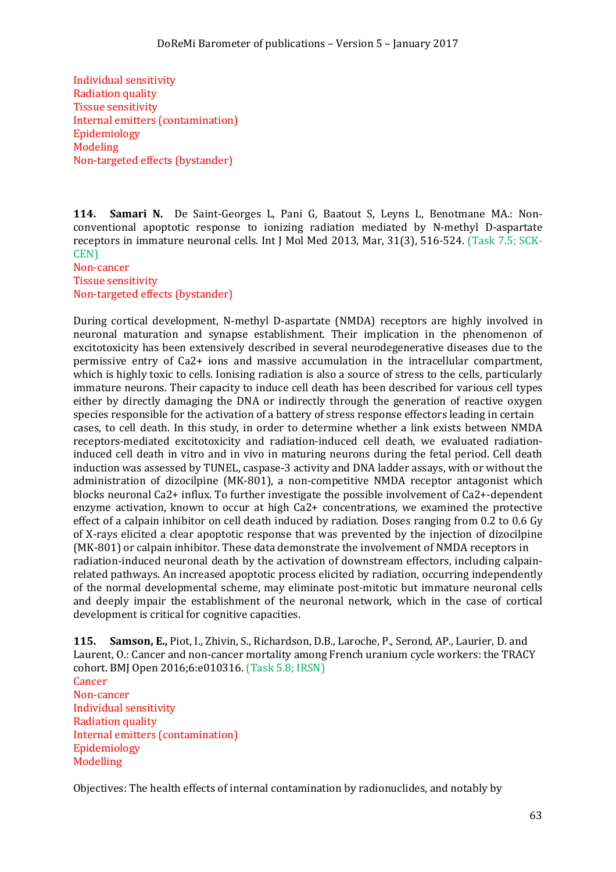Individual sensitivity Radiation quality Tissue sensitivity Internal emitters (contamination) Epidemiology Modeling Non-targeted effects (bystander)

**114. Samari N.** De Saint-Georges L, Pani G, Baatout S, Leyns L, Benotmane MA.: Nonconventional apoptotic response to ionizing radiation mediated by N-methyl D-aspartate receptors in immature neuronal cells. Int J Mol Med 2013, Mar, 31(3), 516-524. (Task 7.5; SCK-CEN)

Non-cancer Tissue sensitivity Non-targeted effects (bystander)

During cortical development, N-methyl D-aspartate (NMDA) receptors are highly involved in neuronal maturation and synapse establishment. Their implication in the phenomenon of excitotoxicity has been extensively described in several neurodegenerative diseases due to the permissive entry of Ca2+ ions and massive accumulation in the intracellular compartment, which is highly toxic to cells. Ionising radiation is also a source of stress to the cells, particularly immature neurons. Their capacity to induce cell death has been described for various cell types either by directly damaging the DNA or indirectly through the generation of reactive oxygen species responsible for the activation of a battery of stress response effectors leading in certain cases, to cell death. In this study, in order to determine whether a link exists between NMDA receptors-mediated excitotoxicity and radiation-induced cell death, we evaluated radiationinduced cell death in vitro and in vivo in maturing neurons during the fetal period. Cell death induction was assessed by TUNEL, caspase-3 activity and DNA ladder assays, with or without the administration of dizocilpine (MK-801), a non-competitive NMDA receptor antagonist which blocks neuronal Ca2+ influx. To further investigate the possible involvement of Ca2+-dependent enzyme activation, known to occur at high Ca2+ concentrations, we examined the protective effect of a calpain inhibitor on cell death induced by radiation. Doses ranging from 0.2 to 0.6 Gy of X-rays elicited a clear apoptotic response that was prevented by the injection of dizocilpine (MK-801) or calpain inhibitor. These data demonstrate the involvement of NMDA receptors in radiation-induced neuronal death by the activation of downstream effectors, including calpainrelated pathways. An increased apoptotic process elicited by radiation, occurring independently of the normal developmental scheme, may eliminate post-mitotic but immature neuronal cells and deeply impair the establishment of the neuronal network, which in the case of cortical development is critical for cognitive capacities.

**115. Samson, E.,** Piot, I., Zhivin, S., Richardson, D.B., Laroche, P., Serond, AP., Laurier, D. and Laurent, O.: Cancer and non-cancer mortality among French uranium cycle workers: the TRACY cohort. BMJ Open 2016;6:e010316. (Task 5.8; IRSN) Cancer Non-cancer Individual sensitivity Radiation quality Internal emitters (contamination) Epidemiology Modelling

Objectives: The health effects of internal contamination by radionuclides, and notably by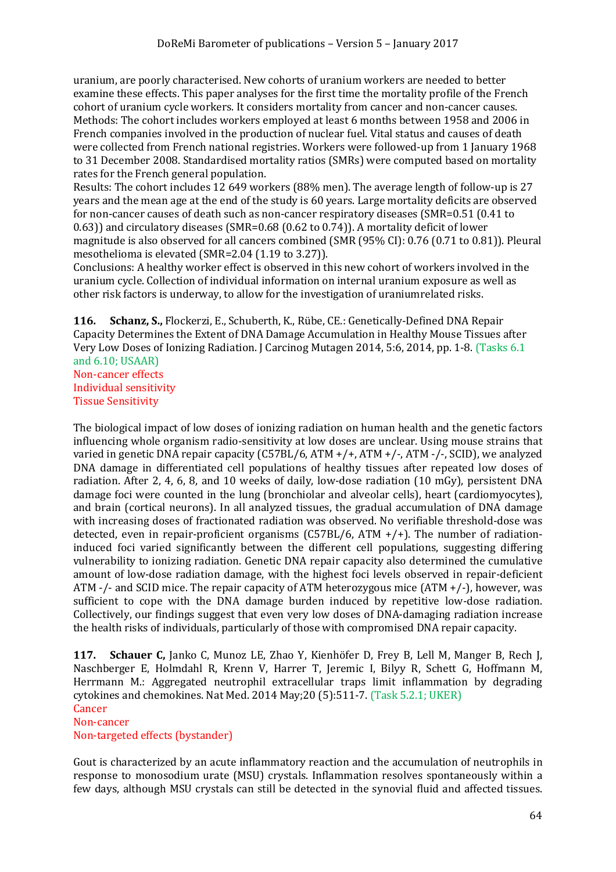uranium, are poorly characterised. New cohorts of uranium workers are needed to better examine these effects. This paper analyses for the first time the mortality profile of the French cohort of uranium cycle workers. It considers mortality from cancer and non-cancer causes. Methods: The cohort includes workers employed at least 6 months between 1958 and 2006 in French companies involved in the production of nuclear fuel. Vital status and causes of death were collected from French national registries. Workers were followed-up from 1 January 1968 to 31 December 2008. Standardised mortality ratios (SMRs) were computed based on mortality rates for the French general population.

Results: The cohort includes 12 649 workers (88% men). The average length of follow-up is 27 years and the mean age at the end of the study is 60 years. Large mortality deficits are observed for non-cancer causes of death such as non-cancer respiratory diseases (SMR=0.51 (0.41 to 0.63)) and circulatory diseases (SMR=0.68 (0.62 to 0.74)). A mortality deficit of lower magnitude is also observed for all cancers combined (SMR (95% CI): 0.76 (0.71 to 0.81)). Pleural mesothelioma is elevated (SMR=2.04 (1.19 to 3.27)).

Conclusions: A healthy worker effect is observed in this new cohort of workers involved in the uranium cycle. Collection of individual information on internal uranium exposure as well as other risk factors is underway, to allow for the investigation of uraniumrelated risks.

**116. Schanz, S.,** Flockerzi, E., Schuberth, K., Rübe, CE.: Genetically-Defined DNA Repair Capacity Determines the Extent of DNA Damage Accumulation in Healthy Mouse Tissues after Very Low Doses of Ionizing Radiation. J Carcinog Mutagen 2014, 5:6, 2014, pp. 1-8. (Tasks 6.1 and 6.10; USAAR)

Non-cancer effects Individual sensitivity Tissue Sensitivity

The biological impact of low doses of ionizing radiation on human health and the genetic factors influencing whole organism radio-sensitivity at low doses are unclear. Using mouse strains that varied in genetic DNA repair capacity (C57BL/6, ATM +/+, ATM +/-, ATM -/-, SCID), we analyzed DNA damage in differentiated cell populations of healthy tissues after repeated low doses of radiation. After 2, 4, 6, 8, and 10 weeks of daily, low-dose radiation (10 mGy), persistent DNA damage foci were counted in the lung (bronchiolar and alveolar cells), heart (cardiomyocytes), and brain (cortical neurons). In all analyzed tissues, the gradual accumulation of DNA damage with increasing doses of fractionated radiation was observed. No verifiable threshold-dose was detected, even in repair-proficient organisms (C57BL/6, ATM  $+$ / $+$ ). The number of radiationinduced foci varied significantly between the different cell populations, suggesting differing vulnerability to ionizing radiation. Genetic DNA repair capacity also determined the cumulative amount of low-dose radiation damage, with the highest foci levels observed in repair-deficient ATM -/- and SCID mice. The repair capacity of ATM heterozygous mice (ATM +/-), however, was sufficient to cope with the DNA damage burden induced by repetitive low-dose radiation. Collectively, our findings suggest that even very low doses of DNA-damaging radiation increase the health risks of individuals, particularly of those with compromised DNA repair capacity.

**117. Schauer C,** Janko C, Munoz LE, Zhao Y, Kienhöfer D, Frey B, Lell M, Manger B, Rech J, Naschberger E, Holmdahl R, Krenn V, Harrer T, Jeremic I, Bilyy R, Schett G, Hoffmann M, Herrmann M.: Aggregated neutrophil extracellular traps limit inflammation by degrading cytokines and chemokines. Nat Med. 2014 May;20 (5):511-7. (Task 5.2.1; UKER) Cancer

# Non-cancer

Non-targeted effects (bystander)

Gout is characterized by an acute inflammatory reaction and the accumulation of neutrophils in response to monosodium urate (MSU) crystals. Inflammation resolves spontaneously within a few days, although MSU crystals can still be detected in the synovial fluid and affected tissues.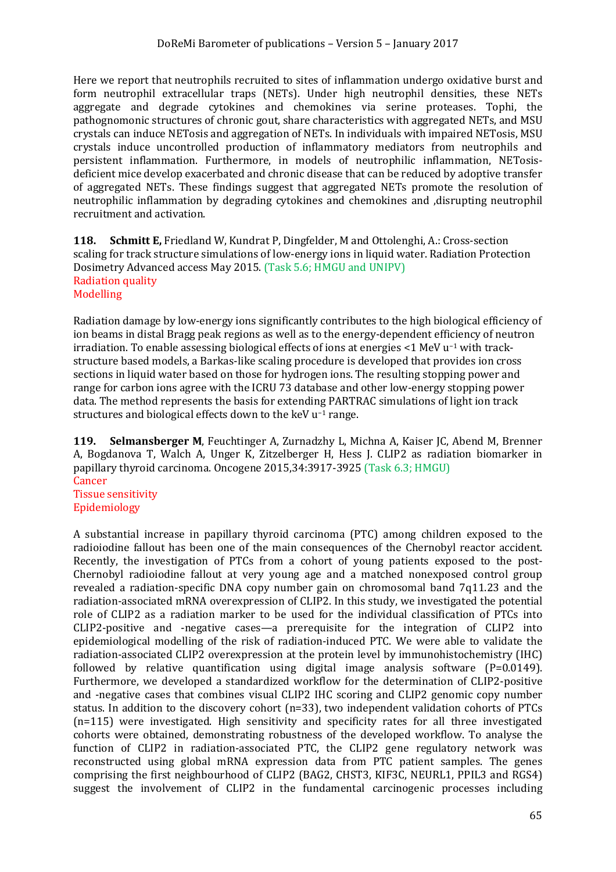Here we report that neutrophils recruited to sites of inflammation undergo oxidative burst and form neutrophil extracellular traps (NETs). Under high neutrophil densities, these NETs aggregate and degrade cytokines and chemokines via serine proteases. Tophi, the pathognomonic structures of chronic gout, share characteristics with aggregated NETs, and MSU crystals can induce NETosis and aggregation of NETs. In individuals with impaired NETosis, MSU crystals induce uncontrolled production of inflammatory mediators from neutrophils and persistent inflammation. Furthermore, in models of neutrophilic inflammation, NETosisdeficient mice develop exacerbated and chronic disease that can be reduced by adoptive transfer of aggregated NETs. These findings suggest that aggregated NETs promote the resolution of neutrophilic inflammation by degrading cytokines and chemokines and ,disrupting neutrophil recruitment and activation.

**118. Schmitt E,** Friedland W, Kundrat P, Dingfelder, M and Ottolenghi, A.: Cross-section scaling for track structure simulations of low-energy ions in liquid water. Radiation Protection Dosimetry Advanced access May 2015. (Task 5.6; HMGU and UNIPV) Radiation quality Modelling

Radiation damage by low-energy ions significantly contributes to the high biological efficiency of ion beams in distal Bragg peak regions as well as to the energy-dependent efficiency of neutron irradiation. To enable assessing biological effects of ions at energies <1 MeV u<sup>−</sup><sup>1</sup> with trackstructure based models, a Barkas-like scaling procedure is developed that provides ion cross sections in liquid water based on those for hydrogen ions. The resulting stopping power and range for carbon ions agree with the ICRU 73 database and other low-energy stopping power data. The method represents the basis for extending PARTRAC simulations of light ion track structures and biological effects down to the keV u<sup>−</sup><sup>1</sup> range.

**119. Selmansberger M**, Feuchtinger A, Zurnadzhy L, Michna A, Kaiser JC, Abend M, Brenner A, Bogdanova T, Walch A, Unger K, Zitzelberger H, Hess J. CLIP2 as radiation biomarker in papillary thyroid carcinoma. Oncogene 2015,34:3917-3925 (Task 6.3; HMGU) Cancer

Tissue sensitivity Epidemiology

A substantial increase in papillary thyroid carcinoma (PTC) among children exposed to the radioiodine fallout has been one of the main consequences of the Chernobyl reactor accident. Recently, the investigation of PTCs from a cohort of young patients exposed to the post-Chernobyl radioiodine fallout at very young age and a matched nonexposed control group revealed a radiation-specific DNA copy number gain on chromosomal band 7q11.23 and the radiation-associated mRNA overexpression of CLIP2. In this study, we investigated the potential role of CLIP2 as a radiation marker to be used for the individual classification of PTCs into CLIP2-positive and -negative cases—a prerequisite for the integration of CLIP2 into epidemiological modelling of the risk of radiation-induced PTC. We were able to validate the radiation-associated CLIP2 overexpression at the protein level by immunohistochemistry (IHC) followed by relative quantification using digital image analysis software  $(P=0.0149)$ . Furthermore, we developed a standardized workflow for the determination of CLIP2-positive and -negative cases that combines visual CLIP2 IHC scoring and CLIP2 genomic copy number status. In addition to the discovery cohort (n=33), two independent validation cohorts of PTCs (n=115) were investigated. High sensitivity and specificity rates for all three investigated cohorts were obtained, demonstrating robustness of the developed workflow. To analyse the function of CLIP2 in radiation-associated PTC, the CLIP2 gene regulatory network was reconstructed using global mRNA expression data from PTC patient samples. The genes comprising the first neighbourhood of CLIP2 (BAG2, CHST3, KIF3C, NEURL1, PPIL3 and RGS4) suggest the involvement of CLIP2 in the fundamental carcinogenic processes including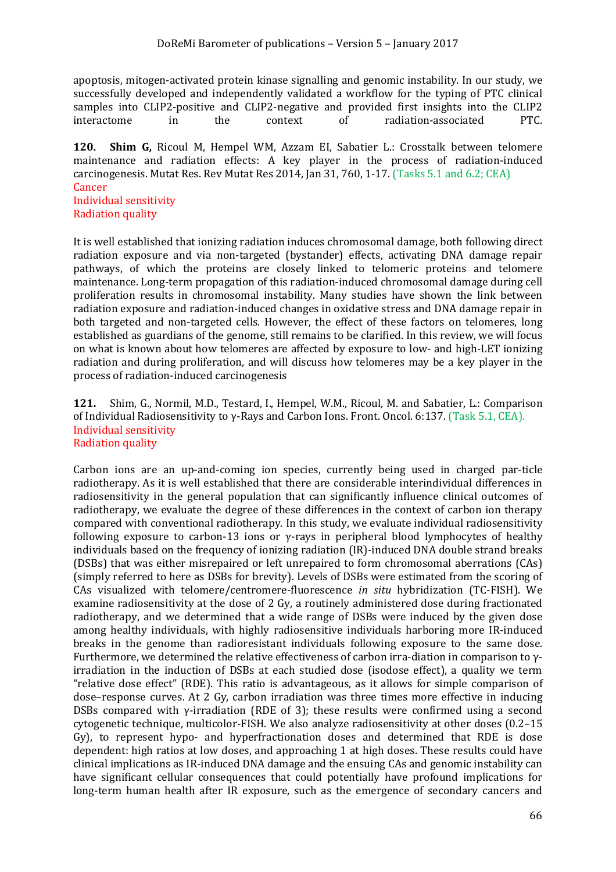apoptosis, mitogen-activated protein kinase signalling and genomic instability. In our study, we successfully developed and independently validated a workflow for the typing of PTC clinical samples into CLIP2-positive and CLIP2-negative and provided first insights into the CLIP2<br>interactome in the context of radiation-associated PTC. radiation-associated

**120. Shim G,** Ricoul M, Hempel WM, Azzam EI, Sabatier L.: Crosstalk between telomere maintenance and radiation effects: A key player in the process of radiation-induced carcinogenesis. Mutat Res. Rev Mutat Res 2014, Jan 31, 760, 1-17. (Tasks 5.1 and 6.2; CEA) **Cancer** Individual sensitivity

Radiation quality

It is well established that ionizing radiation induces chromosomal damage, both following direct radiation exposure and via non-targeted (bystander) effects, activating DNA damage repair pathways, of which the proteins are closely linked to telomeric proteins and telomere maintenance. Long-term propagation of this radiation-induced chromosomal damage during cell proliferation results in chromosomal instability. Many studies have shown the link between radiation exposure and radiation-induced changes in oxidative stress and DNA damage repair in both targeted and non-targeted cells. However, the effect of these factors on telomeres, long established as guardians of the genome, still remains to be clarified. In this review, we will focus on what is known about how telomeres are affected by exposure to low- and high-LET ionizing radiation and during proliferation, and will discuss how telomeres may be a key player in the process of radiation-induced carcinogenesis

**121.** Shim, G., Normil, M.D., Testard, I., Hempel, W.M., Ricoul, M. and Sabatier, L.: Comparison of Individual Radiosensitivity to γ-Rays and Carbon Ions. Front. Oncol. 6:137. (Task 5.1, CEA). Individual sensitivity Radiation quality

Carbon ions are an up-and-coming ion species, currently being used in charged par-ticle radiotherapy. As it is well established that there are considerable interindividual differences in radiosensitivity in the general population that can significantly influence clinical outcomes of radiotherapy, we evaluate the degree of these differences in the context of carbon ion therapy compared with conventional radiotherapy. In this study, we evaluate individual radiosensitivity following exposure to carbon-13 ions or  $\gamma$ -rays in peripheral blood lymphocytes of healthy individuals based on the frequency of ionizing radiation (IR)-induced DNA double strand breaks (DSBs) that was either misrepaired or left unrepaired to form chromosomal aberrations (CAs) (simply referred to here as DSBs for brevity). Levels of DSBs were estimated from the scoring of CAs visualized with telomere/centromere-fluorescence *in situ* hybridization (TC-FISH). We examine radiosensitivity at the dose of 2 Gy, a routinely administered dose during fractionated radiotherapy, and we determined that a wide range of DSBs were induced by the given dose among healthy individuals, with highly radiosensitive individuals harboring more IR-induced breaks in the genome than radioresistant individuals following exposure to the same dose. Furthermore, we determined the relative effectiveness of carbon irra-diation in comparison to γirradiation in the induction of DSBs at each studied dose (isodose effect), a quality we term "relative dose effect" (RDE). This ratio is advantageous, as it allows for simple comparison of dose–response curves. At 2 Gy, carbon irradiation was three times more effective in inducing DSBs compared with  $\gamma$ -irradiation (RDE of 3); these results were confirmed using a second cytogenetic technique, multicolor-FISH. We also analyze radiosensitivity at other doses (0.2–15 Gy), to represent hypo- and hyperfractionation doses and determined that RDE is dose dependent: high ratios at low doses, and approaching 1 at high doses. These results could have clinical implications as IR-induced DNA damage and the ensuing CAs and genomic instability can have significant cellular consequences that could potentially have profound implications for long-term human health after IR exposure, such as the emergence of secondary cancers and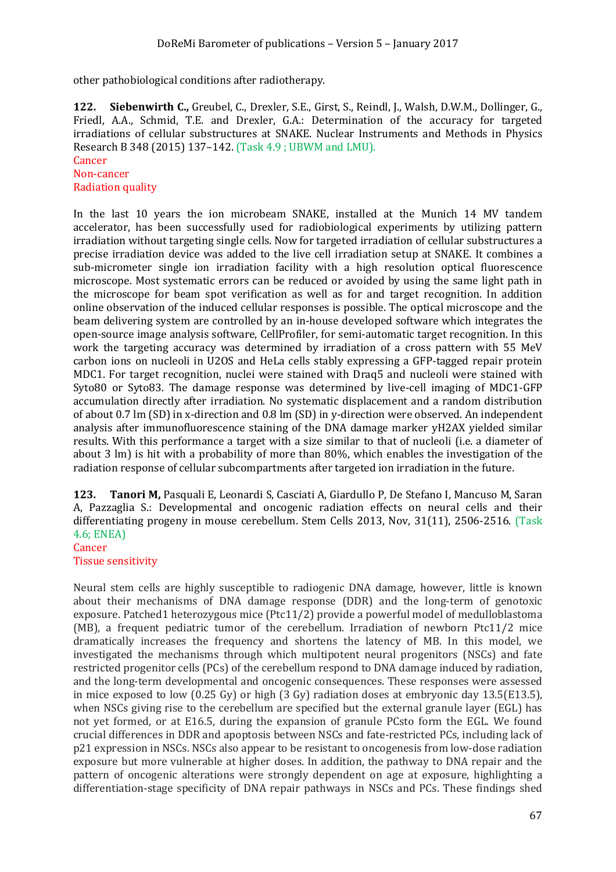other pathobiological conditions after radiotherapy.

**122. Siebenwirth C.,** Greubel, C., Drexler, S.E., Girst, S., Reindl, J., Walsh, D.W.M., Dollinger, G., Friedl, A.A., Schmid, T.E. and Drexler, G.A.: Determination of the accuracy for targeted irradiations of cellular substructures at SNAKE. Nuclear Instruments and Methods in Physics Research B 348 (2015) 137–142. (Task 4.9 ; UBWM and LMU).

#### **Cancer** Non-cancer Radiation quality

In the last 10 years the ion microbeam SNAKE, installed at the Munich 14 MV tandem accelerator, has been successfully used for radiobiological experiments by utilizing pattern irradiation without targeting single cells. Now for targeted irradiation of cellular substructures a precise irradiation device was added to the live cell irradiation setup at SNAKE. It combines a sub-micrometer single ion irradiation facility with a high resolution optical fluorescence microscope. Most systematic errors can be reduced or avoided by using the same light path in the microscope for beam spot verification as well as for and target recognition. In addition online observation of the induced cellular responses is possible. The optical microscope and the beam delivering system are controlled by an in-house developed software which integrates the open-source image analysis software, CellProfiler, for semi-automatic target recognition. In this work the targeting accuracy was determined by irradiation of a cross pattern with 55 MeV carbon ions on nucleoli in U2OS and HeLa cells stably expressing a GFP-tagged repair protein MDC1. For target recognition, nuclei were stained with Draq5 and nucleoli were stained with Syto80 or Syto83. The damage response was determined by live-cell imaging of MDC1-GFP accumulation directly after irradiation. No systematic displacement and a random distribution of about 0.7 lm (SD) in x-direction and 0.8 lm (SD) in y-direction were observed. An independent analysis after immunofluorescence staining of the DNA damage marker yH2AX yielded similar results. With this performance a target with a size similar to that of nucleoli (i.e. a diameter of about 3 lm) is hit with a probability of more than 80%, which enables the investigation of the radiation response of cellular subcompartments after targeted ion irradiation in the future.

**123. Tanori M,** Pasquali E, Leonardi S, Casciati A, Giardullo P, De Stefano I, Mancuso M, Saran A, Pazzaglia S.: Developmental and oncogenic radiation effects on neural cells and their differentiating progeny in mouse cerebellum. Stem Cells 2013, Nov, 31(11), 2506-2516. (Task 4.6; ENEA)

#### **Cancer** Tissue sensitivity

Neural stem cells are highly susceptible to radiogenic DNA damage, however, little is known about their mechanisms of DNA damage response (DDR) and the long-term of genotoxic exposure. Patched1 heterozygous mice (Ptc11/2) provide a powerful model of medulloblastoma (MB), a frequent pediatric tumor of the cerebellum. Irradiation of newborn Ptc11/2 mice dramatically increases the frequency and shortens the latency of MB. In this model, we investigated the mechanisms through which multipotent neural progenitors (NSCs) and fate restricted progenitor cells (PCs) of the cerebellum respond to DNA damage induced by radiation, and the long-term developmental and oncogenic consequences. These responses were assessed in mice exposed to low (0.25 Gy) or high (3 Gy) radiation doses at embryonic day 13.5(E13.5), when NSCs giving rise to the cerebellum are specified but the external granule layer (EGL) has not yet formed, or at E16.5, during the expansion of granule PCsto form the EGL. We found crucial differences in DDR and apoptosis between NSCs and fate-restricted PCs, including lack of p21 expression in NSCs. NSCs also appear to be resistant to oncogenesis from low-dose radiation exposure but more vulnerable at higher doses. In addition, the pathway to DNA repair and the pattern of oncogenic alterations were strongly dependent on age at exposure, highlighting a differentiation-stage specificity of DNA repair pathways in NSCs and PCs. These findings shed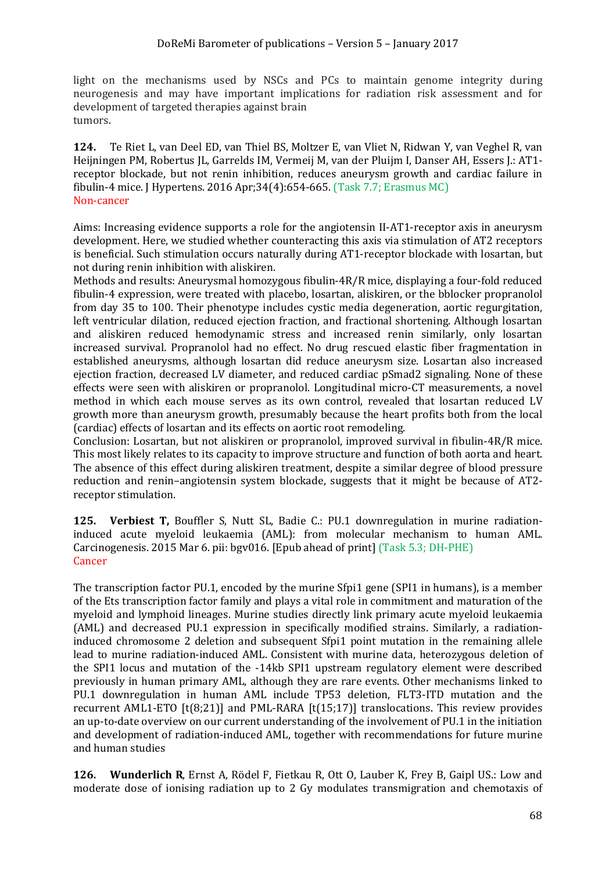light on the mechanisms used by NSCs and PCs to maintain genome integrity during neurogenesis and may have important implications for radiation risk assessment and for development of targeted therapies against brain tumors.

**124.** Te Riet L, van Deel ED, van Thiel BS, Moltzer E, van Vliet N, Ridwan Y, van Veghel R, van Heijningen PM, Robertus JL, Garrelds IM, Vermeij M, van der Pluijm I, Danser AH, Essers J.: AT1 receptor blockade, but not renin inhibition, reduces aneurysm growth and cardiac failure in fibulin-4 mice. J Hypertens. 2016 Apr;34(4):654-665. (Task 7.7; Erasmus MC) Non-cancer

Aims: Increasing evidence supports a role for the angiotensin II-AT1-receptor axis in aneurysm development. Here, we studied whether counteracting this axis via stimulation of AT2 receptors is beneficial. Such stimulation occurs naturally during AT1-receptor blockade with losartan, but not during renin inhibition with aliskiren.

Methods and results: Aneurysmal homozygous fibulin-4R/R mice, displaying a four-fold reduced fibulin-4 expression, were treated with placebo, losartan, aliskiren, or the bblocker propranolol from day 35 to 100. Their phenotype includes cystic media degeneration, aortic regurgitation, left ventricular dilation, reduced ejection fraction, and fractional shortening. Although losartan and aliskiren reduced hemodynamic stress and increased renin similarly, only losartan increased survival. Propranolol had no effect. No drug rescued elastic fiber fragmentation in established aneurysms, although losartan did reduce aneurysm size. Losartan also increased ejection fraction, decreased LV diameter, and reduced cardiac pSmad2 signaling. None of these effects were seen with aliskiren or propranolol. Longitudinal micro-CT measurements, a novel method in which each mouse serves as its own control, revealed that losartan reduced LV growth more than aneurysm growth, presumably because the heart profits both from the local (cardiac) effects of losartan and its effects on aortic root remodeling.

Conclusion: Losartan, but not aliskiren or propranolol, improved survival in fibulin-4R/R mice. This most likely relates to its capacity to improve structure and function of both aorta and heart. The absence of this effect during aliskiren treatment, despite a similar degree of blood pressure reduction and renin–angiotensin system blockade, suggests that it might be because of AT2 receptor stimulation.

**125. Verbiest T,** Bouffler S, Nutt SL, Badie C.: PU.1 downregulation in murine radiationinduced acute myeloid leukaemia (AML): from molecular mechanism to human AML. Carcinogenesis. 2015 Mar 6. pii: bgv016. [Epub ahead of print] (Task 5.3; DH-PHE) **Cancer** 

The transcription factor PU.1, encoded by the murine Sfpi1 gene (SPI1 in humans), is a member of the Ets transcription factor family and plays a vital role in commitment and maturation of the myeloid and lymphoid lineages. Murine studies directly link primary acute myeloid leukaemia (AML) and decreased PU.1 expression in specifically modified strains. Similarly, a radiationinduced chromosome 2 deletion and subsequent Sfpi1 point mutation in the remaining allele lead to murine radiation-induced AML. Consistent with murine data, heterozygous deletion of the SPI1 locus and mutation of the -14kb SPI1 upstream regulatory element were described previously in human primary AML, although they are rare events. Other mechanisms linked to PU.1 downregulation in human AML include TP53 deletion, FLT3-ITD mutation and the recurrent AML1-ETO [t(8;21)] and PML-RARA [t(15;17)] translocations. This review provides an up-to-date overview on our current understanding of the involvement of PU.1 in the initiation and development of radiation-induced AML, together with recommendations for future murine and human studies

**126. Wunderlich R**, Ernst A, Rödel F, Fietkau R, Ott O, Lauber K, Frey B, Gaipl US.: Low and moderate dose of ionising radiation up to 2 Gy modulates transmigration and chemotaxis of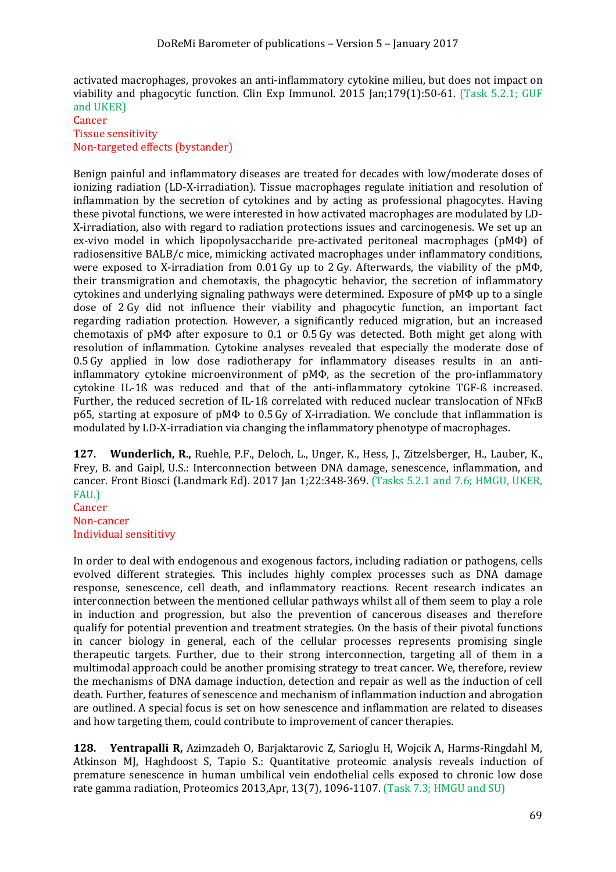activated macrophages, provokes an anti-inflammatory cytokine milieu, but does not impact on viability and phagocytic function. Clin Exp Immunol. 2015 Jan;179(1):50-61. (Task 5.2.1; GUF and UKER) **Cancer** 

# Tissue sensitivity Non-targeted effects (bystander)

Benign painful and inflammatory diseases are treated for decades with low/moderate doses of ionizing radiation (LD-X-irradiation). Tissue macrophages regulate initiation and resolution of inflammation by the secretion of cytokines and by acting as professional phagocytes. Having these pivotal functions, we were interested in how activated macrophages are modulated by LD-X-irradiation, also with regard to radiation protections issues and carcinogenesis. We set up an ex-vivo model in which lipopolysaccharide pre-activated peritoneal macrophages (pMΦ) of radiosensitive BALB/c mice, mimicking activated macrophages under inflammatory conditions, were exposed to X-irradiation from 0.01 Gy up to 2 Gy. Afterwards, the viability of the pMΦ, their transmigration and chemotaxis, the phagocytic behavior, the secretion of inflammatory cytokines and underlying signaling pathways were determined. Exposure of pMΦ up to a single dose of 2 Gy did not influence their viability and phagocytic function, an important fact regarding radiation protection. However, a significantly reduced migration, but an increased chemotaxis of pMΦ after exposure to 0.1 or 0.5 Gy was detected. Both might get along with resolution of inflammation. Cytokine analyses revealed that especially the moderate dose of 0.5 Gy applied in low dose radiotherapy for inflammatory diseases results in an antiinflammatory cytokine microenvironment of pMΦ, as the secretion of the pro-inflammatory cytokine IL-1ß was reduced and that of the anti-inflammatory cytokine TGF-ß increased. Further, the reduced secretion of IL-1ß correlated with reduced nuclear translocation of NFкB p65, starting at exposure of pMΦ to 0.5 Gy of X-irradiation. We conclude that inflammation is modulated by LD-X-irradiation via changing the inflammatory phenotype of macrophages.

**127. Wunderlich, R.,** Ruehle, P.F., Deloch, L., Unger, K., Hess, J., Zitzelsberger, H., Lauber, K., Frey, B. and Gaipl, U.S.: Interconnection between DNA damage, senescence, inflammation, and cancer. Front Biosci (Landmark Ed). 2017 Jan 1;22:348-369. (Tasks 5.2.1 and 7.6; HMGU, UKER, FAU.) Cancer Non-cancer

Individual sensititivy

In order to deal with endogenous and exogenous factors, including radiation or pathogens, cells evolved different strategies. This includes highly complex processes such as DNA damage response, senescence, cell death, and inflammatory reactions. Recent research indicates an interconnection between the mentioned cellular pathways whilst all of them seem to play a role in induction and progression, but also the prevention of cancerous diseases and therefore qualify for potential prevention and treatment strategies. On the basis of their pivotal functions in cancer biology in general, each of the cellular processes represents promising single therapeutic targets. Further, due to their strong interconnection, targeting all of them in a multimodal approach could be another promising strategy to treat cancer. We, therefore, review the mechanisms of DNA damage induction, detection and repair as well as the induction of cell death. Further, features of senescence and mechanism of inflammation induction and abrogation are outlined. A special focus is set on how senescence and inflammation are related to diseases and how targeting them, could contribute to improvement of cancer therapies.

**128. Yentrapalli R,** Azimzadeh O, Barjaktarovic Z, Sarioglu H, Wojcik A, Harms-Ringdahl M, Atkinson MJ, Haghdoost S, Tapio S.: Quantitative proteomic analysis reveals induction of premature senescence in human umbilical vein endothelial cells exposed to chronic low dose rate gamma radiation, Proteomics 2013,Apr, 13(7), 1096-1107. (Task 7.3; HMGU and SU)